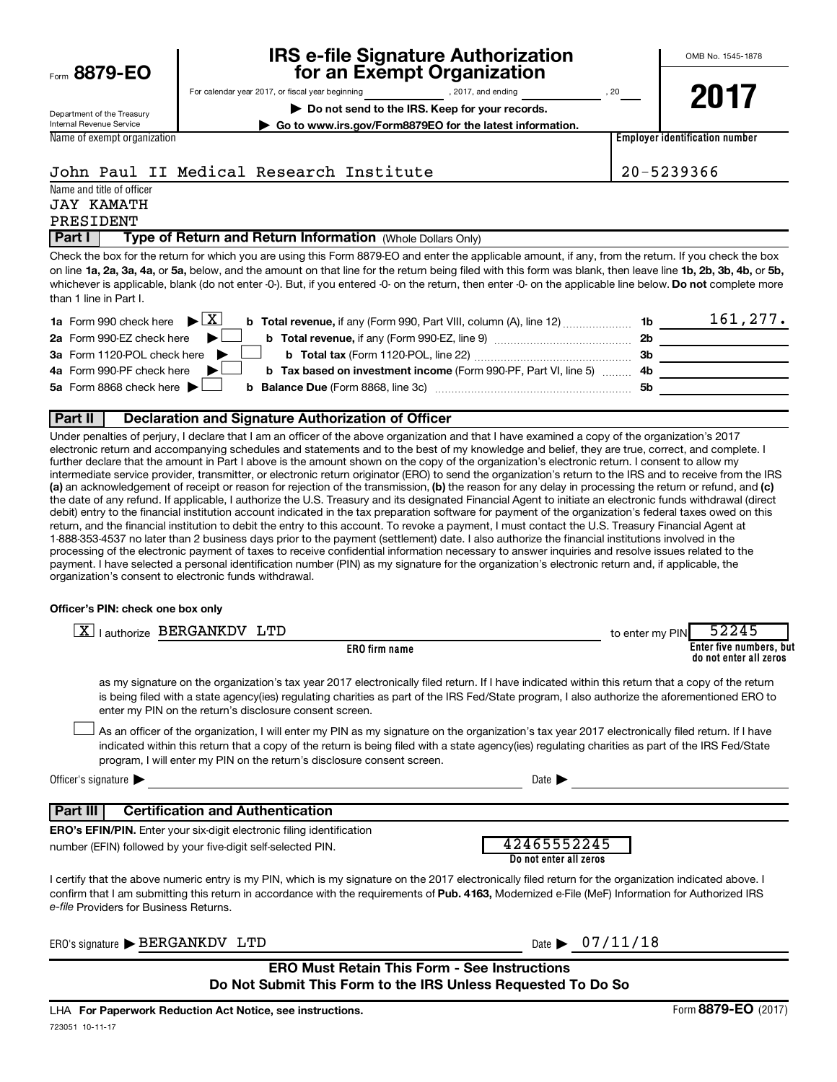$F_{\text{GCD}}$  8879-EQ

# **IRS e-file Signature Authorization**<br>**687 for an Exempt Organization**

**| Do not send to the IRS. Keep for your records. | Go to www.irs.gov/Form8879EO for the latest information.**

For calendar year 2017, or fiscal year beginning and provide the set of 2017, and ending and set of 20

OMB No. 1545-1878

Department of the Treasury Internal Revenue Service Name of exempt organization **2017**

**Employer identification number**

John Paul II Medical Research Institute 20-5239366

Name and title of officer

### JAY KAMATH PRESIDENT

**Part I** | Type of Return and Return Information (Whole Dollars Only)

on line 1a, 2a, 3a, 4a, or 5a, below, and the amount on that line for the return being filed with this form was blank, then leave line 1b, 2b, 3b, 4b, or 5b, whichever is applicable, blank (do not enter -0-). But, if you entered -0- on the return, then enter -0- on the applicable line below. **Do not** complete more Check the box for the return for which you are using this Form 8879-EO and enter the applicable amount, if any, from the return. If you check the box than 1 line in Part I.

| <b>1a</b> Form 990 check here $\triangleright \boxed{X}$                                               |     | 161,277. |
|--------------------------------------------------------------------------------------------------------|-----|----------|
| 2a Form 990-EZ check here $\blacktriangleright$                                                        | -2b |          |
| 3a Form 1120-POL check here<br><b>b</b> Total tax (Form 1120-POL, line 22)                             | -3b |          |
| 4a Form 990-PF check here<br><b>b</b> Tax based on investment income (Form 990-PF, Part VI, line 5) 4b |     |          |
| 5a Form 8868 check here $\blacktriangleright$<br><b>b</b> Balance Due (Form 8868, line 3c)             | .5b |          |
|                                                                                                        |     |          |

## **Part II Declaration and Signature Authorization of Officer**

(a) an acknowledgement of receipt or reason for rejection of the transmission, (b) the reason for any delay in processing the return or refund, and (c) Under penalties of perjury, I declare that I am an officer of the above organization and that I have examined a copy of the organization's 2017 electronic return and accompanying schedules and statements and to the best of my knowledge and belief, they are true, correct, and complete. I further declare that the amount in Part I above is the amount shown on the copy of the organization's electronic return. I consent to allow my intermediate service provider, transmitter, or electronic return originator (ERO) to send the organization's return to the IRS and to receive from the IRS the date of any refund. If applicable, I authorize the U.S. Treasury and its designated Financial Agent to initiate an electronic funds withdrawal (direct debit) entry to the financial institution account indicated in the tax preparation software for payment of the organization's federal taxes owed on this return, and the financial institution to debit the entry to this account. To revoke a payment, I must contact the U.S. Treasury Financial Agent at 1-888-353-4537 no later than 2 business days prior to the payment (settlement) date. I also authorize the financial institutions involved in the processing of the electronic payment of taxes to receive confidential information necessary to answer inquiries and resolve issues related to the payment. I have selected a personal identification number (PIN) as my signature for the organization's electronic return and, if applicable, the organization's consent to electronic funds withdrawal.

## **Officer's PIN: check one box only**

| X   authorize BERGANKDV LTD                                                                                                                                                                                                                                                                                                                                                      |                                       | to enter my PIN | 52245                                             |
|----------------------------------------------------------------------------------------------------------------------------------------------------------------------------------------------------------------------------------------------------------------------------------------------------------------------------------------------------------------------------------|---------------------------------------|-----------------|---------------------------------------------------|
| <b>ERO</b> firm name                                                                                                                                                                                                                                                                                                                                                             |                                       |                 | Enter five numbers, but<br>do not enter all zeros |
| as my signature on the organization's tax year 2017 electronically filed return. If I have indicated within this return that a copy of the return<br>is being filed with a state agency(ies) regulating charities as part of the IRS Fed/State program, I also authorize the aforementioned ERO to<br>enter my PIN on the return's disclosure consent screen.                    |                                       |                 |                                                   |
| As an officer of the organization, I will enter my PIN as my signature on the organization's tax year 2017 electronically filed return. If I have<br>indicated within this return that a copy of the return is being filed with a state agency(ies) regulating charities as part of the IRS Fed/State<br>program, I will enter my PIN on the return's disclosure consent screen. |                                       |                 |                                                   |
| Officer's signature $\blacktriangleright$                                                                                                                                                                                                                                                                                                                                        | Date 1                                |                 |                                                   |
| <b>Certification and Authentication</b><br>Part III                                                                                                                                                                                                                                                                                                                              |                                       |                 |                                                   |
| <b>ERO's EFIN/PIN.</b> Enter your six-digit electronic filing identification                                                                                                                                                                                                                                                                                                     |                                       |                 |                                                   |
| number (EFIN) followed by your five-digit self-selected PIN.                                                                                                                                                                                                                                                                                                                     | 42465552245<br>Do not enter all zeros |                 |                                                   |
| I certify that the above numeric entry is my PIN, which is my signature on the 2017 electronically filed return for the organization indicated above. I<br>confirm that I am submitting this return in accordance with the requirements of Pub. 4163, Modernized e-File (MeF) Information for Authorized IRS<br>e-file Providers for Business Returns.                           |                                       |                 |                                                   |
| ERO's signature > BERGANKDV LTD                                                                                                                                                                                                                                                                                                                                                  | Date $\triangleright$ 07/11/18        |                 |                                                   |
| <b>ERO Must Retain This Form - See Instructions</b><br>Do Not Submit This Form to the IRS Unless Requested To Do So                                                                                                                                                                                                                                                              |                                       |                 |                                                   |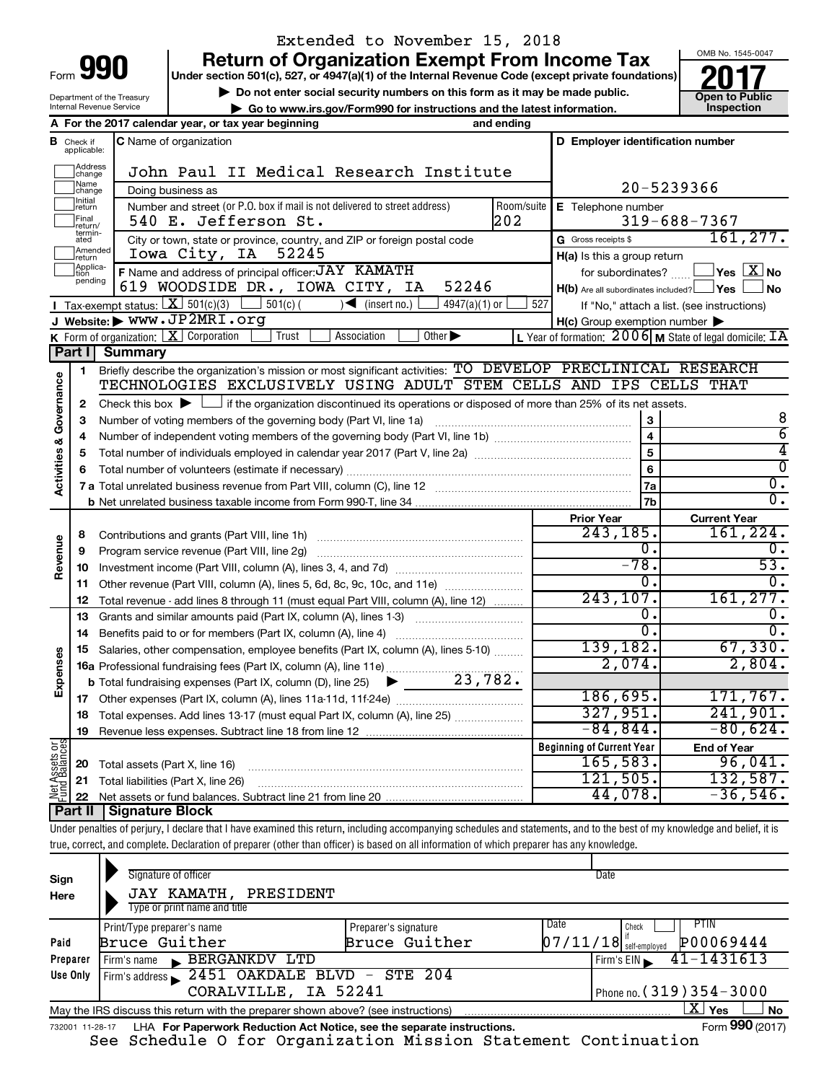| n<br>Form |  |
|-----------|--|
|           |  |

# Extended to November 15, 2018

**Under section 501(c), 527, or 4947(a)(1) of the Internal Revenue Code (except private foundations) 990 Return of Organization Exempt From Income Tax 1990 2017 Divide the section 501(c)**, 527, or 4947(a)(1) of the Internal Revenue Code (except private foundations) **2017** 

▶ Do not enter social security numbers on this form as it may be made public.<br>● Go to www.irs.gov/Form990 for instructions and the latest information. **Department in the latest** information. **| Go to www.irs.gov/Form990 for instructions and the latest information. Inspection**



Department of the Treasury Internal Revenue Service

|                         |                                  | A For the 2017 calendar year, or tax year beginning                                                                                                                        | and ending                                                               |                                                     |                                                             |  |  |  |
|-------------------------|----------------------------------|----------------------------------------------------------------------------------------------------------------------------------------------------------------------------|--------------------------------------------------------------------------|-----------------------------------------------------|-------------------------------------------------------------|--|--|--|
|                         | <b>B</b> Check if<br>applicable: | C Name of organization                                                                                                                                                     |                                                                          | D Employer identification number                    |                                                             |  |  |  |
|                         | Address<br> change               | John Paul II Medical Research Institute                                                                                                                                    |                                                                          |                                                     |                                                             |  |  |  |
|                         | ]Name<br>]change                 | Doing business as                                                                                                                                                          |                                                                          |                                                     | 20-5239366                                                  |  |  |  |
|                         | Initial<br>return                | Number and street (or P.O. box if mail is not delivered to street address)                                                                                                 | Room/suite                                                               | E Telephone number                                  |                                                             |  |  |  |
|                         | Final<br> return/<br>termin-     | 540 E. Jefferson St.                                                                                                                                                       | 202                                                                      |                                                     | $319 - 688 - 7367$                                          |  |  |  |
|                         | ated                             | City or town, state or province, country, and ZIP or foreign postal code                                                                                                   |                                                                          | G Gross receipts \$                                 | 161, 277.                                                   |  |  |  |
|                         | Amended<br>return                | Iowa City, IA<br>52245                                                                                                                                                     |                                                                          | H(a) Is this a group return                         |                                                             |  |  |  |
|                         | Applica-<br>tion<br>pending      | F Name and address of principal officer: JAY KAMATH                                                                                                                        |                                                                          | for subordinates?                                   | $\overline{\ }$ Yes $\overline{\ \text{X}}$ No              |  |  |  |
|                         |                                  | 619 WOODSIDE DR., IOWA CITY, IA<br>52246                                                                                                                                   |                                                                          | $H(b)$ Are all subordinates included? $\Box$ Yes    | No                                                          |  |  |  |
|                         |                                  | Tax-exempt status: $\boxed{\mathbf{X}}$ 501(c)(3)<br>$501(c)$ (<br>$\sqrt{\frac{1}{1}}$ (insert no.)<br>$4947(a)(1)$ or                                                    |                                                                          | 527                                                 | If "No," attach a list. (see instructions)                  |  |  |  |
|                         |                                  | J Website: WWW.JP2MRI.org                                                                                                                                                  |                                                                          | $H(c)$ Group exemption number $\blacktriangleright$ |                                                             |  |  |  |
|                         |                                  | Association<br>Other $\blacktriangleright$<br><b>K</b> Form of organization: $X$ Corporation<br>Trust                                                                      |                                                                          |                                                     | L Year of formation: $2006$ M State of legal domicile: $TA$ |  |  |  |
|                         |                                  | Part I Summary                                                                                                                                                             |                                                                          |                                                     |                                                             |  |  |  |
|                         | 1                                | Briefly describe the organization's mission or most significant activities: TO DEVELOP PRECLINICAL RESEARCH                                                                |                                                                          |                                                     |                                                             |  |  |  |
| Governance              |                                  | TECHNOLOGIES EXCLUSIVELY USING ADULT STEM CELLS AND IPS CELLS THAT                                                                                                         |                                                                          |                                                     |                                                             |  |  |  |
|                         | 2                                | Check this box $\blacktriangleright \Box$ if the organization discontinued its operations or disposed of more than 25% of its net assets.                                  |                                                                          |                                                     |                                                             |  |  |  |
|                         | з                                | Number of voting members of the governing body (Part VI, line 1a)                                                                                                          |                                                                          | $\bf 3$                                             | 8                                                           |  |  |  |
|                         | 4                                |                                                                                                                                                                            |                                                                          | $\overline{\mathbf{4}}$                             | $\overline{6}$                                              |  |  |  |
| <b>Activities &amp;</b> | 5                                |                                                                                                                                                                            | 5                                                                        | 4                                                   |                                                             |  |  |  |
|                         | 6                                |                                                                                                                                                                            |                                                                          | 6                                                   | 0                                                           |  |  |  |
|                         |                                  |                                                                                                                                                                            | 7a                                                                       | $\overline{0}$ .                                    |                                                             |  |  |  |
|                         |                                  |                                                                                                                                                                            |                                                                          | 7b                                                  | $\overline{0}$ .                                            |  |  |  |
|                         |                                  |                                                                                                                                                                            |                                                                          | <b>Prior Year</b>                                   | <b>Current Year</b>                                         |  |  |  |
|                         | 8                                |                                                                                                                                                                            | 243,185.                                                                 | 161,224.                                            |                                                             |  |  |  |
|                         | 9                                | Program service revenue (Part VIII, line 2g) [11] [11] matter contracts are revenued as Program service revenu                                                             |                                                                          | 0.                                                  | $\mathbf 0$ .                                               |  |  |  |
| Revenue                 | 10                               |                                                                                                                                                                            |                                                                          | $-78.$<br>0.                                        | $\overline{53}$ .<br>0.                                     |  |  |  |
|                         | 11                               |                                                                                                                                                                            | Other revenue (Part VIII, column (A), lines 5, 6d, 8c, 9c, 10c, and 11e) |                                                     |                                                             |  |  |  |
|                         | 12                               | Total revenue - add lines 8 through 11 (must equal Part VIII, column (A), line 12)                                                                                         |                                                                          | 243, 107.                                           | 161, 277.                                                   |  |  |  |
|                         | 13                               | Grants and similar amounts paid (Part IX, column (A), lines 1-3)                                                                                                           |                                                                          | 0.                                                  |                                                             |  |  |  |
|                         | 14                               | Benefits paid to or for members (Part IX, column (A), line 4)                                                                                                              |                                                                          | $\overline{0}$ .                                    | $\overline{0}$ .                                            |  |  |  |
|                         | 15                               | Salaries, other compensation, employee benefits (Part IX, column (A), lines 5-10)                                                                                          |                                                                          | 139,182.                                            | 67,330.                                                     |  |  |  |
|                         |                                  | 16a Professional fundraising fees (Part IX, column (A), line 11e)                                                                                                          |                                                                          | 2,074.                                              | 2,804.                                                      |  |  |  |
| Expenses                |                                  | <b>b</b> Total fundraising expenses (Part IX, column (D), line 25) $\bullet$ 23, 782.                                                                                      |                                                                          |                                                     |                                                             |  |  |  |
|                         |                                  |                                                                                                                                                                            |                                                                          | 186,695.                                            | 171, 767.                                                   |  |  |  |
|                         | 18                               | Total expenses. Add lines 13-17 (must equal Part IX, column (A), line 25)                                                                                                  |                                                                          | 327,951.                                            | 241,901.                                                    |  |  |  |
|                         | 19                               | Revenue less expenses. Subtract line 18 from line 12                                                                                                                       |                                                                          | $-84,844$ .                                         | $-80,624.$                                                  |  |  |  |
|                         |                                  |                                                                                                                                                                            |                                                                          | <b>Beginning of Current Year</b>                    | <b>End of Year</b>                                          |  |  |  |
| Net Assets or           | 20                               | Total assets (Part X, line 16)                                                                                                                                             |                                                                          | 165,583.                                            | 96,041.                                                     |  |  |  |
|                         | 21                               | Total liabilities (Part X, line 26)                                                                                                                                        |                                                                          | 121,505.                                            | 132,587.                                                    |  |  |  |
|                         | 22                               |                                                                                                                                                                            |                                                                          | 44,078.                                             | $-36,546.$                                                  |  |  |  |
|                         | <b>Part II</b>                   | <b>Signature Block</b>                                                                                                                                                     |                                                                          |                                                     |                                                             |  |  |  |
|                         |                                  | Under penalties of perjury, I declare that I have examined this return, including accompanying schedules and statements, and to the best of my knowledge and belief, it is |                                                                          |                                                     |                                                             |  |  |  |
|                         |                                  | true, correct, and complete. Declaration of preparer (other than officer) is based on all information of which preparer has any knowledge.                                 |                                                                          |                                                     |                                                             |  |  |  |

| Sign<br>Here                                                                                                                                                                | Signature of officer<br>JAY KAMATH,<br>PRESIDENT<br>Type or print name and title |  |  | Date                         |  |  |
|-----------------------------------------------------------------------------------------------------------------------------------------------------------------------------|----------------------------------------------------------------------------------|--|--|------------------------------|--|--|
| Date<br>PTIN<br>Print/Type preparer's name<br>Preparer's signature<br>Check<br>P00069444<br>$\left[07/11/18\right]$ self-employed<br>Bruce Guither<br>Bruce Guither<br>Paid |                                                                                  |  |  |                              |  |  |
| Preparer                                                                                                                                                                    | BERGANKDV LTD<br>Firm's name                                                     |  |  | $41 - 1431613$<br>Firm's EIN |  |  |
| Use Only                                                                                                                                                                    | Firm's address 2451 OAKDALE BLVD - STE 204                                       |  |  |                              |  |  |
| CORALVILLE, IA 52241<br>Phone no. $(319)$ $354 - 3000$                                                                                                                      |                                                                                  |  |  |                              |  |  |
| x.<br>Yes<br><b>No</b><br>May the IRS discuss this return with the preparer shown above? (see instructions)                                                                 |                                                                                  |  |  |                              |  |  |
| Form 990 (2017)<br>LHA For Paperwork Reduction Act Notice, see the separate instructions.<br>732001 11-28-17                                                                |                                                                                  |  |  |                              |  |  |

See Schedule O for Organization Mission Statement Continuation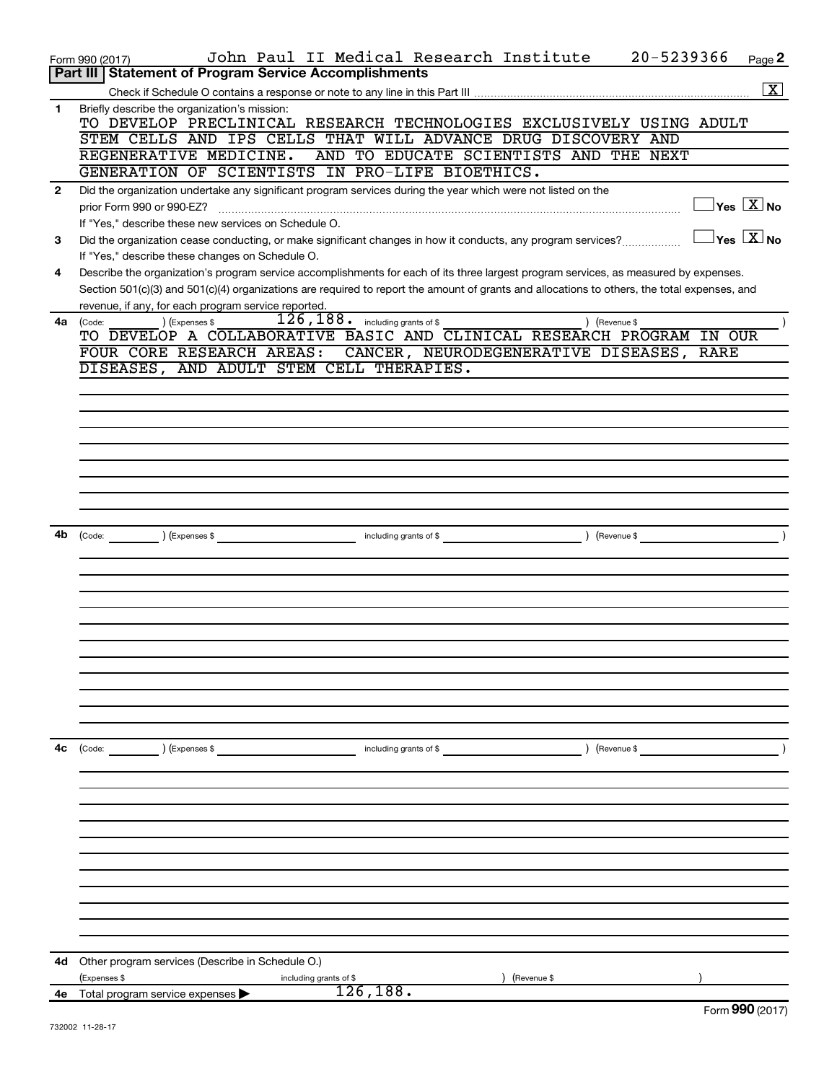|              | 20-5239366<br>John Paul II Medical Research Institute<br>Form 990 (2017)                                                                                 | Page 2                                  |
|--------------|----------------------------------------------------------------------------------------------------------------------------------------------------------|-----------------------------------------|
|              | Part III   Statement of Program Service Accomplishments                                                                                                  |                                         |
|              |                                                                                                                                                          | $\boxed{\text{X}}$                      |
| $\mathbf{1}$ | Briefly describe the organization's mission:                                                                                                             |                                         |
|              | TO DEVELOP PRECLINICAL RESEARCH TECHNOLOGIES EXCLUSIVELY USING ADULT                                                                                     |                                         |
|              | STEM CELLS AND IPS CELLS THAT WILL ADVANCE DRUG DISCOVERY AND<br>REGENERATIVE MEDICINE.<br>AND TO EDUCATE SCIENTISTS AND THE NEXT                        |                                         |
|              | GENERATION OF SCIENTISTS IN PRO-LIFE BIOETHICS.                                                                                                          |                                         |
| $\mathbf{2}$ | Did the organization undertake any significant program services during the year which were not listed on the                                             |                                         |
|              | prior Form 990 or 990-EZ?                                                                                                                                | $\Box$ Yes $[\overline{\mathrm{X}}]$ No |
|              | If "Yes," describe these new services on Schedule O.                                                                                                     |                                         |
| 3            | Did the organization cease conducting, or make significant changes in how it conducts, any program services?                                             | $\Box$ Yes $[\overline{\mathrm{X}}]$ No |
|              | If "Yes," describe these changes on Schedule O.                                                                                                          |                                         |
| 4            | Describe the organization's program service accomplishments for each of its three largest program services, as measured by expenses.                     |                                         |
|              | Section 501(c)(3) and 501(c)(4) organizations are required to report the amount of grants and allocations to others, the total expenses, and             |                                         |
|              | revenue, if any, for each program service reported.                                                                                                      |                                         |
| 4a           | $\overline{126}$ , $\overline{188}$ . including grants of \$<br>) (Expenses \$<br>) (Revenue \$<br>(Code:                                                |                                         |
|              | TO DEVELOP A COLLABORATIVE BASIC AND CLINICAL RESEARCH PROGRAM IN OUR                                                                                    |                                         |
|              | FOUR CORE RESEARCH AREAS:<br>CANCER, NEURODEGENERATIVE DISEASES, RARE                                                                                    |                                         |
|              | DISEASES, AND ADULT STEM CELL THERAPIES.                                                                                                                 |                                         |
|              |                                                                                                                                                          |                                         |
|              |                                                                                                                                                          |                                         |
|              |                                                                                                                                                          |                                         |
|              |                                                                                                                                                          |                                         |
|              |                                                                                                                                                          |                                         |
|              |                                                                                                                                                          |                                         |
|              |                                                                                                                                                          |                                         |
|              |                                                                                                                                                          |                                         |
|              |                                                                                                                                                          |                                         |
| 4b           | $\overbrace{\text{Code:}}$ (Expenses \$                                                                                                                  |                                         |
|              |                                                                                                                                                          |                                         |
|              |                                                                                                                                                          |                                         |
|              |                                                                                                                                                          |                                         |
|              |                                                                                                                                                          |                                         |
|              |                                                                                                                                                          |                                         |
|              |                                                                                                                                                          |                                         |
|              |                                                                                                                                                          |                                         |
|              |                                                                                                                                                          |                                         |
|              |                                                                                                                                                          |                                         |
|              |                                                                                                                                                          |                                         |
|              |                                                                                                                                                          |                                         |
| 4c           | $\begin{array}{ c c }\n\hline\n\text{Code:} & \text{\quad} & \text{\quad} \quad\end{array}$<br>) (Expenses \$<br>including grants of \$<br>) (Revenue \$ |                                         |
|              |                                                                                                                                                          |                                         |
|              |                                                                                                                                                          |                                         |
|              |                                                                                                                                                          |                                         |
|              |                                                                                                                                                          |                                         |
|              |                                                                                                                                                          |                                         |
|              |                                                                                                                                                          |                                         |
|              |                                                                                                                                                          |                                         |
|              |                                                                                                                                                          |                                         |
|              |                                                                                                                                                          |                                         |
|              |                                                                                                                                                          |                                         |
|              |                                                                                                                                                          |                                         |
|              |                                                                                                                                                          |                                         |
| 4d           | Other program services (Describe in Schedule O.)                                                                                                         |                                         |
|              | (Expenses \$<br>(Revenue \$<br>including grants of \$                                                                                                    |                                         |
|              | 126,188.<br>4e Total program service expenses >                                                                                                          | Eorm $990(2017)$                        |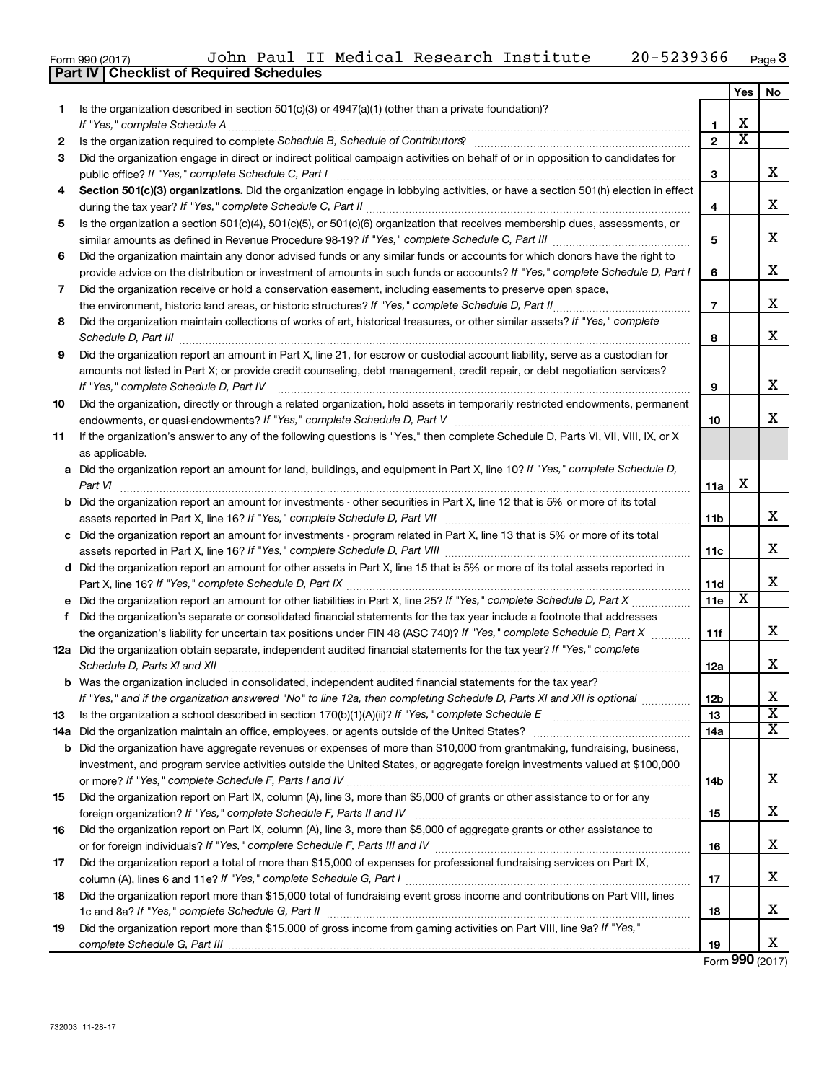|  | Form 990 (2017) |
|--|-----------------|
|  |                 |

**Part IV Checklist of Required Schedules**

|    |                                                                                                                                                                     |                | Yes                     | No                      |
|----|---------------------------------------------------------------------------------------------------------------------------------------------------------------------|----------------|-------------------------|-------------------------|
| 1. | Is the organization described in section $501(c)(3)$ or $4947(a)(1)$ (other than a private foundation)?                                                             |                |                         |                         |
|    |                                                                                                                                                                     | 1              | х                       |                         |
| 2  |                                                                                                                                                                     | $\mathbf{2}$   | $\overline{\textbf{x}}$ |                         |
| 3  | Did the organization engage in direct or indirect political campaign activities on behalf of or in opposition to candidates for                                     | 3              |                         | x                       |
| 4  | Section 501(c)(3) organizations. Did the organization engage in lobbying activities, or have a section 501(h) election in effect                                    | 4              |                         | х                       |
| 5  | Is the organization a section 501(c)(4), 501(c)(5), or 501(c)(6) organization that receives membership dues, assessments, or                                        |                |                         |                         |
|    |                                                                                                                                                                     | 5              |                         | x                       |
| 6  | Did the organization maintain any donor advised funds or any similar funds or accounts for which donors have the right to                                           |                |                         | x                       |
|    | provide advice on the distribution or investment of amounts in such funds or accounts? If "Yes," complete Schedule D, Part I                                        |                |                         |                         |
| 7  | Did the organization receive or hold a conservation easement, including easements to preserve open space,                                                           |                |                         |                         |
|    |                                                                                                                                                                     | $\overline{7}$ |                         | х                       |
| 8  | Did the organization maintain collections of works of art, historical treasures, or other similar assets? If "Yes," complete                                        | 8              |                         | x                       |
| 9  | Did the organization report an amount in Part X, line 21, for escrow or custodial account liability, serve as a custodian for                                       |                |                         |                         |
|    | amounts not listed in Part X; or provide credit counseling, debt management, credit repair, or debt negotiation services?<br>If "Yes," complete Schedule D, Part IV | 9              |                         | x                       |
| 10 | Did the organization, directly or through a related organization, hold assets in temporarily restricted endowments, permanent                                       |                |                         |                         |
|    |                                                                                                                                                                     | 10             |                         | x                       |
| 11 | If the organization's answer to any of the following questions is "Yes," then complete Schedule D, Parts VI, VII, VIII, IX, or X<br>as applicable.                  |                |                         |                         |
|    | a Did the organization report an amount for land, buildings, and equipment in Part X, line 10? If "Yes," complete Schedule D,<br>Part VI                            | 11a            | х                       |                         |
|    | <b>b</b> Did the organization report an amount for investments - other securities in Part X, line 12 that is 5% or more of its total                                | <b>11b</b>     |                         | x                       |
|    | c Did the organization report an amount for investments - program related in Part X, line 13 that is 5% or more of its total                                        |                |                         |                         |
|    |                                                                                                                                                                     | 11c            |                         | х                       |
|    | d Did the organization report an amount for other assets in Part X, line 15 that is 5% or more of its total assets reported in                                      |                |                         |                         |
|    |                                                                                                                                                                     | 11d            |                         | x                       |
|    | e Did the organization report an amount for other liabilities in Part X, line 25? If "Yes," complete Schedule D, Part X                                             | 11e            | X                       |                         |
| f  | Did the organization's separate or consolidated financial statements for the tax year include a footnote that addresses                                             |                |                         |                         |
|    | the organization's liability for uncertain tax positions under FIN 48 (ASC 740)? If "Yes," complete Schedule D, Part X                                              | 11f            |                         | x                       |
|    | 12a Did the organization obtain separate, independent audited financial statements for the tax year? If "Yes," complete<br>Schedule D, Parts XI and XII             | 12a            |                         | x                       |
|    | <b>b</b> Was the organization included in consolidated, independent audited financial statements for the tax year?                                                  |                |                         |                         |
|    | If "Yes," and if the organization answered "No" to line 12a, then completing Schedule D, Parts XI and XII is optional                                               | 12b            |                         | X                       |
| 13 |                                                                                                                                                                     | 13             |                         | $\overline{\textbf{x}}$ |
|    | 14a Did the organization maintain an office, employees, or agents outside of the United States?                                                                     | 14a            |                         | х                       |
|    | <b>b</b> Did the organization have aggregate revenues or expenses of more than \$10,000 from grantmaking, fundraising, business,                                    |                |                         |                         |
|    | investment, and program service activities outside the United States, or aggregate foreign investments valued at \$100,000                                          | 14b            |                         | х                       |
| 15 | Did the organization report on Part IX, column (A), line 3, more than \$5,000 of grants or other assistance to or for any                                           |                |                         |                         |
|    |                                                                                                                                                                     | 15             |                         | х                       |
| 16 | Did the organization report on Part IX, column (A), line 3, more than \$5,000 of aggregate grants or other assistance to                                            |                |                         |                         |
| 17 | Did the organization report a total of more than \$15,000 of expenses for professional fundraising services on Part IX,                                             | 16             |                         | х                       |
|    |                                                                                                                                                                     | 17             |                         | х                       |
| 18 | Did the organization report more than \$15,000 total of fundraising event gross income and contributions on Part VIII, lines                                        |                |                         |                         |
|    |                                                                                                                                                                     | 18             |                         | х                       |
| 19 | Did the organization report more than \$15,000 of gross income from gaming activities on Part VIII, line 9a? If "Yes,"                                              | 19             |                         | x                       |

Form (2017) **990**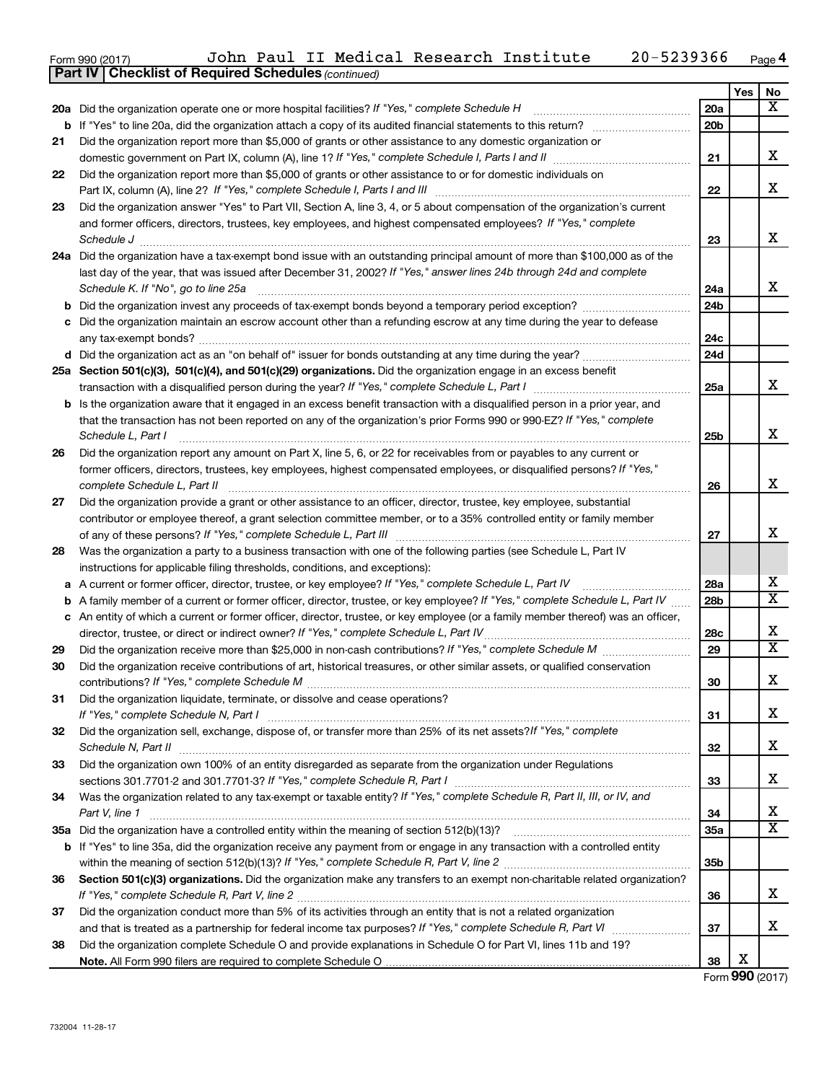| Form 990 (2017)                 | John | Paul | T | Medical | Research Institute | 366<br>,,,,, | $P$ age 4 |
|---------------------------------|------|------|---|---------|--------------------|--------------|-----------|
| $\overline{a}$ . $\overline{a}$ |      |      |   |         |                    |              |           |

| Yes<br>No<br>$\overline{\mathbf{x}}$<br>20a Did the organization operate one or more hospital facilities? If "Yes," complete Schedule H<br><b>20a</b><br>20 <sub>b</sub><br>b<br>Did the organization report more than \$5,000 of grants or other assistance to any domestic organization or<br>21<br>x<br>21<br>Did the organization report more than \$5,000 of grants or other assistance to or for domestic individuals on<br>22<br>X<br>22<br>Did the organization answer "Yes" to Part VII, Section A, line 3, 4, or 5 about compensation of the organization's current<br>23<br>and former officers, directors, trustees, key employees, and highest compensated employees? If "Yes," complete<br>X<br>Schedule J <b>Execute Schedule J Execute Schedule J</b><br>23<br>24a Did the organization have a tax-exempt bond issue with an outstanding principal amount of more than \$100,000 as of the<br>last day of the year, that was issued after December 31, 2002? If "Yes," answer lines 24b through 24d and complete<br>x<br>Schedule K. If "No", go to line 25a<br>24a<br>24 <sub>b</sub><br>b<br>c Did the organization maintain an escrow account other than a refunding escrow at any time during the year to defease<br>24c<br>24d<br>25a Section 501(c)(3), 501(c)(4), and 501(c)(29) organizations. Did the organization engage in an excess benefit<br>x<br>25a<br>transaction with a disqualified person during the year? If "Yes," complete Schedule L, Part I manumumumum<br><b>b</b> Is the organization aware that it engaged in an excess benefit transaction with a disqualified person in a prior year, and<br>that the transaction has not been reported on any of the organization's prior Forms 990 or 990-EZ? If "Yes," complete<br>х<br>Schedule L, Part I<br>25b<br>Did the organization report any amount on Part X, line 5, 6, or 22 for receivables from or payables to any current or<br>26<br>former officers, directors, trustees, key employees, highest compensated employees, or disqualified persons? If "Yes,"<br>X<br>complete Schedule L, Part II<br>26<br>Did the organization provide a grant or other assistance to an officer, director, trustee, key employee, substantial<br>27<br>contributor or employee thereof, a grant selection committee member, or to a 35% controlled entity or family member<br>х<br>27<br>Was the organization a party to a business transaction with one of the following parties (see Schedule L, Part IV<br>28<br>instructions for applicable filing thresholds, conditions, and exceptions):<br>х<br>A current or former officer, director, trustee, or key employee? If "Yes," complete Schedule L, Part IV<br>28a<br>а<br>$\overline{\mathbf{x}}$<br>A family member of a current or former officer, director, trustee, or key employee? If "Yes," complete Schedule L, Part IV<br>28 <sub>b</sub><br>b<br>c An entity of which a current or former officer, director, trustee, or key employee (or a family member thereof) was an officer,<br>X<br>director, trustee, or direct or indirect owner? If "Yes," complete Schedule L, Part IV<br>28c<br>$\overline{\mathtt{x}}$<br>29<br>29<br>Did the organization receive contributions of art, historical treasures, or other similar assets, or qualified conservation<br>30<br>Χ<br>30<br>Did the organization liquidate, terminate, or dissolve and cease operations?<br>31<br>x<br>31<br>Did the organization sell, exchange, dispose of, or transfer more than 25% of its net assets?/f "Yes," complete<br>32<br>X<br>Schedule N, Part II<br>32<br>Did the organization own 100% of an entity disregarded as separate from the organization under Regulations<br>33<br>х<br>33<br>Was the organization related to any tax-exempt or taxable entity? If "Yes," complete Schedule R, Part II, III, or IV, and<br>34<br>х<br>34<br>Part V, line 1<br>$\overline{\mathbf{x}}$<br>35a<br>If "Yes" to line 35a, did the organization receive any payment from or engage in any transaction with a controlled entity<br>b<br>35 <sub>b</sub><br>Section 501(c)(3) organizations. Did the organization make any transfers to an exempt non-charitable related organization?<br>36<br>x<br>36<br>Did the organization conduct more than 5% of its activities through an entity that is not a related organization<br>37<br>x<br>37<br>Did the organization complete Schedule O and provide explanations in Schedule O for Part VI, lines 11b and 19?<br>38 | <b>Part IV   Checklist of Required Schedules (continued)</b> |  |  |  |
|-----------------------------------------------------------------------------------------------------------------------------------------------------------------------------------------------------------------------------------------------------------------------------------------------------------------------------------------------------------------------------------------------------------------------------------------------------------------------------------------------------------------------------------------------------------------------------------------------------------------------------------------------------------------------------------------------------------------------------------------------------------------------------------------------------------------------------------------------------------------------------------------------------------------------------------------------------------------------------------------------------------------------------------------------------------------------------------------------------------------------------------------------------------------------------------------------------------------------------------------------------------------------------------------------------------------------------------------------------------------------------------------------------------------------------------------------------------------------------------------------------------------------------------------------------------------------------------------------------------------------------------------------------------------------------------------------------------------------------------------------------------------------------------------------------------------------------------------------------------------------------------------------------------------------------------------------------------------------------------------------------------------------------------------------------------------------------------------------------------------------------------------------------------------------------------------------------------------------------------------------------------------------------------------------------------------------------------------------------------------------------------------------------------------------------------------------------------------------------------------------------------------------------------------------------------------------------------------------------------------------------------------------------------------------------------------------------------------------------------------------------------------------------------------------------------------------------------------------------------------------------------------------------------------------------------------------------------------------------------------------------------------------------------------------------------------------------------------------------------------------------------------------------------------------------------------------------------------------------------------------------------------------------------------------------------------------------------------------------------------------------------------------------------------------------------------------------------------------------------------------------------------------------------------------------------------------------------------------------------------------------------------------------------------------------------------------------------------------------------------------------------------------------------------------------------------------------------------------------------------------------------------------------------------------------------------------------------------------------------------------------------------------------------------------------------------------------------------------------------------------------------------------------------------------------------------------------------------------------------------------------------------------------------------------------------------------------------------------------------------------------------------------------------------------------------------------------------------------------------------------|--------------------------------------------------------------|--|--|--|
|                                                                                                                                                                                                                                                                                                                                                                                                                                                                                                                                                                                                                                                                                                                                                                                                                                                                                                                                                                                                                                                                                                                                                                                                                                                                                                                                                                                                                                                                                                                                                                                                                                                                                                                                                                                                                                                                                                                                                                                                                                                                                                                                                                                                                                                                                                                                                                                                                                                                                                                                                                                                                                                                                                                                                                                                                                                                                                                                                                                                                                                                                                                                                                                                                                                                                                                                                                                                                                                                                                                                                                                                                                                                                                                                                                                                                                                                                                                                                                                                                                                                                                                                                                                                                                                                                                                                                                                                                                                                                               |                                                              |  |  |  |
|                                                                                                                                                                                                                                                                                                                                                                                                                                                                                                                                                                                                                                                                                                                                                                                                                                                                                                                                                                                                                                                                                                                                                                                                                                                                                                                                                                                                                                                                                                                                                                                                                                                                                                                                                                                                                                                                                                                                                                                                                                                                                                                                                                                                                                                                                                                                                                                                                                                                                                                                                                                                                                                                                                                                                                                                                                                                                                                                                                                                                                                                                                                                                                                                                                                                                                                                                                                                                                                                                                                                                                                                                                                                                                                                                                                                                                                                                                                                                                                                                                                                                                                                                                                                                                                                                                                                                                                                                                                                                               |                                                              |  |  |  |
|                                                                                                                                                                                                                                                                                                                                                                                                                                                                                                                                                                                                                                                                                                                                                                                                                                                                                                                                                                                                                                                                                                                                                                                                                                                                                                                                                                                                                                                                                                                                                                                                                                                                                                                                                                                                                                                                                                                                                                                                                                                                                                                                                                                                                                                                                                                                                                                                                                                                                                                                                                                                                                                                                                                                                                                                                                                                                                                                                                                                                                                                                                                                                                                                                                                                                                                                                                                                                                                                                                                                                                                                                                                                                                                                                                                                                                                                                                                                                                                                                                                                                                                                                                                                                                                                                                                                                                                                                                                                                               |                                                              |  |  |  |
|                                                                                                                                                                                                                                                                                                                                                                                                                                                                                                                                                                                                                                                                                                                                                                                                                                                                                                                                                                                                                                                                                                                                                                                                                                                                                                                                                                                                                                                                                                                                                                                                                                                                                                                                                                                                                                                                                                                                                                                                                                                                                                                                                                                                                                                                                                                                                                                                                                                                                                                                                                                                                                                                                                                                                                                                                                                                                                                                                                                                                                                                                                                                                                                                                                                                                                                                                                                                                                                                                                                                                                                                                                                                                                                                                                                                                                                                                                                                                                                                                                                                                                                                                                                                                                                                                                                                                                                                                                                                                               |                                                              |  |  |  |
|                                                                                                                                                                                                                                                                                                                                                                                                                                                                                                                                                                                                                                                                                                                                                                                                                                                                                                                                                                                                                                                                                                                                                                                                                                                                                                                                                                                                                                                                                                                                                                                                                                                                                                                                                                                                                                                                                                                                                                                                                                                                                                                                                                                                                                                                                                                                                                                                                                                                                                                                                                                                                                                                                                                                                                                                                                                                                                                                                                                                                                                                                                                                                                                                                                                                                                                                                                                                                                                                                                                                                                                                                                                                                                                                                                                                                                                                                                                                                                                                                                                                                                                                                                                                                                                                                                                                                                                                                                                                                               |                                                              |  |  |  |
|                                                                                                                                                                                                                                                                                                                                                                                                                                                                                                                                                                                                                                                                                                                                                                                                                                                                                                                                                                                                                                                                                                                                                                                                                                                                                                                                                                                                                                                                                                                                                                                                                                                                                                                                                                                                                                                                                                                                                                                                                                                                                                                                                                                                                                                                                                                                                                                                                                                                                                                                                                                                                                                                                                                                                                                                                                                                                                                                                                                                                                                                                                                                                                                                                                                                                                                                                                                                                                                                                                                                                                                                                                                                                                                                                                                                                                                                                                                                                                                                                                                                                                                                                                                                                                                                                                                                                                                                                                                                                               |                                                              |  |  |  |
|                                                                                                                                                                                                                                                                                                                                                                                                                                                                                                                                                                                                                                                                                                                                                                                                                                                                                                                                                                                                                                                                                                                                                                                                                                                                                                                                                                                                                                                                                                                                                                                                                                                                                                                                                                                                                                                                                                                                                                                                                                                                                                                                                                                                                                                                                                                                                                                                                                                                                                                                                                                                                                                                                                                                                                                                                                                                                                                                                                                                                                                                                                                                                                                                                                                                                                                                                                                                                                                                                                                                                                                                                                                                                                                                                                                                                                                                                                                                                                                                                                                                                                                                                                                                                                                                                                                                                                                                                                                                                               |                                                              |  |  |  |
|                                                                                                                                                                                                                                                                                                                                                                                                                                                                                                                                                                                                                                                                                                                                                                                                                                                                                                                                                                                                                                                                                                                                                                                                                                                                                                                                                                                                                                                                                                                                                                                                                                                                                                                                                                                                                                                                                                                                                                                                                                                                                                                                                                                                                                                                                                                                                                                                                                                                                                                                                                                                                                                                                                                                                                                                                                                                                                                                                                                                                                                                                                                                                                                                                                                                                                                                                                                                                                                                                                                                                                                                                                                                                                                                                                                                                                                                                                                                                                                                                                                                                                                                                                                                                                                                                                                                                                                                                                                                                               |                                                              |  |  |  |
|                                                                                                                                                                                                                                                                                                                                                                                                                                                                                                                                                                                                                                                                                                                                                                                                                                                                                                                                                                                                                                                                                                                                                                                                                                                                                                                                                                                                                                                                                                                                                                                                                                                                                                                                                                                                                                                                                                                                                                                                                                                                                                                                                                                                                                                                                                                                                                                                                                                                                                                                                                                                                                                                                                                                                                                                                                                                                                                                                                                                                                                                                                                                                                                                                                                                                                                                                                                                                                                                                                                                                                                                                                                                                                                                                                                                                                                                                                                                                                                                                                                                                                                                                                                                                                                                                                                                                                                                                                                                                               |                                                              |  |  |  |
|                                                                                                                                                                                                                                                                                                                                                                                                                                                                                                                                                                                                                                                                                                                                                                                                                                                                                                                                                                                                                                                                                                                                                                                                                                                                                                                                                                                                                                                                                                                                                                                                                                                                                                                                                                                                                                                                                                                                                                                                                                                                                                                                                                                                                                                                                                                                                                                                                                                                                                                                                                                                                                                                                                                                                                                                                                                                                                                                                                                                                                                                                                                                                                                                                                                                                                                                                                                                                                                                                                                                                                                                                                                                                                                                                                                                                                                                                                                                                                                                                                                                                                                                                                                                                                                                                                                                                                                                                                                                                               |                                                              |  |  |  |
|                                                                                                                                                                                                                                                                                                                                                                                                                                                                                                                                                                                                                                                                                                                                                                                                                                                                                                                                                                                                                                                                                                                                                                                                                                                                                                                                                                                                                                                                                                                                                                                                                                                                                                                                                                                                                                                                                                                                                                                                                                                                                                                                                                                                                                                                                                                                                                                                                                                                                                                                                                                                                                                                                                                                                                                                                                                                                                                                                                                                                                                                                                                                                                                                                                                                                                                                                                                                                                                                                                                                                                                                                                                                                                                                                                                                                                                                                                                                                                                                                                                                                                                                                                                                                                                                                                                                                                                                                                                                                               |                                                              |  |  |  |
|                                                                                                                                                                                                                                                                                                                                                                                                                                                                                                                                                                                                                                                                                                                                                                                                                                                                                                                                                                                                                                                                                                                                                                                                                                                                                                                                                                                                                                                                                                                                                                                                                                                                                                                                                                                                                                                                                                                                                                                                                                                                                                                                                                                                                                                                                                                                                                                                                                                                                                                                                                                                                                                                                                                                                                                                                                                                                                                                                                                                                                                                                                                                                                                                                                                                                                                                                                                                                                                                                                                                                                                                                                                                                                                                                                                                                                                                                                                                                                                                                                                                                                                                                                                                                                                                                                                                                                                                                                                                                               |                                                              |  |  |  |
|                                                                                                                                                                                                                                                                                                                                                                                                                                                                                                                                                                                                                                                                                                                                                                                                                                                                                                                                                                                                                                                                                                                                                                                                                                                                                                                                                                                                                                                                                                                                                                                                                                                                                                                                                                                                                                                                                                                                                                                                                                                                                                                                                                                                                                                                                                                                                                                                                                                                                                                                                                                                                                                                                                                                                                                                                                                                                                                                                                                                                                                                                                                                                                                                                                                                                                                                                                                                                                                                                                                                                                                                                                                                                                                                                                                                                                                                                                                                                                                                                                                                                                                                                                                                                                                                                                                                                                                                                                                                                               |                                                              |  |  |  |
|                                                                                                                                                                                                                                                                                                                                                                                                                                                                                                                                                                                                                                                                                                                                                                                                                                                                                                                                                                                                                                                                                                                                                                                                                                                                                                                                                                                                                                                                                                                                                                                                                                                                                                                                                                                                                                                                                                                                                                                                                                                                                                                                                                                                                                                                                                                                                                                                                                                                                                                                                                                                                                                                                                                                                                                                                                                                                                                                                                                                                                                                                                                                                                                                                                                                                                                                                                                                                                                                                                                                                                                                                                                                                                                                                                                                                                                                                                                                                                                                                                                                                                                                                                                                                                                                                                                                                                                                                                                                                               |                                                              |  |  |  |
|                                                                                                                                                                                                                                                                                                                                                                                                                                                                                                                                                                                                                                                                                                                                                                                                                                                                                                                                                                                                                                                                                                                                                                                                                                                                                                                                                                                                                                                                                                                                                                                                                                                                                                                                                                                                                                                                                                                                                                                                                                                                                                                                                                                                                                                                                                                                                                                                                                                                                                                                                                                                                                                                                                                                                                                                                                                                                                                                                                                                                                                                                                                                                                                                                                                                                                                                                                                                                                                                                                                                                                                                                                                                                                                                                                                                                                                                                                                                                                                                                                                                                                                                                                                                                                                                                                                                                                                                                                                                                               |                                                              |  |  |  |
|                                                                                                                                                                                                                                                                                                                                                                                                                                                                                                                                                                                                                                                                                                                                                                                                                                                                                                                                                                                                                                                                                                                                                                                                                                                                                                                                                                                                                                                                                                                                                                                                                                                                                                                                                                                                                                                                                                                                                                                                                                                                                                                                                                                                                                                                                                                                                                                                                                                                                                                                                                                                                                                                                                                                                                                                                                                                                                                                                                                                                                                                                                                                                                                                                                                                                                                                                                                                                                                                                                                                                                                                                                                                                                                                                                                                                                                                                                                                                                                                                                                                                                                                                                                                                                                                                                                                                                                                                                                                                               |                                                              |  |  |  |
|                                                                                                                                                                                                                                                                                                                                                                                                                                                                                                                                                                                                                                                                                                                                                                                                                                                                                                                                                                                                                                                                                                                                                                                                                                                                                                                                                                                                                                                                                                                                                                                                                                                                                                                                                                                                                                                                                                                                                                                                                                                                                                                                                                                                                                                                                                                                                                                                                                                                                                                                                                                                                                                                                                                                                                                                                                                                                                                                                                                                                                                                                                                                                                                                                                                                                                                                                                                                                                                                                                                                                                                                                                                                                                                                                                                                                                                                                                                                                                                                                                                                                                                                                                                                                                                                                                                                                                                                                                                                                               |                                                              |  |  |  |
|                                                                                                                                                                                                                                                                                                                                                                                                                                                                                                                                                                                                                                                                                                                                                                                                                                                                                                                                                                                                                                                                                                                                                                                                                                                                                                                                                                                                                                                                                                                                                                                                                                                                                                                                                                                                                                                                                                                                                                                                                                                                                                                                                                                                                                                                                                                                                                                                                                                                                                                                                                                                                                                                                                                                                                                                                                                                                                                                                                                                                                                                                                                                                                                                                                                                                                                                                                                                                                                                                                                                                                                                                                                                                                                                                                                                                                                                                                                                                                                                                                                                                                                                                                                                                                                                                                                                                                                                                                                                                               |                                                              |  |  |  |
|                                                                                                                                                                                                                                                                                                                                                                                                                                                                                                                                                                                                                                                                                                                                                                                                                                                                                                                                                                                                                                                                                                                                                                                                                                                                                                                                                                                                                                                                                                                                                                                                                                                                                                                                                                                                                                                                                                                                                                                                                                                                                                                                                                                                                                                                                                                                                                                                                                                                                                                                                                                                                                                                                                                                                                                                                                                                                                                                                                                                                                                                                                                                                                                                                                                                                                                                                                                                                                                                                                                                                                                                                                                                                                                                                                                                                                                                                                                                                                                                                                                                                                                                                                                                                                                                                                                                                                                                                                                                                               |                                                              |  |  |  |
|                                                                                                                                                                                                                                                                                                                                                                                                                                                                                                                                                                                                                                                                                                                                                                                                                                                                                                                                                                                                                                                                                                                                                                                                                                                                                                                                                                                                                                                                                                                                                                                                                                                                                                                                                                                                                                                                                                                                                                                                                                                                                                                                                                                                                                                                                                                                                                                                                                                                                                                                                                                                                                                                                                                                                                                                                                                                                                                                                                                                                                                                                                                                                                                                                                                                                                                                                                                                                                                                                                                                                                                                                                                                                                                                                                                                                                                                                                                                                                                                                                                                                                                                                                                                                                                                                                                                                                                                                                                                                               |                                                              |  |  |  |
|                                                                                                                                                                                                                                                                                                                                                                                                                                                                                                                                                                                                                                                                                                                                                                                                                                                                                                                                                                                                                                                                                                                                                                                                                                                                                                                                                                                                                                                                                                                                                                                                                                                                                                                                                                                                                                                                                                                                                                                                                                                                                                                                                                                                                                                                                                                                                                                                                                                                                                                                                                                                                                                                                                                                                                                                                                                                                                                                                                                                                                                                                                                                                                                                                                                                                                                                                                                                                                                                                                                                                                                                                                                                                                                                                                                                                                                                                                                                                                                                                                                                                                                                                                                                                                                                                                                                                                                                                                                                                               |                                                              |  |  |  |
|                                                                                                                                                                                                                                                                                                                                                                                                                                                                                                                                                                                                                                                                                                                                                                                                                                                                                                                                                                                                                                                                                                                                                                                                                                                                                                                                                                                                                                                                                                                                                                                                                                                                                                                                                                                                                                                                                                                                                                                                                                                                                                                                                                                                                                                                                                                                                                                                                                                                                                                                                                                                                                                                                                                                                                                                                                                                                                                                                                                                                                                                                                                                                                                                                                                                                                                                                                                                                                                                                                                                                                                                                                                                                                                                                                                                                                                                                                                                                                                                                                                                                                                                                                                                                                                                                                                                                                                                                                                                                               |                                                              |  |  |  |
|                                                                                                                                                                                                                                                                                                                                                                                                                                                                                                                                                                                                                                                                                                                                                                                                                                                                                                                                                                                                                                                                                                                                                                                                                                                                                                                                                                                                                                                                                                                                                                                                                                                                                                                                                                                                                                                                                                                                                                                                                                                                                                                                                                                                                                                                                                                                                                                                                                                                                                                                                                                                                                                                                                                                                                                                                                                                                                                                                                                                                                                                                                                                                                                                                                                                                                                                                                                                                                                                                                                                                                                                                                                                                                                                                                                                                                                                                                                                                                                                                                                                                                                                                                                                                                                                                                                                                                                                                                                                                               |                                                              |  |  |  |
|                                                                                                                                                                                                                                                                                                                                                                                                                                                                                                                                                                                                                                                                                                                                                                                                                                                                                                                                                                                                                                                                                                                                                                                                                                                                                                                                                                                                                                                                                                                                                                                                                                                                                                                                                                                                                                                                                                                                                                                                                                                                                                                                                                                                                                                                                                                                                                                                                                                                                                                                                                                                                                                                                                                                                                                                                                                                                                                                                                                                                                                                                                                                                                                                                                                                                                                                                                                                                                                                                                                                                                                                                                                                                                                                                                                                                                                                                                                                                                                                                                                                                                                                                                                                                                                                                                                                                                                                                                                                                               |                                                              |  |  |  |
|                                                                                                                                                                                                                                                                                                                                                                                                                                                                                                                                                                                                                                                                                                                                                                                                                                                                                                                                                                                                                                                                                                                                                                                                                                                                                                                                                                                                                                                                                                                                                                                                                                                                                                                                                                                                                                                                                                                                                                                                                                                                                                                                                                                                                                                                                                                                                                                                                                                                                                                                                                                                                                                                                                                                                                                                                                                                                                                                                                                                                                                                                                                                                                                                                                                                                                                                                                                                                                                                                                                                                                                                                                                                                                                                                                                                                                                                                                                                                                                                                                                                                                                                                                                                                                                                                                                                                                                                                                                                                               |                                                              |  |  |  |
|                                                                                                                                                                                                                                                                                                                                                                                                                                                                                                                                                                                                                                                                                                                                                                                                                                                                                                                                                                                                                                                                                                                                                                                                                                                                                                                                                                                                                                                                                                                                                                                                                                                                                                                                                                                                                                                                                                                                                                                                                                                                                                                                                                                                                                                                                                                                                                                                                                                                                                                                                                                                                                                                                                                                                                                                                                                                                                                                                                                                                                                                                                                                                                                                                                                                                                                                                                                                                                                                                                                                                                                                                                                                                                                                                                                                                                                                                                                                                                                                                                                                                                                                                                                                                                                                                                                                                                                                                                                                                               |                                                              |  |  |  |
|                                                                                                                                                                                                                                                                                                                                                                                                                                                                                                                                                                                                                                                                                                                                                                                                                                                                                                                                                                                                                                                                                                                                                                                                                                                                                                                                                                                                                                                                                                                                                                                                                                                                                                                                                                                                                                                                                                                                                                                                                                                                                                                                                                                                                                                                                                                                                                                                                                                                                                                                                                                                                                                                                                                                                                                                                                                                                                                                                                                                                                                                                                                                                                                                                                                                                                                                                                                                                                                                                                                                                                                                                                                                                                                                                                                                                                                                                                                                                                                                                                                                                                                                                                                                                                                                                                                                                                                                                                                                                               |                                                              |  |  |  |
|                                                                                                                                                                                                                                                                                                                                                                                                                                                                                                                                                                                                                                                                                                                                                                                                                                                                                                                                                                                                                                                                                                                                                                                                                                                                                                                                                                                                                                                                                                                                                                                                                                                                                                                                                                                                                                                                                                                                                                                                                                                                                                                                                                                                                                                                                                                                                                                                                                                                                                                                                                                                                                                                                                                                                                                                                                                                                                                                                                                                                                                                                                                                                                                                                                                                                                                                                                                                                                                                                                                                                                                                                                                                                                                                                                                                                                                                                                                                                                                                                                                                                                                                                                                                                                                                                                                                                                                                                                                                                               |                                                              |  |  |  |
|                                                                                                                                                                                                                                                                                                                                                                                                                                                                                                                                                                                                                                                                                                                                                                                                                                                                                                                                                                                                                                                                                                                                                                                                                                                                                                                                                                                                                                                                                                                                                                                                                                                                                                                                                                                                                                                                                                                                                                                                                                                                                                                                                                                                                                                                                                                                                                                                                                                                                                                                                                                                                                                                                                                                                                                                                                                                                                                                                                                                                                                                                                                                                                                                                                                                                                                                                                                                                                                                                                                                                                                                                                                                                                                                                                                                                                                                                                                                                                                                                                                                                                                                                                                                                                                                                                                                                                                                                                                                                               |                                                              |  |  |  |
|                                                                                                                                                                                                                                                                                                                                                                                                                                                                                                                                                                                                                                                                                                                                                                                                                                                                                                                                                                                                                                                                                                                                                                                                                                                                                                                                                                                                                                                                                                                                                                                                                                                                                                                                                                                                                                                                                                                                                                                                                                                                                                                                                                                                                                                                                                                                                                                                                                                                                                                                                                                                                                                                                                                                                                                                                                                                                                                                                                                                                                                                                                                                                                                                                                                                                                                                                                                                                                                                                                                                                                                                                                                                                                                                                                                                                                                                                                                                                                                                                                                                                                                                                                                                                                                                                                                                                                                                                                                                                               |                                                              |  |  |  |
|                                                                                                                                                                                                                                                                                                                                                                                                                                                                                                                                                                                                                                                                                                                                                                                                                                                                                                                                                                                                                                                                                                                                                                                                                                                                                                                                                                                                                                                                                                                                                                                                                                                                                                                                                                                                                                                                                                                                                                                                                                                                                                                                                                                                                                                                                                                                                                                                                                                                                                                                                                                                                                                                                                                                                                                                                                                                                                                                                                                                                                                                                                                                                                                                                                                                                                                                                                                                                                                                                                                                                                                                                                                                                                                                                                                                                                                                                                                                                                                                                                                                                                                                                                                                                                                                                                                                                                                                                                                                                               |                                                              |  |  |  |
|                                                                                                                                                                                                                                                                                                                                                                                                                                                                                                                                                                                                                                                                                                                                                                                                                                                                                                                                                                                                                                                                                                                                                                                                                                                                                                                                                                                                                                                                                                                                                                                                                                                                                                                                                                                                                                                                                                                                                                                                                                                                                                                                                                                                                                                                                                                                                                                                                                                                                                                                                                                                                                                                                                                                                                                                                                                                                                                                                                                                                                                                                                                                                                                                                                                                                                                                                                                                                                                                                                                                                                                                                                                                                                                                                                                                                                                                                                                                                                                                                                                                                                                                                                                                                                                                                                                                                                                                                                                                                               |                                                              |  |  |  |
|                                                                                                                                                                                                                                                                                                                                                                                                                                                                                                                                                                                                                                                                                                                                                                                                                                                                                                                                                                                                                                                                                                                                                                                                                                                                                                                                                                                                                                                                                                                                                                                                                                                                                                                                                                                                                                                                                                                                                                                                                                                                                                                                                                                                                                                                                                                                                                                                                                                                                                                                                                                                                                                                                                                                                                                                                                                                                                                                                                                                                                                                                                                                                                                                                                                                                                                                                                                                                                                                                                                                                                                                                                                                                                                                                                                                                                                                                                                                                                                                                                                                                                                                                                                                                                                                                                                                                                                                                                                                                               |                                                              |  |  |  |
|                                                                                                                                                                                                                                                                                                                                                                                                                                                                                                                                                                                                                                                                                                                                                                                                                                                                                                                                                                                                                                                                                                                                                                                                                                                                                                                                                                                                                                                                                                                                                                                                                                                                                                                                                                                                                                                                                                                                                                                                                                                                                                                                                                                                                                                                                                                                                                                                                                                                                                                                                                                                                                                                                                                                                                                                                                                                                                                                                                                                                                                                                                                                                                                                                                                                                                                                                                                                                                                                                                                                                                                                                                                                                                                                                                                                                                                                                                                                                                                                                                                                                                                                                                                                                                                                                                                                                                                                                                                                                               |                                                              |  |  |  |
|                                                                                                                                                                                                                                                                                                                                                                                                                                                                                                                                                                                                                                                                                                                                                                                                                                                                                                                                                                                                                                                                                                                                                                                                                                                                                                                                                                                                                                                                                                                                                                                                                                                                                                                                                                                                                                                                                                                                                                                                                                                                                                                                                                                                                                                                                                                                                                                                                                                                                                                                                                                                                                                                                                                                                                                                                                                                                                                                                                                                                                                                                                                                                                                                                                                                                                                                                                                                                                                                                                                                                                                                                                                                                                                                                                                                                                                                                                                                                                                                                                                                                                                                                                                                                                                                                                                                                                                                                                                                                               |                                                              |  |  |  |
|                                                                                                                                                                                                                                                                                                                                                                                                                                                                                                                                                                                                                                                                                                                                                                                                                                                                                                                                                                                                                                                                                                                                                                                                                                                                                                                                                                                                                                                                                                                                                                                                                                                                                                                                                                                                                                                                                                                                                                                                                                                                                                                                                                                                                                                                                                                                                                                                                                                                                                                                                                                                                                                                                                                                                                                                                                                                                                                                                                                                                                                                                                                                                                                                                                                                                                                                                                                                                                                                                                                                                                                                                                                                                                                                                                                                                                                                                                                                                                                                                                                                                                                                                                                                                                                                                                                                                                                                                                                                                               |                                                              |  |  |  |
|                                                                                                                                                                                                                                                                                                                                                                                                                                                                                                                                                                                                                                                                                                                                                                                                                                                                                                                                                                                                                                                                                                                                                                                                                                                                                                                                                                                                                                                                                                                                                                                                                                                                                                                                                                                                                                                                                                                                                                                                                                                                                                                                                                                                                                                                                                                                                                                                                                                                                                                                                                                                                                                                                                                                                                                                                                                                                                                                                                                                                                                                                                                                                                                                                                                                                                                                                                                                                                                                                                                                                                                                                                                                                                                                                                                                                                                                                                                                                                                                                                                                                                                                                                                                                                                                                                                                                                                                                                                                                               |                                                              |  |  |  |
|                                                                                                                                                                                                                                                                                                                                                                                                                                                                                                                                                                                                                                                                                                                                                                                                                                                                                                                                                                                                                                                                                                                                                                                                                                                                                                                                                                                                                                                                                                                                                                                                                                                                                                                                                                                                                                                                                                                                                                                                                                                                                                                                                                                                                                                                                                                                                                                                                                                                                                                                                                                                                                                                                                                                                                                                                                                                                                                                                                                                                                                                                                                                                                                                                                                                                                                                                                                                                                                                                                                                                                                                                                                                                                                                                                                                                                                                                                                                                                                                                                                                                                                                                                                                                                                                                                                                                                                                                                                                                               |                                                              |  |  |  |
|                                                                                                                                                                                                                                                                                                                                                                                                                                                                                                                                                                                                                                                                                                                                                                                                                                                                                                                                                                                                                                                                                                                                                                                                                                                                                                                                                                                                                                                                                                                                                                                                                                                                                                                                                                                                                                                                                                                                                                                                                                                                                                                                                                                                                                                                                                                                                                                                                                                                                                                                                                                                                                                                                                                                                                                                                                                                                                                                                                                                                                                                                                                                                                                                                                                                                                                                                                                                                                                                                                                                                                                                                                                                                                                                                                                                                                                                                                                                                                                                                                                                                                                                                                                                                                                                                                                                                                                                                                                                                               |                                                              |  |  |  |
|                                                                                                                                                                                                                                                                                                                                                                                                                                                                                                                                                                                                                                                                                                                                                                                                                                                                                                                                                                                                                                                                                                                                                                                                                                                                                                                                                                                                                                                                                                                                                                                                                                                                                                                                                                                                                                                                                                                                                                                                                                                                                                                                                                                                                                                                                                                                                                                                                                                                                                                                                                                                                                                                                                                                                                                                                                                                                                                                                                                                                                                                                                                                                                                                                                                                                                                                                                                                                                                                                                                                                                                                                                                                                                                                                                                                                                                                                                                                                                                                                                                                                                                                                                                                                                                                                                                                                                                                                                                                                               |                                                              |  |  |  |
|                                                                                                                                                                                                                                                                                                                                                                                                                                                                                                                                                                                                                                                                                                                                                                                                                                                                                                                                                                                                                                                                                                                                                                                                                                                                                                                                                                                                                                                                                                                                                                                                                                                                                                                                                                                                                                                                                                                                                                                                                                                                                                                                                                                                                                                                                                                                                                                                                                                                                                                                                                                                                                                                                                                                                                                                                                                                                                                                                                                                                                                                                                                                                                                                                                                                                                                                                                                                                                                                                                                                                                                                                                                                                                                                                                                                                                                                                                                                                                                                                                                                                                                                                                                                                                                                                                                                                                                                                                                                                               |                                                              |  |  |  |
|                                                                                                                                                                                                                                                                                                                                                                                                                                                                                                                                                                                                                                                                                                                                                                                                                                                                                                                                                                                                                                                                                                                                                                                                                                                                                                                                                                                                                                                                                                                                                                                                                                                                                                                                                                                                                                                                                                                                                                                                                                                                                                                                                                                                                                                                                                                                                                                                                                                                                                                                                                                                                                                                                                                                                                                                                                                                                                                                                                                                                                                                                                                                                                                                                                                                                                                                                                                                                                                                                                                                                                                                                                                                                                                                                                                                                                                                                                                                                                                                                                                                                                                                                                                                                                                                                                                                                                                                                                                                                               |                                                              |  |  |  |
|                                                                                                                                                                                                                                                                                                                                                                                                                                                                                                                                                                                                                                                                                                                                                                                                                                                                                                                                                                                                                                                                                                                                                                                                                                                                                                                                                                                                                                                                                                                                                                                                                                                                                                                                                                                                                                                                                                                                                                                                                                                                                                                                                                                                                                                                                                                                                                                                                                                                                                                                                                                                                                                                                                                                                                                                                                                                                                                                                                                                                                                                                                                                                                                                                                                                                                                                                                                                                                                                                                                                                                                                                                                                                                                                                                                                                                                                                                                                                                                                                                                                                                                                                                                                                                                                                                                                                                                                                                                                                               |                                                              |  |  |  |
|                                                                                                                                                                                                                                                                                                                                                                                                                                                                                                                                                                                                                                                                                                                                                                                                                                                                                                                                                                                                                                                                                                                                                                                                                                                                                                                                                                                                                                                                                                                                                                                                                                                                                                                                                                                                                                                                                                                                                                                                                                                                                                                                                                                                                                                                                                                                                                                                                                                                                                                                                                                                                                                                                                                                                                                                                                                                                                                                                                                                                                                                                                                                                                                                                                                                                                                                                                                                                                                                                                                                                                                                                                                                                                                                                                                                                                                                                                                                                                                                                                                                                                                                                                                                                                                                                                                                                                                                                                                                                               |                                                              |  |  |  |
|                                                                                                                                                                                                                                                                                                                                                                                                                                                                                                                                                                                                                                                                                                                                                                                                                                                                                                                                                                                                                                                                                                                                                                                                                                                                                                                                                                                                                                                                                                                                                                                                                                                                                                                                                                                                                                                                                                                                                                                                                                                                                                                                                                                                                                                                                                                                                                                                                                                                                                                                                                                                                                                                                                                                                                                                                                                                                                                                                                                                                                                                                                                                                                                                                                                                                                                                                                                                                                                                                                                                                                                                                                                                                                                                                                                                                                                                                                                                                                                                                                                                                                                                                                                                                                                                                                                                                                                                                                                                                               |                                                              |  |  |  |
|                                                                                                                                                                                                                                                                                                                                                                                                                                                                                                                                                                                                                                                                                                                                                                                                                                                                                                                                                                                                                                                                                                                                                                                                                                                                                                                                                                                                                                                                                                                                                                                                                                                                                                                                                                                                                                                                                                                                                                                                                                                                                                                                                                                                                                                                                                                                                                                                                                                                                                                                                                                                                                                                                                                                                                                                                                                                                                                                                                                                                                                                                                                                                                                                                                                                                                                                                                                                                                                                                                                                                                                                                                                                                                                                                                                                                                                                                                                                                                                                                                                                                                                                                                                                                                                                                                                                                                                                                                                                                               |                                                              |  |  |  |
|                                                                                                                                                                                                                                                                                                                                                                                                                                                                                                                                                                                                                                                                                                                                                                                                                                                                                                                                                                                                                                                                                                                                                                                                                                                                                                                                                                                                                                                                                                                                                                                                                                                                                                                                                                                                                                                                                                                                                                                                                                                                                                                                                                                                                                                                                                                                                                                                                                                                                                                                                                                                                                                                                                                                                                                                                                                                                                                                                                                                                                                                                                                                                                                                                                                                                                                                                                                                                                                                                                                                                                                                                                                                                                                                                                                                                                                                                                                                                                                                                                                                                                                                                                                                                                                                                                                                                                                                                                                                                               |                                                              |  |  |  |
|                                                                                                                                                                                                                                                                                                                                                                                                                                                                                                                                                                                                                                                                                                                                                                                                                                                                                                                                                                                                                                                                                                                                                                                                                                                                                                                                                                                                                                                                                                                                                                                                                                                                                                                                                                                                                                                                                                                                                                                                                                                                                                                                                                                                                                                                                                                                                                                                                                                                                                                                                                                                                                                                                                                                                                                                                                                                                                                                                                                                                                                                                                                                                                                                                                                                                                                                                                                                                                                                                                                                                                                                                                                                                                                                                                                                                                                                                                                                                                                                                                                                                                                                                                                                                                                                                                                                                                                                                                                                                               |                                                              |  |  |  |
|                                                                                                                                                                                                                                                                                                                                                                                                                                                                                                                                                                                                                                                                                                                                                                                                                                                                                                                                                                                                                                                                                                                                                                                                                                                                                                                                                                                                                                                                                                                                                                                                                                                                                                                                                                                                                                                                                                                                                                                                                                                                                                                                                                                                                                                                                                                                                                                                                                                                                                                                                                                                                                                                                                                                                                                                                                                                                                                                                                                                                                                                                                                                                                                                                                                                                                                                                                                                                                                                                                                                                                                                                                                                                                                                                                                                                                                                                                                                                                                                                                                                                                                                                                                                                                                                                                                                                                                                                                                                                               |                                                              |  |  |  |
|                                                                                                                                                                                                                                                                                                                                                                                                                                                                                                                                                                                                                                                                                                                                                                                                                                                                                                                                                                                                                                                                                                                                                                                                                                                                                                                                                                                                                                                                                                                                                                                                                                                                                                                                                                                                                                                                                                                                                                                                                                                                                                                                                                                                                                                                                                                                                                                                                                                                                                                                                                                                                                                                                                                                                                                                                                                                                                                                                                                                                                                                                                                                                                                                                                                                                                                                                                                                                                                                                                                                                                                                                                                                                                                                                                                                                                                                                                                                                                                                                                                                                                                                                                                                                                                                                                                                                                                                                                                                                               |                                                              |  |  |  |
|                                                                                                                                                                                                                                                                                                                                                                                                                                                                                                                                                                                                                                                                                                                                                                                                                                                                                                                                                                                                                                                                                                                                                                                                                                                                                                                                                                                                                                                                                                                                                                                                                                                                                                                                                                                                                                                                                                                                                                                                                                                                                                                                                                                                                                                                                                                                                                                                                                                                                                                                                                                                                                                                                                                                                                                                                                                                                                                                                                                                                                                                                                                                                                                                                                                                                                                                                                                                                                                                                                                                                                                                                                                                                                                                                                                                                                                                                                                                                                                                                                                                                                                                                                                                                                                                                                                                                                                                                                                                                               |                                                              |  |  |  |
| X<br>38                                                                                                                                                                                                                                                                                                                                                                                                                                                                                                                                                                                                                                                                                                                                                                                                                                                                                                                                                                                                                                                                                                                                                                                                                                                                                                                                                                                                                                                                                                                                                                                                                                                                                                                                                                                                                                                                                                                                                                                                                                                                                                                                                                                                                                                                                                                                                                                                                                                                                                                                                                                                                                                                                                                                                                                                                                                                                                                                                                                                                                                                                                                                                                                                                                                                                                                                                                                                                                                                                                                                                                                                                                                                                                                                                                                                                                                                                                                                                                                                                                                                                                                                                                                                                                                                                                                                                                                                                                                                                       |                                                              |  |  |  |

Form (2017) **990**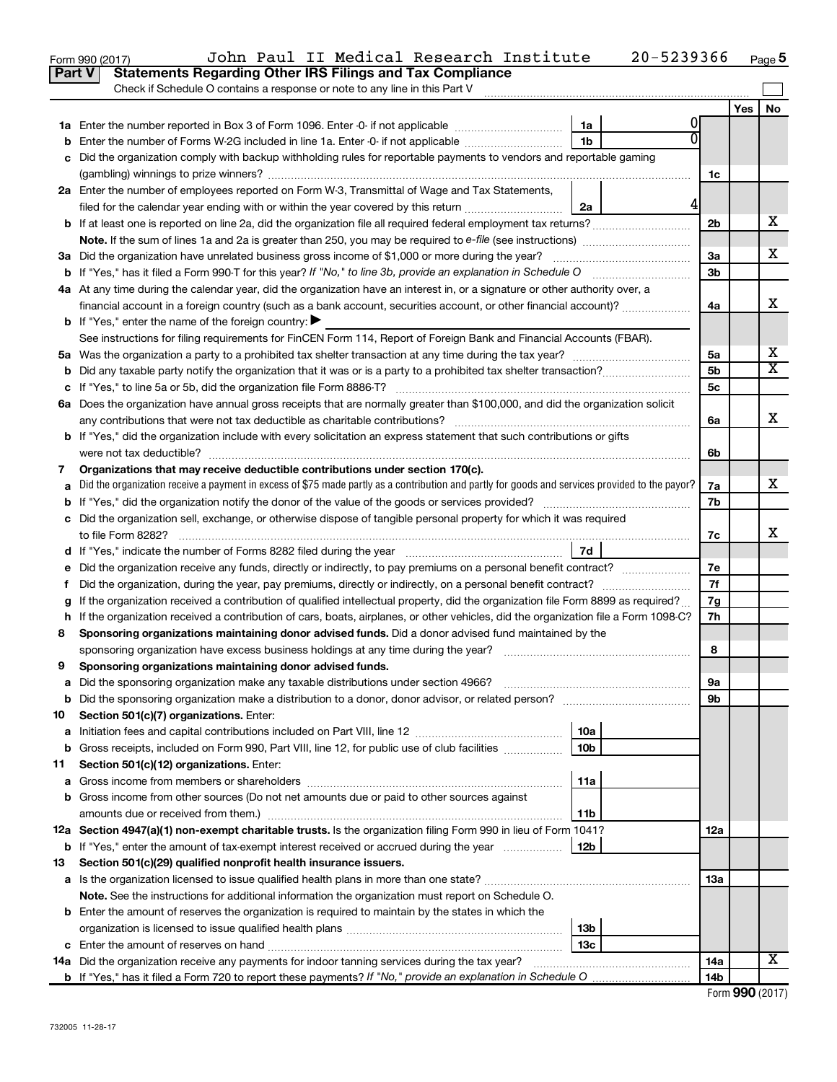| Check if Schedule O contains a response or note to any line in this Part V<br>Yes<br>No<br>1a Enter the number reported in Box 3 of Form 1096. Enter -0- if not applicable<br>1a<br>Enter the number of Forms W-2G included in line 1a. Enter -0- if not applicable<br>1b<br>b<br>Did the organization comply with backup withholding rules for reportable payments to vendors and reportable gaming<br>с<br>1с<br>2a Enter the number of employees reported on Form W-3, Transmittal of Wage and Tax Statements,<br>4<br>filed for the calendar year ending with or within the year covered by this return<br>2a<br>х<br>2b<br>X.<br>3a Did the organization have unrelated business gross income of \$1,000 or more during the year?<br>За<br>b If "Yes," has it filed a Form 990-T for this year? If "No," to line 3b, provide an explanation in Schedule O<br>3b<br>4a At any time during the calendar year, did the organization have an interest in, or a signature or other authority over, a<br>х<br>4a<br><b>b</b> If "Yes," enter the name of the foreign country: $\blacktriangleright$<br>See instructions for filing requirements for FinCEN Form 114, Report of Foreign Bank and Financial Accounts (FBAR).<br>x<br>5a Was the organization a party to a prohibited tax shelter transaction at any time during the tax year?<br>5a<br>$\overline{\mathbf{X}}$<br>5b<br>b<br>If "Yes," to line 5a or 5b, did the organization file Form 8886-T?<br>5с<br>6a Does the organization have annual gross receipts that are normally greater than \$100,000, and did the organization solicit<br>x<br>any contributions that were not tax deductible as charitable contributions?<br>6a<br><b>b</b> If "Yes," did the organization include with every solicitation an express statement that such contributions or gifts<br>were not tax deductible?<br>6b<br>Organizations that may receive deductible contributions under section 170(c).<br>7<br>x<br>Did the organization receive a payment in excess of \$75 made partly as a contribution and partly for goods and services provided to the payor?<br>7a<br>a<br><b>b</b> If "Yes," did the organization notify the donor of the value of the goods or services provided?<br>7b<br>c Did the organization sell, exchange, or otherwise dispose of tangible personal property for which it was required<br>x<br>to file Form 8282?<br>7c<br>7d<br>d If "Yes," indicate the number of Forms 8282 filed during the year<br>7е<br>7f<br>f.<br>If the organization received a contribution of qualified intellectual property, did the organization file Form 8899 as required?<br>7g<br>g<br>h If the organization received a contribution of cars, boats, airplanes, or other vehicles, did the organization file a Form 1098-C?<br>7h<br>Sponsoring organizations maintaining donor advised funds. Did a donor advised fund maintained by the<br>8<br>8<br>sponsoring organization have excess business holdings at any time during the year?<br>Sponsoring organizations maintaining donor advised funds.<br>9<br>Did the sponsoring organization make any taxable distributions under section 4966?<br>9а<br>a<br>Did the sponsoring organization make a distribution to a donor, donor advisor, or related person?<br>9b<br>b<br>Section 501(c)(7) organizations. Enter:<br>10<br>10a<br>a<br>Gross receipts, included on Form 990, Part VIII, line 12, for public use of club facilities<br>10b<br>b<br>Section 501(c)(12) organizations. Enter:<br>11<br>11a<br>а<br>Gross income from other sources (Do not net amounts due or paid to other sources against<br>b<br>11b<br>12a Section 4947(a)(1) non-exempt charitable trusts. Is the organization filing Form 990 in lieu of Form 1041?<br>12a<br>If "Yes," enter the amount of tax-exempt interest received or accrued during the year<br>12b<br>b<br>Section 501(c)(29) qualified nonprofit health insurance issuers.<br>13<br>Is the organization licensed to issue qualified health plans in more than one state?<br>13a<br>a<br>Note. See the instructions for additional information the organization must report on Schedule O.<br>Enter the amount of reserves the organization is required to maintain by the states in which the<br>b<br>13 <sub>b</sub><br>13с<br>X<br>14a Did the organization receive any payments for indoor tanning services during the tax year?<br>14a<br>14b | <b>Part V</b> | John Paul II Medical Research Institute<br>Form 990 (2017)<br><b>Statements Regarding Other IRS Filings and Tax Compliance</b> | 20-5239366 |  | Page 5 |
|--------------------------------------------------------------------------------------------------------------------------------------------------------------------------------------------------------------------------------------------------------------------------------------------------------------------------------------------------------------------------------------------------------------------------------------------------------------------------------------------------------------------------------------------------------------------------------------------------------------------------------------------------------------------------------------------------------------------------------------------------------------------------------------------------------------------------------------------------------------------------------------------------------------------------------------------------------------------------------------------------------------------------------------------------------------------------------------------------------------------------------------------------------------------------------------------------------------------------------------------------------------------------------------------------------------------------------------------------------------------------------------------------------------------------------------------------------------------------------------------------------------------------------------------------------------------------------------------------------------------------------------------------------------------------------------------------------------------------------------------------------------------------------------------------------------------------------------------------------------------------------------------------------------------------------------------------------------------------------------------------------------------------------------------------------------------------------------------------------------------------------------------------------------------------------------------------------------------------------------------------------------------------------------------------------------------------------------------------------------------------------------------------------------------------------------------------------------------------------------------------------------------------------------------------------------------------------------------------------------------------------------------------------------------------------------------------------------------------------------------------------------------------------------------------------------------------------------------------------------------------------------------------------------------------------------------------------------------------------------------------------------------------------------------------------------------------------------------------------------------------------------------------------------------------------------------------------------------------------------------------------------------------------------------------------------------------------------------------------------------------------------------------------------------------------------------------------------------------------------------------------------------------------------------------------------------------------------------------------------------------------------------------------------------------------------------------------------------------------------------------------------------------------------------------------------------------------------------------------------------------------------------------------------------------------------------------------------------------------------------------------------------------------------------------------------------------------------------------------------------------------------------------------------------------------------------------------------------------------------------------------------------------------------------------------------------------------------------------------------------------------------------------------------------|---------------|--------------------------------------------------------------------------------------------------------------------------------|------------|--|--------|
|                                                                                                                                                                                                                                                                                                                                                                                                                                                                                                                                                                                                                                                                                                                                                                                                                                                                                                                                                                                                                                                                                                                                                                                                                                                                                                                                                                                                                                                                                                                                                                                                                                                                                                                                                                                                                                                                                                                                                                                                                                                                                                                                                                                                                                                                                                                                                                                                                                                                                                                                                                                                                                                                                                                                                                                                                                                                                                                                                                                                                                                                                                                                                                                                                                                                                                                                                                                                                                                                                                                                                                                                                                                                                                                                                                                                                                                                                                                                                                                                                                                                                                                                                                                                                                                                                                                                                                                                                    |               |                                                                                                                                |            |  |        |
|                                                                                                                                                                                                                                                                                                                                                                                                                                                                                                                                                                                                                                                                                                                                                                                                                                                                                                                                                                                                                                                                                                                                                                                                                                                                                                                                                                                                                                                                                                                                                                                                                                                                                                                                                                                                                                                                                                                                                                                                                                                                                                                                                                                                                                                                                                                                                                                                                                                                                                                                                                                                                                                                                                                                                                                                                                                                                                                                                                                                                                                                                                                                                                                                                                                                                                                                                                                                                                                                                                                                                                                                                                                                                                                                                                                                                                                                                                                                                                                                                                                                                                                                                                                                                                                                                                                                                                                                                    |               |                                                                                                                                |            |  |        |
|                                                                                                                                                                                                                                                                                                                                                                                                                                                                                                                                                                                                                                                                                                                                                                                                                                                                                                                                                                                                                                                                                                                                                                                                                                                                                                                                                                                                                                                                                                                                                                                                                                                                                                                                                                                                                                                                                                                                                                                                                                                                                                                                                                                                                                                                                                                                                                                                                                                                                                                                                                                                                                                                                                                                                                                                                                                                                                                                                                                                                                                                                                                                                                                                                                                                                                                                                                                                                                                                                                                                                                                                                                                                                                                                                                                                                                                                                                                                                                                                                                                                                                                                                                                                                                                                                                                                                                                                                    |               |                                                                                                                                |            |  |        |
|                                                                                                                                                                                                                                                                                                                                                                                                                                                                                                                                                                                                                                                                                                                                                                                                                                                                                                                                                                                                                                                                                                                                                                                                                                                                                                                                                                                                                                                                                                                                                                                                                                                                                                                                                                                                                                                                                                                                                                                                                                                                                                                                                                                                                                                                                                                                                                                                                                                                                                                                                                                                                                                                                                                                                                                                                                                                                                                                                                                                                                                                                                                                                                                                                                                                                                                                                                                                                                                                                                                                                                                                                                                                                                                                                                                                                                                                                                                                                                                                                                                                                                                                                                                                                                                                                                                                                                                                                    |               |                                                                                                                                |            |  |        |
|                                                                                                                                                                                                                                                                                                                                                                                                                                                                                                                                                                                                                                                                                                                                                                                                                                                                                                                                                                                                                                                                                                                                                                                                                                                                                                                                                                                                                                                                                                                                                                                                                                                                                                                                                                                                                                                                                                                                                                                                                                                                                                                                                                                                                                                                                                                                                                                                                                                                                                                                                                                                                                                                                                                                                                                                                                                                                                                                                                                                                                                                                                                                                                                                                                                                                                                                                                                                                                                                                                                                                                                                                                                                                                                                                                                                                                                                                                                                                                                                                                                                                                                                                                                                                                                                                                                                                                                                                    |               |                                                                                                                                |            |  |        |
|                                                                                                                                                                                                                                                                                                                                                                                                                                                                                                                                                                                                                                                                                                                                                                                                                                                                                                                                                                                                                                                                                                                                                                                                                                                                                                                                                                                                                                                                                                                                                                                                                                                                                                                                                                                                                                                                                                                                                                                                                                                                                                                                                                                                                                                                                                                                                                                                                                                                                                                                                                                                                                                                                                                                                                                                                                                                                                                                                                                                                                                                                                                                                                                                                                                                                                                                                                                                                                                                                                                                                                                                                                                                                                                                                                                                                                                                                                                                                                                                                                                                                                                                                                                                                                                                                                                                                                                                                    |               |                                                                                                                                |            |  |        |
|                                                                                                                                                                                                                                                                                                                                                                                                                                                                                                                                                                                                                                                                                                                                                                                                                                                                                                                                                                                                                                                                                                                                                                                                                                                                                                                                                                                                                                                                                                                                                                                                                                                                                                                                                                                                                                                                                                                                                                                                                                                                                                                                                                                                                                                                                                                                                                                                                                                                                                                                                                                                                                                                                                                                                                                                                                                                                                                                                                                                                                                                                                                                                                                                                                                                                                                                                                                                                                                                                                                                                                                                                                                                                                                                                                                                                                                                                                                                                                                                                                                                                                                                                                                                                                                                                                                                                                                                                    |               |                                                                                                                                |            |  |        |
|                                                                                                                                                                                                                                                                                                                                                                                                                                                                                                                                                                                                                                                                                                                                                                                                                                                                                                                                                                                                                                                                                                                                                                                                                                                                                                                                                                                                                                                                                                                                                                                                                                                                                                                                                                                                                                                                                                                                                                                                                                                                                                                                                                                                                                                                                                                                                                                                                                                                                                                                                                                                                                                                                                                                                                                                                                                                                                                                                                                                                                                                                                                                                                                                                                                                                                                                                                                                                                                                                                                                                                                                                                                                                                                                                                                                                                                                                                                                                                                                                                                                                                                                                                                                                                                                                                                                                                                                                    |               |                                                                                                                                |            |  |        |
|                                                                                                                                                                                                                                                                                                                                                                                                                                                                                                                                                                                                                                                                                                                                                                                                                                                                                                                                                                                                                                                                                                                                                                                                                                                                                                                                                                                                                                                                                                                                                                                                                                                                                                                                                                                                                                                                                                                                                                                                                                                                                                                                                                                                                                                                                                                                                                                                                                                                                                                                                                                                                                                                                                                                                                                                                                                                                                                                                                                                                                                                                                                                                                                                                                                                                                                                                                                                                                                                                                                                                                                                                                                                                                                                                                                                                                                                                                                                                                                                                                                                                                                                                                                                                                                                                                                                                                                                                    |               |                                                                                                                                |            |  |        |
|                                                                                                                                                                                                                                                                                                                                                                                                                                                                                                                                                                                                                                                                                                                                                                                                                                                                                                                                                                                                                                                                                                                                                                                                                                                                                                                                                                                                                                                                                                                                                                                                                                                                                                                                                                                                                                                                                                                                                                                                                                                                                                                                                                                                                                                                                                                                                                                                                                                                                                                                                                                                                                                                                                                                                                                                                                                                                                                                                                                                                                                                                                                                                                                                                                                                                                                                                                                                                                                                                                                                                                                                                                                                                                                                                                                                                                                                                                                                                                                                                                                                                                                                                                                                                                                                                                                                                                                                                    |               |                                                                                                                                |            |  |        |
|                                                                                                                                                                                                                                                                                                                                                                                                                                                                                                                                                                                                                                                                                                                                                                                                                                                                                                                                                                                                                                                                                                                                                                                                                                                                                                                                                                                                                                                                                                                                                                                                                                                                                                                                                                                                                                                                                                                                                                                                                                                                                                                                                                                                                                                                                                                                                                                                                                                                                                                                                                                                                                                                                                                                                                                                                                                                                                                                                                                                                                                                                                                                                                                                                                                                                                                                                                                                                                                                                                                                                                                                                                                                                                                                                                                                                                                                                                                                                                                                                                                                                                                                                                                                                                                                                                                                                                                                                    |               |                                                                                                                                |            |  |        |
|                                                                                                                                                                                                                                                                                                                                                                                                                                                                                                                                                                                                                                                                                                                                                                                                                                                                                                                                                                                                                                                                                                                                                                                                                                                                                                                                                                                                                                                                                                                                                                                                                                                                                                                                                                                                                                                                                                                                                                                                                                                                                                                                                                                                                                                                                                                                                                                                                                                                                                                                                                                                                                                                                                                                                                                                                                                                                                                                                                                                                                                                                                                                                                                                                                                                                                                                                                                                                                                                                                                                                                                                                                                                                                                                                                                                                                                                                                                                                                                                                                                                                                                                                                                                                                                                                                                                                                                                                    |               |                                                                                                                                |            |  |        |
|                                                                                                                                                                                                                                                                                                                                                                                                                                                                                                                                                                                                                                                                                                                                                                                                                                                                                                                                                                                                                                                                                                                                                                                                                                                                                                                                                                                                                                                                                                                                                                                                                                                                                                                                                                                                                                                                                                                                                                                                                                                                                                                                                                                                                                                                                                                                                                                                                                                                                                                                                                                                                                                                                                                                                                                                                                                                                                                                                                                                                                                                                                                                                                                                                                                                                                                                                                                                                                                                                                                                                                                                                                                                                                                                                                                                                                                                                                                                                                                                                                                                                                                                                                                                                                                                                                                                                                                                                    |               |                                                                                                                                |            |  |        |
|                                                                                                                                                                                                                                                                                                                                                                                                                                                                                                                                                                                                                                                                                                                                                                                                                                                                                                                                                                                                                                                                                                                                                                                                                                                                                                                                                                                                                                                                                                                                                                                                                                                                                                                                                                                                                                                                                                                                                                                                                                                                                                                                                                                                                                                                                                                                                                                                                                                                                                                                                                                                                                                                                                                                                                                                                                                                                                                                                                                                                                                                                                                                                                                                                                                                                                                                                                                                                                                                                                                                                                                                                                                                                                                                                                                                                                                                                                                                                                                                                                                                                                                                                                                                                                                                                                                                                                                                                    |               |                                                                                                                                |            |  |        |
|                                                                                                                                                                                                                                                                                                                                                                                                                                                                                                                                                                                                                                                                                                                                                                                                                                                                                                                                                                                                                                                                                                                                                                                                                                                                                                                                                                                                                                                                                                                                                                                                                                                                                                                                                                                                                                                                                                                                                                                                                                                                                                                                                                                                                                                                                                                                                                                                                                                                                                                                                                                                                                                                                                                                                                                                                                                                                                                                                                                                                                                                                                                                                                                                                                                                                                                                                                                                                                                                                                                                                                                                                                                                                                                                                                                                                                                                                                                                                                                                                                                                                                                                                                                                                                                                                                                                                                                                                    |               |                                                                                                                                |            |  |        |
|                                                                                                                                                                                                                                                                                                                                                                                                                                                                                                                                                                                                                                                                                                                                                                                                                                                                                                                                                                                                                                                                                                                                                                                                                                                                                                                                                                                                                                                                                                                                                                                                                                                                                                                                                                                                                                                                                                                                                                                                                                                                                                                                                                                                                                                                                                                                                                                                                                                                                                                                                                                                                                                                                                                                                                                                                                                                                                                                                                                                                                                                                                                                                                                                                                                                                                                                                                                                                                                                                                                                                                                                                                                                                                                                                                                                                                                                                                                                                                                                                                                                                                                                                                                                                                                                                                                                                                                                                    |               |                                                                                                                                |            |  |        |
|                                                                                                                                                                                                                                                                                                                                                                                                                                                                                                                                                                                                                                                                                                                                                                                                                                                                                                                                                                                                                                                                                                                                                                                                                                                                                                                                                                                                                                                                                                                                                                                                                                                                                                                                                                                                                                                                                                                                                                                                                                                                                                                                                                                                                                                                                                                                                                                                                                                                                                                                                                                                                                                                                                                                                                                                                                                                                                                                                                                                                                                                                                                                                                                                                                                                                                                                                                                                                                                                                                                                                                                                                                                                                                                                                                                                                                                                                                                                                                                                                                                                                                                                                                                                                                                                                                                                                                                                                    |               |                                                                                                                                |            |  |        |
|                                                                                                                                                                                                                                                                                                                                                                                                                                                                                                                                                                                                                                                                                                                                                                                                                                                                                                                                                                                                                                                                                                                                                                                                                                                                                                                                                                                                                                                                                                                                                                                                                                                                                                                                                                                                                                                                                                                                                                                                                                                                                                                                                                                                                                                                                                                                                                                                                                                                                                                                                                                                                                                                                                                                                                                                                                                                                                                                                                                                                                                                                                                                                                                                                                                                                                                                                                                                                                                                                                                                                                                                                                                                                                                                                                                                                                                                                                                                                                                                                                                                                                                                                                                                                                                                                                                                                                                                                    |               |                                                                                                                                |            |  |        |
|                                                                                                                                                                                                                                                                                                                                                                                                                                                                                                                                                                                                                                                                                                                                                                                                                                                                                                                                                                                                                                                                                                                                                                                                                                                                                                                                                                                                                                                                                                                                                                                                                                                                                                                                                                                                                                                                                                                                                                                                                                                                                                                                                                                                                                                                                                                                                                                                                                                                                                                                                                                                                                                                                                                                                                                                                                                                                                                                                                                                                                                                                                                                                                                                                                                                                                                                                                                                                                                                                                                                                                                                                                                                                                                                                                                                                                                                                                                                                                                                                                                                                                                                                                                                                                                                                                                                                                                                                    |               |                                                                                                                                |            |  |        |
|                                                                                                                                                                                                                                                                                                                                                                                                                                                                                                                                                                                                                                                                                                                                                                                                                                                                                                                                                                                                                                                                                                                                                                                                                                                                                                                                                                                                                                                                                                                                                                                                                                                                                                                                                                                                                                                                                                                                                                                                                                                                                                                                                                                                                                                                                                                                                                                                                                                                                                                                                                                                                                                                                                                                                                                                                                                                                                                                                                                                                                                                                                                                                                                                                                                                                                                                                                                                                                                                                                                                                                                                                                                                                                                                                                                                                                                                                                                                                                                                                                                                                                                                                                                                                                                                                                                                                                                                                    |               |                                                                                                                                |            |  |        |
|                                                                                                                                                                                                                                                                                                                                                                                                                                                                                                                                                                                                                                                                                                                                                                                                                                                                                                                                                                                                                                                                                                                                                                                                                                                                                                                                                                                                                                                                                                                                                                                                                                                                                                                                                                                                                                                                                                                                                                                                                                                                                                                                                                                                                                                                                                                                                                                                                                                                                                                                                                                                                                                                                                                                                                                                                                                                                                                                                                                                                                                                                                                                                                                                                                                                                                                                                                                                                                                                                                                                                                                                                                                                                                                                                                                                                                                                                                                                                                                                                                                                                                                                                                                                                                                                                                                                                                                                                    |               |                                                                                                                                |            |  |        |
|                                                                                                                                                                                                                                                                                                                                                                                                                                                                                                                                                                                                                                                                                                                                                                                                                                                                                                                                                                                                                                                                                                                                                                                                                                                                                                                                                                                                                                                                                                                                                                                                                                                                                                                                                                                                                                                                                                                                                                                                                                                                                                                                                                                                                                                                                                                                                                                                                                                                                                                                                                                                                                                                                                                                                                                                                                                                                                                                                                                                                                                                                                                                                                                                                                                                                                                                                                                                                                                                                                                                                                                                                                                                                                                                                                                                                                                                                                                                                                                                                                                                                                                                                                                                                                                                                                                                                                                                                    |               |                                                                                                                                |            |  |        |
|                                                                                                                                                                                                                                                                                                                                                                                                                                                                                                                                                                                                                                                                                                                                                                                                                                                                                                                                                                                                                                                                                                                                                                                                                                                                                                                                                                                                                                                                                                                                                                                                                                                                                                                                                                                                                                                                                                                                                                                                                                                                                                                                                                                                                                                                                                                                                                                                                                                                                                                                                                                                                                                                                                                                                                                                                                                                                                                                                                                                                                                                                                                                                                                                                                                                                                                                                                                                                                                                                                                                                                                                                                                                                                                                                                                                                                                                                                                                                                                                                                                                                                                                                                                                                                                                                                                                                                                                                    |               |                                                                                                                                |            |  |        |
|                                                                                                                                                                                                                                                                                                                                                                                                                                                                                                                                                                                                                                                                                                                                                                                                                                                                                                                                                                                                                                                                                                                                                                                                                                                                                                                                                                                                                                                                                                                                                                                                                                                                                                                                                                                                                                                                                                                                                                                                                                                                                                                                                                                                                                                                                                                                                                                                                                                                                                                                                                                                                                                                                                                                                                                                                                                                                                                                                                                                                                                                                                                                                                                                                                                                                                                                                                                                                                                                                                                                                                                                                                                                                                                                                                                                                                                                                                                                                                                                                                                                                                                                                                                                                                                                                                                                                                                                                    |               |                                                                                                                                |            |  |        |
|                                                                                                                                                                                                                                                                                                                                                                                                                                                                                                                                                                                                                                                                                                                                                                                                                                                                                                                                                                                                                                                                                                                                                                                                                                                                                                                                                                                                                                                                                                                                                                                                                                                                                                                                                                                                                                                                                                                                                                                                                                                                                                                                                                                                                                                                                                                                                                                                                                                                                                                                                                                                                                                                                                                                                                                                                                                                                                                                                                                                                                                                                                                                                                                                                                                                                                                                                                                                                                                                                                                                                                                                                                                                                                                                                                                                                                                                                                                                                                                                                                                                                                                                                                                                                                                                                                                                                                                                                    |               |                                                                                                                                |            |  |        |
|                                                                                                                                                                                                                                                                                                                                                                                                                                                                                                                                                                                                                                                                                                                                                                                                                                                                                                                                                                                                                                                                                                                                                                                                                                                                                                                                                                                                                                                                                                                                                                                                                                                                                                                                                                                                                                                                                                                                                                                                                                                                                                                                                                                                                                                                                                                                                                                                                                                                                                                                                                                                                                                                                                                                                                                                                                                                                                                                                                                                                                                                                                                                                                                                                                                                                                                                                                                                                                                                                                                                                                                                                                                                                                                                                                                                                                                                                                                                                                                                                                                                                                                                                                                                                                                                                                                                                                                                                    |               |                                                                                                                                |            |  |        |
|                                                                                                                                                                                                                                                                                                                                                                                                                                                                                                                                                                                                                                                                                                                                                                                                                                                                                                                                                                                                                                                                                                                                                                                                                                                                                                                                                                                                                                                                                                                                                                                                                                                                                                                                                                                                                                                                                                                                                                                                                                                                                                                                                                                                                                                                                                                                                                                                                                                                                                                                                                                                                                                                                                                                                                                                                                                                                                                                                                                                                                                                                                                                                                                                                                                                                                                                                                                                                                                                                                                                                                                                                                                                                                                                                                                                                                                                                                                                                                                                                                                                                                                                                                                                                                                                                                                                                                                                                    |               |                                                                                                                                |            |  |        |
|                                                                                                                                                                                                                                                                                                                                                                                                                                                                                                                                                                                                                                                                                                                                                                                                                                                                                                                                                                                                                                                                                                                                                                                                                                                                                                                                                                                                                                                                                                                                                                                                                                                                                                                                                                                                                                                                                                                                                                                                                                                                                                                                                                                                                                                                                                                                                                                                                                                                                                                                                                                                                                                                                                                                                                                                                                                                                                                                                                                                                                                                                                                                                                                                                                                                                                                                                                                                                                                                                                                                                                                                                                                                                                                                                                                                                                                                                                                                                                                                                                                                                                                                                                                                                                                                                                                                                                                                                    |               |                                                                                                                                |            |  |        |
|                                                                                                                                                                                                                                                                                                                                                                                                                                                                                                                                                                                                                                                                                                                                                                                                                                                                                                                                                                                                                                                                                                                                                                                                                                                                                                                                                                                                                                                                                                                                                                                                                                                                                                                                                                                                                                                                                                                                                                                                                                                                                                                                                                                                                                                                                                                                                                                                                                                                                                                                                                                                                                                                                                                                                                                                                                                                                                                                                                                                                                                                                                                                                                                                                                                                                                                                                                                                                                                                                                                                                                                                                                                                                                                                                                                                                                                                                                                                                                                                                                                                                                                                                                                                                                                                                                                                                                                                                    |               |                                                                                                                                |            |  |        |
|                                                                                                                                                                                                                                                                                                                                                                                                                                                                                                                                                                                                                                                                                                                                                                                                                                                                                                                                                                                                                                                                                                                                                                                                                                                                                                                                                                                                                                                                                                                                                                                                                                                                                                                                                                                                                                                                                                                                                                                                                                                                                                                                                                                                                                                                                                                                                                                                                                                                                                                                                                                                                                                                                                                                                                                                                                                                                                                                                                                                                                                                                                                                                                                                                                                                                                                                                                                                                                                                                                                                                                                                                                                                                                                                                                                                                                                                                                                                                                                                                                                                                                                                                                                                                                                                                                                                                                                                                    |               |                                                                                                                                |            |  |        |
|                                                                                                                                                                                                                                                                                                                                                                                                                                                                                                                                                                                                                                                                                                                                                                                                                                                                                                                                                                                                                                                                                                                                                                                                                                                                                                                                                                                                                                                                                                                                                                                                                                                                                                                                                                                                                                                                                                                                                                                                                                                                                                                                                                                                                                                                                                                                                                                                                                                                                                                                                                                                                                                                                                                                                                                                                                                                                                                                                                                                                                                                                                                                                                                                                                                                                                                                                                                                                                                                                                                                                                                                                                                                                                                                                                                                                                                                                                                                                                                                                                                                                                                                                                                                                                                                                                                                                                                                                    |               |                                                                                                                                |            |  |        |
|                                                                                                                                                                                                                                                                                                                                                                                                                                                                                                                                                                                                                                                                                                                                                                                                                                                                                                                                                                                                                                                                                                                                                                                                                                                                                                                                                                                                                                                                                                                                                                                                                                                                                                                                                                                                                                                                                                                                                                                                                                                                                                                                                                                                                                                                                                                                                                                                                                                                                                                                                                                                                                                                                                                                                                                                                                                                                                                                                                                                                                                                                                                                                                                                                                                                                                                                                                                                                                                                                                                                                                                                                                                                                                                                                                                                                                                                                                                                                                                                                                                                                                                                                                                                                                                                                                                                                                                                                    |               |                                                                                                                                |            |  |        |
|                                                                                                                                                                                                                                                                                                                                                                                                                                                                                                                                                                                                                                                                                                                                                                                                                                                                                                                                                                                                                                                                                                                                                                                                                                                                                                                                                                                                                                                                                                                                                                                                                                                                                                                                                                                                                                                                                                                                                                                                                                                                                                                                                                                                                                                                                                                                                                                                                                                                                                                                                                                                                                                                                                                                                                                                                                                                                                                                                                                                                                                                                                                                                                                                                                                                                                                                                                                                                                                                                                                                                                                                                                                                                                                                                                                                                                                                                                                                                                                                                                                                                                                                                                                                                                                                                                                                                                                                                    |               |                                                                                                                                |            |  |        |
|                                                                                                                                                                                                                                                                                                                                                                                                                                                                                                                                                                                                                                                                                                                                                                                                                                                                                                                                                                                                                                                                                                                                                                                                                                                                                                                                                                                                                                                                                                                                                                                                                                                                                                                                                                                                                                                                                                                                                                                                                                                                                                                                                                                                                                                                                                                                                                                                                                                                                                                                                                                                                                                                                                                                                                                                                                                                                                                                                                                                                                                                                                                                                                                                                                                                                                                                                                                                                                                                                                                                                                                                                                                                                                                                                                                                                                                                                                                                                                                                                                                                                                                                                                                                                                                                                                                                                                                                                    |               |                                                                                                                                |            |  |        |
|                                                                                                                                                                                                                                                                                                                                                                                                                                                                                                                                                                                                                                                                                                                                                                                                                                                                                                                                                                                                                                                                                                                                                                                                                                                                                                                                                                                                                                                                                                                                                                                                                                                                                                                                                                                                                                                                                                                                                                                                                                                                                                                                                                                                                                                                                                                                                                                                                                                                                                                                                                                                                                                                                                                                                                                                                                                                                                                                                                                                                                                                                                                                                                                                                                                                                                                                                                                                                                                                                                                                                                                                                                                                                                                                                                                                                                                                                                                                                                                                                                                                                                                                                                                                                                                                                                                                                                                                                    |               |                                                                                                                                |            |  |        |
|                                                                                                                                                                                                                                                                                                                                                                                                                                                                                                                                                                                                                                                                                                                                                                                                                                                                                                                                                                                                                                                                                                                                                                                                                                                                                                                                                                                                                                                                                                                                                                                                                                                                                                                                                                                                                                                                                                                                                                                                                                                                                                                                                                                                                                                                                                                                                                                                                                                                                                                                                                                                                                                                                                                                                                                                                                                                                                                                                                                                                                                                                                                                                                                                                                                                                                                                                                                                                                                                                                                                                                                                                                                                                                                                                                                                                                                                                                                                                                                                                                                                                                                                                                                                                                                                                                                                                                                                                    |               |                                                                                                                                |            |  |        |
|                                                                                                                                                                                                                                                                                                                                                                                                                                                                                                                                                                                                                                                                                                                                                                                                                                                                                                                                                                                                                                                                                                                                                                                                                                                                                                                                                                                                                                                                                                                                                                                                                                                                                                                                                                                                                                                                                                                                                                                                                                                                                                                                                                                                                                                                                                                                                                                                                                                                                                                                                                                                                                                                                                                                                                                                                                                                                                                                                                                                                                                                                                                                                                                                                                                                                                                                                                                                                                                                                                                                                                                                                                                                                                                                                                                                                                                                                                                                                                                                                                                                                                                                                                                                                                                                                                                                                                                                                    |               |                                                                                                                                |            |  |        |
|                                                                                                                                                                                                                                                                                                                                                                                                                                                                                                                                                                                                                                                                                                                                                                                                                                                                                                                                                                                                                                                                                                                                                                                                                                                                                                                                                                                                                                                                                                                                                                                                                                                                                                                                                                                                                                                                                                                                                                                                                                                                                                                                                                                                                                                                                                                                                                                                                                                                                                                                                                                                                                                                                                                                                                                                                                                                                                                                                                                                                                                                                                                                                                                                                                                                                                                                                                                                                                                                                                                                                                                                                                                                                                                                                                                                                                                                                                                                                                                                                                                                                                                                                                                                                                                                                                                                                                                                                    |               |                                                                                                                                |            |  |        |
|                                                                                                                                                                                                                                                                                                                                                                                                                                                                                                                                                                                                                                                                                                                                                                                                                                                                                                                                                                                                                                                                                                                                                                                                                                                                                                                                                                                                                                                                                                                                                                                                                                                                                                                                                                                                                                                                                                                                                                                                                                                                                                                                                                                                                                                                                                                                                                                                                                                                                                                                                                                                                                                                                                                                                                                                                                                                                                                                                                                                                                                                                                                                                                                                                                                                                                                                                                                                                                                                                                                                                                                                                                                                                                                                                                                                                                                                                                                                                                                                                                                                                                                                                                                                                                                                                                                                                                                                                    |               |                                                                                                                                |            |  |        |
|                                                                                                                                                                                                                                                                                                                                                                                                                                                                                                                                                                                                                                                                                                                                                                                                                                                                                                                                                                                                                                                                                                                                                                                                                                                                                                                                                                                                                                                                                                                                                                                                                                                                                                                                                                                                                                                                                                                                                                                                                                                                                                                                                                                                                                                                                                                                                                                                                                                                                                                                                                                                                                                                                                                                                                                                                                                                                                                                                                                                                                                                                                                                                                                                                                                                                                                                                                                                                                                                                                                                                                                                                                                                                                                                                                                                                                                                                                                                                                                                                                                                                                                                                                                                                                                                                                                                                                                                                    |               |                                                                                                                                |            |  |        |
|                                                                                                                                                                                                                                                                                                                                                                                                                                                                                                                                                                                                                                                                                                                                                                                                                                                                                                                                                                                                                                                                                                                                                                                                                                                                                                                                                                                                                                                                                                                                                                                                                                                                                                                                                                                                                                                                                                                                                                                                                                                                                                                                                                                                                                                                                                                                                                                                                                                                                                                                                                                                                                                                                                                                                                                                                                                                                                                                                                                                                                                                                                                                                                                                                                                                                                                                                                                                                                                                                                                                                                                                                                                                                                                                                                                                                                                                                                                                                                                                                                                                                                                                                                                                                                                                                                                                                                                                                    |               |                                                                                                                                |            |  |        |
|                                                                                                                                                                                                                                                                                                                                                                                                                                                                                                                                                                                                                                                                                                                                                                                                                                                                                                                                                                                                                                                                                                                                                                                                                                                                                                                                                                                                                                                                                                                                                                                                                                                                                                                                                                                                                                                                                                                                                                                                                                                                                                                                                                                                                                                                                                                                                                                                                                                                                                                                                                                                                                                                                                                                                                                                                                                                                                                                                                                                                                                                                                                                                                                                                                                                                                                                                                                                                                                                                                                                                                                                                                                                                                                                                                                                                                                                                                                                                                                                                                                                                                                                                                                                                                                                                                                                                                                                                    |               |                                                                                                                                |            |  |        |
|                                                                                                                                                                                                                                                                                                                                                                                                                                                                                                                                                                                                                                                                                                                                                                                                                                                                                                                                                                                                                                                                                                                                                                                                                                                                                                                                                                                                                                                                                                                                                                                                                                                                                                                                                                                                                                                                                                                                                                                                                                                                                                                                                                                                                                                                                                                                                                                                                                                                                                                                                                                                                                                                                                                                                                                                                                                                                                                                                                                                                                                                                                                                                                                                                                                                                                                                                                                                                                                                                                                                                                                                                                                                                                                                                                                                                                                                                                                                                                                                                                                                                                                                                                                                                                                                                                                                                                                                                    |               |                                                                                                                                |            |  |        |
|                                                                                                                                                                                                                                                                                                                                                                                                                                                                                                                                                                                                                                                                                                                                                                                                                                                                                                                                                                                                                                                                                                                                                                                                                                                                                                                                                                                                                                                                                                                                                                                                                                                                                                                                                                                                                                                                                                                                                                                                                                                                                                                                                                                                                                                                                                                                                                                                                                                                                                                                                                                                                                                                                                                                                                                                                                                                                                                                                                                                                                                                                                                                                                                                                                                                                                                                                                                                                                                                                                                                                                                                                                                                                                                                                                                                                                                                                                                                                                                                                                                                                                                                                                                                                                                                                                                                                                                                                    |               |                                                                                                                                |            |  |        |
|                                                                                                                                                                                                                                                                                                                                                                                                                                                                                                                                                                                                                                                                                                                                                                                                                                                                                                                                                                                                                                                                                                                                                                                                                                                                                                                                                                                                                                                                                                                                                                                                                                                                                                                                                                                                                                                                                                                                                                                                                                                                                                                                                                                                                                                                                                                                                                                                                                                                                                                                                                                                                                                                                                                                                                                                                                                                                                                                                                                                                                                                                                                                                                                                                                                                                                                                                                                                                                                                                                                                                                                                                                                                                                                                                                                                                                                                                                                                                                                                                                                                                                                                                                                                                                                                                                                                                                                                                    |               |                                                                                                                                |            |  |        |
|                                                                                                                                                                                                                                                                                                                                                                                                                                                                                                                                                                                                                                                                                                                                                                                                                                                                                                                                                                                                                                                                                                                                                                                                                                                                                                                                                                                                                                                                                                                                                                                                                                                                                                                                                                                                                                                                                                                                                                                                                                                                                                                                                                                                                                                                                                                                                                                                                                                                                                                                                                                                                                                                                                                                                                                                                                                                                                                                                                                                                                                                                                                                                                                                                                                                                                                                                                                                                                                                                                                                                                                                                                                                                                                                                                                                                                                                                                                                                                                                                                                                                                                                                                                                                                                                                                                                                                                                                    |               |                                                                                                                                |            |  |        |
|                                                                                                                                                                                                                                                                                                                                                                                                                                                                                                                                                                                                                                                                                                                                                                                                                                                                                                                                                                                                                                                                                                                                                                                                                                                                                                                                                                                                                                                                                                                                                                                                                                                                                                                                                                                                                                                                                                                                                                                                                                                                                                                                                                                                                                                                                                                                                                                                                                                                                                                                                                                                                                                                                                                                                                                                                                                                                                                                                                                                                                                                                                                                                                                                                                                                                                                                                                                                                                                                                                                                                                                                                                                                                                                                                                                                                                                                                                                                                                                                                                                                                                                                                                                                                                                                                                                                                                                                                    |               |                                                                                                                                |            |  |        |
|                                                                                                                                                                                                                                                                                                                                                                                                                                                                                                                                                                                                                                                                                                                                                                                                                                                                                                                                                                                                                                                                                                                                                                                                                                                                                                                                                                                                                                                                                                                                                                                                                                                                                                                                                                                                                                                                                                                                                                                                                                                                                                                                                                                                                                                                                                                                                                                                                                                                                                                                                                                                                                                                                                                                                                                                                                                                                                                                                                                                                                                                                                                                                                                                                                                                                                                                                                                                                                                                                                                                                                                                                                                                                                                                                                                                                                                                                                                                                                                                                                                                                                                                                                                                                                                                                                                                                                                                                    |               |                                                                                                                                |            |  |        |
|                                                                                                                                                                                                                                                                                                                                                                                                                                                                                                                                                                                                                                                                                                                                                                                                                                                                                                                                                                                                                                                                                                                                                                                                                                                                                                                                                                                                                                                                                                                                                                                                                                                                                                                                                                                                                                                                                                                                                                                                                                                                                                                                                                                                                                                                                                                                                                                                                                                                                                                                                                                                                                                                                                                                                                                                                                                                                                                                                                                                                                                                                                                                                                                                                                                                                                                                                                                                                                                                                                                                                                                                                                                                                                                                                                                                                                                                                                                                                                                                                                                                                                                                                                                                                                                                                                                                                                                                                    |               |                                                                                                                                |            |  |        |
|                                                                                                                                                                                                                                                                                                                                                                                                                                                                                                                                                                                                                                                                                                                                                                                                                                                                                                                                                                                                                                                                                                                                                                                                                                                                                                                                                                                                                                                                                                                                                                                                                                                                                                                                                                                                                                                                                                                                                                                                                                                                                                                                                                                                                                                                                                                                                                                                                                                                                                                                                                                                                                                                                                                                                                                                                                                                                                                                                                                                                                                                                                                                                                                                                                                                                                                                                                                                                                                                                                                                                                                                                                                                                                                                                                                                                                                                                                                                                                                                                                                                                                                                                                                                                                                                                                                                                                                                                    |               |                                                                                                                                |            |  |        |
|                                                                                                                                                                                                                                                                                                                                                                                                                                                                                                                                                                                                                                                                                                                                                                                                                                                                                                                                                                                                                                                                                                                                                                                                                                                                                                                                                                                                                                                                                                                                                                                                                                                                                                                                                                                                                                                                                                                                                                                                                                                                                                                                                                                                                                                                                                                                                                                                                                                                                                                                                                                                                                                                                                                                                                                                                                                                                                                                                                                                                                                                                                                                                                                                                                                                                                                                                                                                                                                                                                                                                                                                                                                                                                                                                                                                                                                                                                                                                                                                                                                                                                                                                                                                                                                                                                                                                                                                                    |               |                                                                                                                                |            |  |        |
|                                                                                                                                                                                                                                                                                                                                                                                                                                                                                                                                                                                                                                                                                                                                                                                                                                                                                                                                                                                                                                                                                                                                                                                                                                                                                                                                                                                                                                                                                                                                                                                                                                                                                                                                                                                                                                                                                                                                                                                                                                                                                                                                                                                                                                                                                                                                                                                                                                                                                                                                                                                                                                                                                                                                                                                                                                                                                                                                                                                                                                                                                                                                                                                                                                                                                                                                                                                                                                                                                                                                                                                                                                                                                                                                                                                                                                                                                                                                                                                                                                                                                                                                                                                                                                                                                                                                                                                                                    |               |                                                                                                                                |            |  |        |
|                                                                                                                                                                                                                                                                                                                                                                                                                                                                                                                                                                                                                                                                                                                                                                                                                                                                                                                                                                                                                                                                                                                                                                                                                                                                                                                                                                                                                                                                                                                                                                                                                                                                                                                                                                                                                                                                                                                                                                                                                                                                                                                                                                                                                                                                                                                                                                                                                                                                                                                                                                                                                                                                                                                                                                                                                                                                                                                                                                                                                                                                                                                                                                                                                                                                                                                                                                                                                                                                                                                                                                                                                                                                                                                                                                                                                                                                                                                                                                                                                                                                                                                                                                                                                                                                                                                                                                                                                    |               |                                                                                                                                |            |  |        |
|                                                                                                                                                                                                                                                                                                                                                                                                                                                                                                                                                                                                                                                                                                                                                                                                                                                                                                                                                                                                                                                                                                                                                                                                                                                                                                                                                                                                                                                                                                                                                                                                                                                                                                                                                                                                                                                                                                                                                                                                                                                                                                                                                                                                                                                                                                                                                                                                                                                                                                                                                                                                                                                                                                                                                                                                                                                                                                                                                                                                                                                                                                                                                                                                                                                                                                                                                                                                                                                                                                                                                                                                                                                                                                                                                                                                                                                                                                                                                                                                                                                                                                                                                                                                                                                                                                                                                                                                                    |               |                                                                                                                                |            |  |        |
|                                                                                                                                                                                                                                                                                                                                                                                                                                                                                                                                                                                                                                                                                                                                                                                                                                                                                                                                                                                                                                                                                                                                                                                                                                                                                                                                                                                                                                                                                                                                                                                                                                                                                                                                                                                                                                                                                                                                                                                                                                                                                                                                                                                                                                                                                                                                                                                                                                                                                                                                                                                                                                                                                                                                                                                                                                                                                                                                                                                                                                                                                                                                                                                                                                                                                                                                                                                                                                                                                                                                                                                                                                                                                                                                                                                                                                                                                                                                                                                                                                                                                                                                                                                                                                                                                                                                                                                                                    |               |                                                                                                                                |            |  |        |

| Form 990 (2017) |  |
|-----------------|--|
|-----------------|--|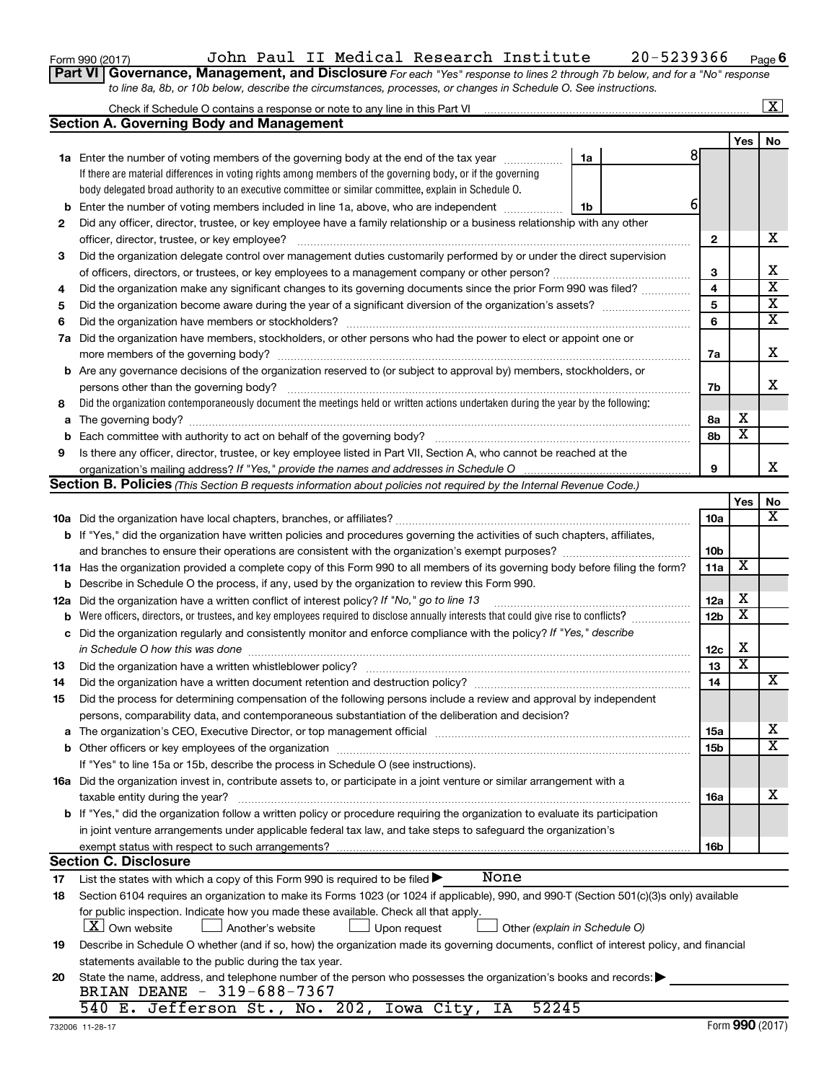|  |  | Form 990 (2017) |
|--|--|-----------------|
|--|--|-----------------|

## Form 990 (2017) John Paul II Medical Research Institute 20-5239366 Page

**Part VI** Governance, Management, and Disclosure For each "Yes" response to lines 2 through 7b below, and for a "No" response *to line 8a, 8b, or 10b below, describe the circumstances, processes, or changes in Schedule O. See instructions.*

|             |                                                                                                                                           |                 |                         | $\mathbf{X}$            |
|-------------|-------------------------------------------------------------------------------------------------------------------------------------------|-----------------|-------------------------|-------------------------|
|             | <b>Section A. Governing Body and Management</b>                                                                                           |                 |                         |                         |
|             |                                                                                                                                           |                 | Yes                     | No                      |
|             | 81<br><b>1a</b> Enter the number of voting members of the governing body at the end of the tax year<br>1a                                 |                 |                         |                         |
|             | If there are material differences in voting rights among members of the governing body, or if the governing                               |                 |                         |                         |
|             | body delegated broad authority to an executive committee or similar committee, explain in Schedule O.                                     |                 |                         |                         |
| b           | 6<br>Enter the number of voting members included in line 1a, above, who are independent <i>manumum</i><br>1b                              |                 |                         |                         |
| 2           | Did any officer, director, trustee, or key employee have a family relationship or a business relationship with any other                  |                 |                         |                         |
|             | officer, director, trustee, or key employee?                                                                                              | 2               |                         | х                       |
| 3           | Did the organization delegate control over management duties customarily performed by or under the direct supervision                     |                 |                         |                         |
|             |                                                                                                                                           | З               |                         | x                       |
| 4           | Did the organization make any significant changes to its governing documents since the prior Form 990 was filed?                          | 4               |                         | $\overline{\mathbf{X}}$ |
| 5           |                                                                                                                                           | 5               |                         | $\overline{\mathbf{X}}$ |
| 6           |                                                                                                                                           | 6               |                         | $\overline{\mathbf{X}}$ |
| 7a          | Did the organization have members, stockholders, or other persons who had the power to elect or appoint one or                            |                 |                         |                         |
|             |                                                                                                                                           | 7a              |                         | х                       |
| b           | Are any governance decisions of the organization reserved to (or subject to approval by) members, stockholders, or                        |                 |                         |                         |
|             | persons other than the governing body?                                                                                                    | 7b              |                         | x                       |
| 8           | Did the organization contemporaneously document the meetings held or written actions undertaken during the year by the following:         |                 |                         |                         |
| a           |                                                                                                                                           | 8а              | х                       |                         |
| $\mathbf b$ |                                                                                                                                           | 8b              | $\overline{\textbf{x}}$ |                         |
| 9           | Is there any officer, director, trustee, or key employee listed in Part VII, Section A, who cannot be reached at the                      |                 |                         |                         |
|             |                                                                                                                                           | 9               |                         | x                       |
|             | <b>Section B. Policies</b> (This Section B requests information about policies not required by the Internal Revenue Code.)                |                 |                         |                         |
|             |                                                                                                                                           |                 | Yes                     | No                      |
|             |                                                                                                                                           | 10a             |                         | х                       |
|             | b If "Yes," did the organization have written policies and procedures governing the activities of such chapters, affiliates,              |                 |                         |                         |
|             |                                                                                                                                           | 10 <sub>b</sub> |                         |                         |
| 11a         | Has the organization provided a complete copy of this Form 990 to all members of its governing body before filing the form?               | 11a             | X                       |                         |
| b           | Describe in Schedule O the process, if any, used by the organization to review this Form 990.                                             |                 |                         |                         |
| 12a         | Did the organization have a written conflict of interest policy? If "No," go to line 13                                                   | 12a             | X                       |                         |
| b           | Were officers, directors, or trustees, and key employees required to disclose annually interests that could give rise to conflicts?       | 12 <sub>b</sub> | X                       |                         |
| с           | Did the organization regularly and consistently monitor and enforce compliance with the policy? If "Yes," describe                        |                 |                         |                         |
|             | in Schedule O how this was done                                                                                                           | 12c             | X                       |                         |
| 13          | Did the organization have a written whistleblower policy?                                                                                 | 13              | $\overline{\textbf{x}}$ |                         |
| 14          |                                                                                                                                           | 14              |                         | х                       |
| 15          | Did the process for determining compensation of the following persons include a review and approval by independent                        |                 |                         |                         |
|             | persons, comparability data, and contemporaneous substantiation of the deliberation and decision?                                         |                 |                         |                         |
| а           |                                                                                                                                           | 15a             |                         | х                       |
| b           |                                                                                                                                           | 15b             |                         | $\overline{\text{X}}$   |
|             | If "Yes" to line 15a or 15b, describe the process in Schedule O (see instructions).                                                       |                 |                         |                         |
|             | 16a Did the organization invest in, contribute assets to, or participate in a joint venture or similar arrangement with a                 |                 |                         |                         |
|             | taxable entity during the year?                                                                                                           | 16a             |                         | х                       |
|             | <b>b</b> If "Yes," did the organization follow a written policy or procedure requiring the organization to evaluate its participation     |                 |                         |                         |
|             | in joint venture arrangements under applicable federal tax law, and take steps to safeguard the organization's                            |                 |                         |                         |
|             | exempt status with respect to such arrangements?                                                                                          | 16b             |                         |                         |
|             | <b>Section C. Disclosure</b>                                                                                                              |                 |                         |                         |
| 17          | None<br>List the states with which a copy of this Form 990 is required to be filed $\blacktriangleright$                                  |                 |                         |                         |
| 18          | Section 6104 requires an organization to make its Forms 1023 (or 1024 if applicable), 990, and 990-T (Section 501(c)(3)s only) available  |                 |                         |                         |
|             | for public inspection. Indicate how you made these available. Check all that apply.                                                       |                 |                         |                         |
|             | <b>X</b> Own website<br>Another's website<br>Upon request<br>Other (explain in Schedule O)                                                |                 |                         |                         |
| 19          | Describe in Schedule O whether (and if so, how) the organization made its governing documents, conflict of interest policy, and financial |                 |                         |                         |
|             | statements available to the public during the tax year.                                                                                   |                 |                         |                         |
| 20          | State the name, address, and telephone number of the person who possesses the organization's books and records:                           |                 |                         |                         |
|             | BRIAN DEANE - 319-688-7367                                                                                                                |                 |                         |                         |
|             | 540 E. Jefferson St., No. 202, Iowa City, IA<br>52245                                                                                     |                 |                         |                         |

**6**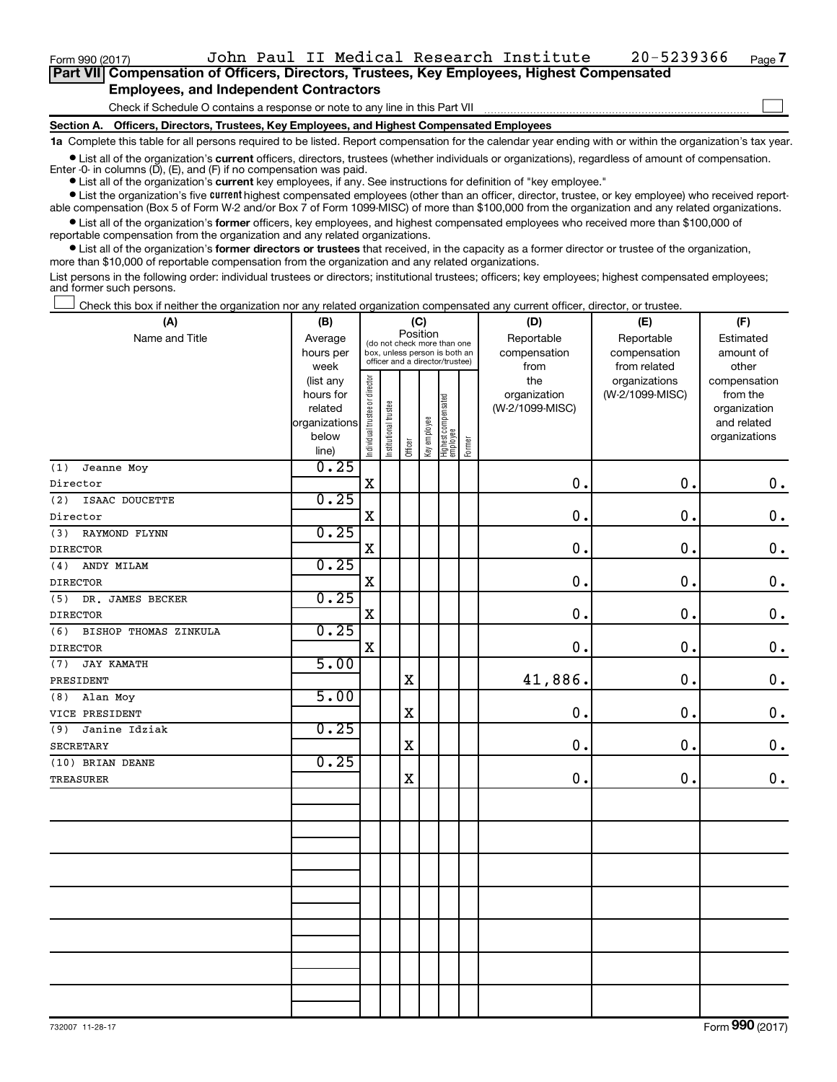Form 990 (2017) John Paul II Medical Research Institute 20-5239366 Page

 $\Box$ 

| Part VII Compensation of Officers, Directors, Trustees, Key Employees, Highest Compensated |
|--------------------------------------------------------------------------------------------|
| <b>Employees, and Independent Contractors</b>                                              |

Check if Schedule O contains a response or note to any line in this Part VII

**Section A. Officers, Directors, Trustees, Key Employees, and Highest Compensated Employees**

**1a**  Complete this table for all persons required to be listed. Report compensation for the calendar year ending with or within the organization's tax year.

**•** List all of the organization's current officers, directors, trustees (whether individuals or organizations), regardless of amount of compensation. Enter -0- in columns  $(D)$ ,  $(E)$ , and  $(F)$  if no compensation was paid.

**•** List all of the organization's **current** key employees, if any. See instructions for definition of "key employee."

**•** List the organization's five current highest compensated employees (other than an officer, director, trustee, or key employee) who received reportable compensation (Box 5 of Form W-2 and/or Box 7 of Form 1099-MISC) of more than \$100,000 from the organization and any related organizations.

**•** List all of the organization's former officers, key employees, and highest compensated employees who received more than \$100,000 of reportable compensation from the organization and any related organizations.

**•** List all of the organization's former directors or trustees that received, in the capacity as a former director or trustee of the organization, more than \$10,000 of reportable compensation from the organization and any related organizations.

List persons in the following order: individual trustees or directors; institutional trustees; officers; key employees; highest compensated employees; and former such persons.

Check this box if neither the organization nor any related organization compensated any current officer, director, or trustee.  $\Box$ 

| (A)                          | (B)                    |                                |                                 |             | (C)          |                                 |        | (D)             | (E)             | (F)           |
|------------------------------|------------------------|--------------------------------|---------------------------------|-------------|--------------|---------------------------------|--------|-----------------|-----------------|---------------|
| Name and Title               | Average                |                                | (do not check more than one     | Position    |              |                                 |        | Reportable      | Reportable      | Estimated     |
|                              | hours per              |                                | box, unless person is both an   |             |              |                                 |        | compensation    | compensation    | amount of     |
|                              | week                   |                                | officer and a director/trustee) |             |              |                                 |        | from            | from related    | other         |
|                              | (list any              |                                |                                 |             |              |                                 |        | the             | organizations   | compensation  |
|                              | hours for              |                                |                                 |             |              |                                 |        | organization    | (W-2/1099-MISC) | from the      |
|                              | related                |                                |                                 |             |              |                                 |        | (W-2/1099-MISC) |                 | organization  |
|                              | organizations<br>below |                                |                                 |             |              |                                 |        |                 |                 | and related   |
|                              | line)                  | Individual trustee or director | Institutional trustee           | Officer     | Key employee | Highest compensated<br>employee | Former |                 |                 | organizations |
| Jeanne Moy<br>(1)            | 0.25                   |                                |                                 |             |              |                                 |        |                 |                 |               |
| Director                     |                        | $\rm X$                        |                                 |             |              |                                 |        | 0.              | 0.              | $\mathbf 0$ . |
| (2)<br>ISAAC DOUCETTE        | 0.25                   |                                |                                 |             |              |                                 |        |                 |                 |               |
| Director                     |                        | $\mathbf X$                    |                                 |             |              |                                 |        | $\mathbf 0$ .   | 0.              | $\mathbf 0$ . |
| (3)<br>RAYMOND FLYNN         | 0.25                   |                                |                                 |             |              |                                 |        |                 |                 |               |
| <b>DIRECTOR</b>              |                        | X                              |                                 |             |              |                                 |        | 0.              | 0.              | $\mathbf 0$ . |
| (4)<br>ANDY MILAM            | 0.25                   |                                |                                 |             |              |                                 |        |                 |                 |               |
| <b>DIRECTOR</b>              |                        | $\rm X$                        |                                 |             |              |                                 |        | 0.              | 0.              | $0$ .         |
| (5)<br>DR. JAMES BECKER      | 0.25                   |                                |                                 |             |              |                                 |        |                 |                 |               |
| <b>DIRECTOR</b>              |                        | $\rm X$                        |                                 |             |              |                                 |        | 0.              | 0.              | $\mathbf 0$ . |
| (6)<br>BISHOP THOMAS ZINKULA | 0.25                   |                                |                                 |             |              |                                 |        |                 |                 |               |
| <b>DIRECTOR</b>              |                        | X                              |                                 |             |              |                                 |        | $\pmb{0}$       | 0.              | $\mathbf 0$ . |
| (7)<br><b>JAY KAMATH</b>     | 5.00                   |                                |                                 |             |              |                                 |        |                 |                 |               |
| PRESIDENT                    |                        |                                |                                 | $\mathbf X$ |              |                                 |        | 41,886.         | 0.              | $\mathbf 0$ . |
| Alan Moy<br>(8)              | 5.00                   |                                |                                 |             |              |                                 |        |                 |                 |               |
| VICE PRESIDENT               |                        |                                |                                 | $\mathbf X$ |              |                                 |        | $\pmb{0}$       | $\mathbf 0$ .   | $0$ .         |
| Janine Idziak<br>(9)         | 0.25                   |                                |                                 |             |              |                                 |        |                 |                 |               |
| <b>SECRETARY</b>             |                        |                                |                                 | $\mathbf X$ |              |                                 |        | $\mathbf 0$ .   | $\mathbf 0$ .   | $0$ .         |
| (10) BRIAN DEANE             | 0.25                   |                                |                                 |             |              |                                 |        |                 |                 |               |
| TREASURER                    |                        |                                |                                 | $\mathbf X$ |              |                                 |        | $\pmb{0}$       | $\mathbf 0$ .   | $0$ .         |
|                              |                        |                                |                                 |             |              |                                 |        |                 |                 |               |
|                              |                        |                                |                                 |             |              |                                 |        |                 |                 |               |
|                              |                        |                                |                                 |             |              |                                 |        |                 |                 |               |
|                              |                        |                                |                                 |             |              |                                 |        |                 |                 |               |
|                              |                        |                                |                                 |             |              |                                 |        |                 |                 |               |
|                              |                        |                                |                                 |             |              |                                 |        |                 |                 |               |
|                              |                        |                                |                                 |             |              |                                 |        |                 |                 |               |
|                              |                        |                                |                                 |             |              |                                 |        |                 |                 |               |
|                              |                        |                                |                                 |             |              |                                 |        |                 |                 |               |
|                              |                        |                                |                                 |             |              |                                 |        |                 |                 |               |
|                              |                        |                                |                                 |             |              |                                 |        |                 |                 |               |
|                              |                        |                                |                                 |             |              |                                 |        |                 |                 |               |
|                              |                        |                                |                                 |             |              |                                 |        |                 |                 |               |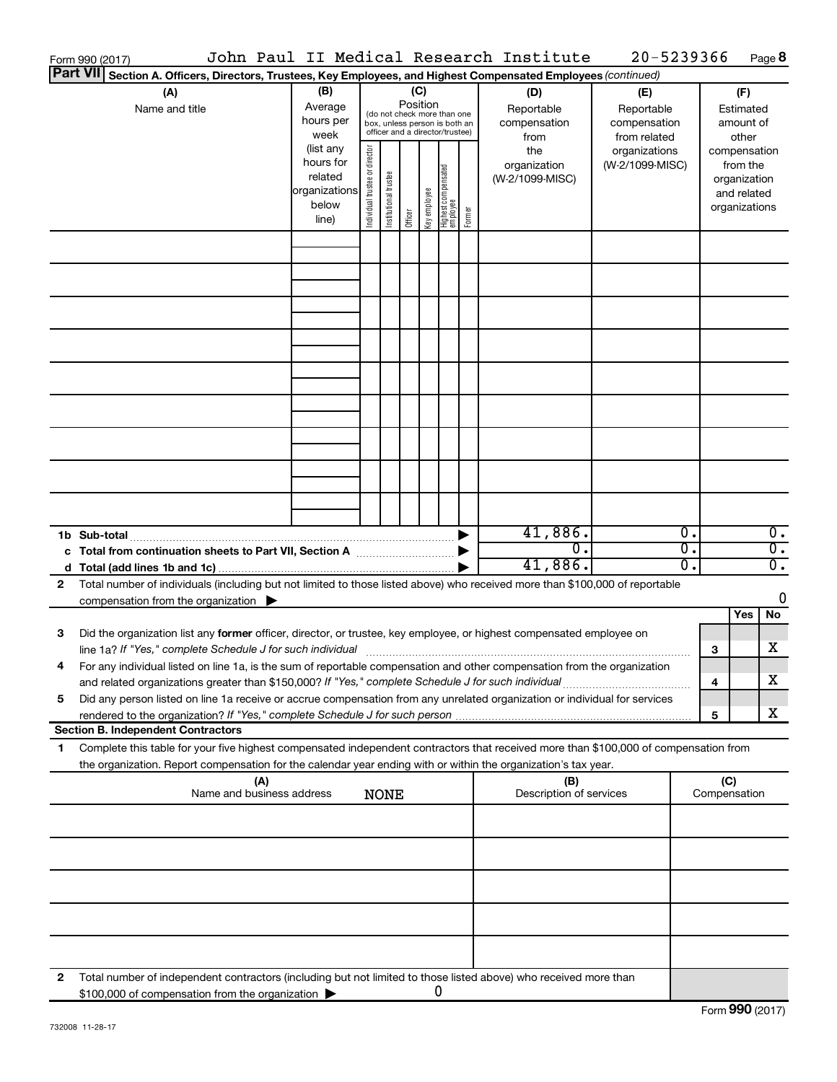|   | Form 990 (2017)                                                                                                                                                                                                                                        |                                                                      |                                |                       |                 |              |                                                                                                 |        | John Paul II Medical Research Institute   | 20-5239366                                        |                        |                                                                          | Page 8                               |
|---|--------------------------------------------------------------------------------------------------------------------------------------------------------------------------------------------------------------------------------------------------------|----------------------------------------------------------------------|--------------------------------|-----------------------|-----------------|--------------|-------------------------------------------------------------------------------------------------|--------|-------------------------------------------|---------------------------------------------------|------------------------|--------------------------------------------------------------------------|--------------------------------------|
|   | <b>Part VII</b><br>Section A. Officers, Directors, Trustees, Key Employees, and Highest Compensated Employees (continued)                                                                                                                              |                                                                      |                                |                       |                 |              |                                                                                                 |        |                                           |                                                   |                        |                                                                          |                                      |
|   | (A)<br>Name and title                                                                                                                                                                                                                                  | (B)<br>Average<br>hours per<br>week                                  |                                |                       | (C)<br>Position |              | (do not check more than one<br>box, unless person is both an<br>officer and a director/trustee) |        | (D)<br>Reportable<br>compensation<br>from | (E)<br>Reportable<br>compensation<br>from related |                        | (F)<br>Estimated<br>amount of<br>other                                   |                                      |
|   |                                                                                                                                                                                                                                                        | (list any<br>hours for<br>related<br>organizations<br>below<br>line) | Individual trustee or director | Institutional trustee | Officer         | Key employee | Highest compensated<br>  employee                                                               | Former | the<br>organization<br>(W-2/1099-MISC)    | organizations<br>(W-2/1099-MISC)                  |                        | compensation<br>from the<br>organization<br>and related<br>organizations |                                      |
|   |                                                                                                                                                                                                                                                        |                                                                      |                                |                       |                 |              |                                                                                                 |        |                                           |                                                   |                        |                                                                          |                                      |
|   |                                                                                                                                                                                                                                                        |                                                                      |                                |                       |                 |              |                                                                                                 |        |                                           |                                                   |                        |                                                                          |                                      |
|   |                                                                                                                                                                                                                                                        |                                                                      |                                |                       |                 |              |                                                                                                 |        |                                           |                                                   |                        |                                                                          |                                      |
|   |                                                                                                                                                                                                                                                        |                                                                      |                                |                       |                 |              |                                                                                                 |        |                                           |                                                   |                        |                                                                          |                                      |
|   |                                                                                                                                                                                                                                                        |                                                                      |                                |                       |                 |              |                                                                                                 |        |                                           |                                                   |                        |                                                                          |                                      |
|   |                                                                                                                                                                                                                                                        |                                                                      |                                |                       |                 |              |                                                                                                 |        |                                           |                                                   |                        |                                                                          |                                      |
|   |                                                                                                                                                                                                                                                        |                                                                      |                                |                       |                 |              |                                                                                                 |        |                                           |                                                   |                        |                                                                          |                                      |
|   |                                                                                                                                                                                                                                                        |                                                                      |                                |                       |                 |              |                                                                                                 |        |                                           |                                                   |                        |                                                                          |                                      |
|   |                                                                                                                                                                                                                                                        |                                                                      |                                |                       |                 |              |                                                                                                 |        | 41,886.<br>$\overline{0}$ .               |                                                   | $\overline{0}$ .<br>σ. |                                                                          | $\overline{0}$ .<br>$\overline{0}$ . |
|   |                                                                                                                                                                                                                                                        |                                                                      |                                |                       |                 |              |                                                                                                 |        | 41,886.                                   |                                                   | Ο.                     |                                                                          | $\overline{0}$ .                     |
| 2 | Total number of individuals (including but not limited to those listed above) who received more than \$100,000 of reportable<br>compensation from the organization $\blacktriangleright$                                                               |                                                                      |                                |                       |                 |              |                                                                                                 |        |                                           |                                                   |                        |                                                                          | $\mathbf 0$                          |
|   |                                                                                                                                                                                                                                                        |                                                                      |                                |                       |                 |              |                                                                                                 |        |                                           |                                                   |                        | Yes                                                                      | No                                   |
| 3 | Did the organization list any former officer, director, or trustee, key employee, or highest compensated employee on<br>line 1a? If "Yes," complete Schedule J for such individual [11] manufacture manufacture in the set of the set o                |                                                                      |                                |                       |                 |              |                                                                                                 |        |                                           |                                                   |                        | 3                                                                        | х                                    |
|   | For any individual listed on line 1a, is the sum of reportable compensation and other compensation from the organization<br>and related organizations greater than \$150,000? If "Yes," complete Schedule J for such individual                        |                                                                      |                                |                       |                 |              |                                                                                                 |        |                                           |                                                   |                        | 4                                                                        | x                                    |
| 5 | Did any person listed on line 1a receive or accrue compensation from any unrelated organization or individual for services                                                                                                                             |                                                                      |                                |                       |                 |              |                                                                                                 |        |                                           |                                                   |                        | 5                                                                        | х                                    |
|   | <b>Section B. Independent Contractors</b>                                                                                                                                                                                                              |                                                                      |                                |                       |                 |              |                                                                                                 |        |                                           |                                                   |                        |                                                                          |                                      |
| 1 | Complete this table for your five highest compensated independent contractors that received more than \$100,000 of compensation from<br>the organization. Report compensation for the calendar year ending with or within the organization's tax year. |                                                                      |                                |                       |                 |              |                                                                                                 |        |                                           |                                                   |                        |                                                                          |                                      |
|   | (A)<br>Name and business address                                                                                                                                                                                                                       |                                                                      |                                | <b>NONE</b>           |                 |              |                                                                                                 |        | (B)<br>Description of services            |                                                   |                        | (C)<br>Compensation                                                      |                                      |
|   |                                                                                                                                                                                                                                                        |                                                                      |                                |                       |                 |              |                                                                                                 |        |                                           |                                                   |                        |                                                                          |                                      |
|   |                                                                                                                                                                                                                                                        |                                                                      |                                |                       |                 |              |                                                                                                 |        |                                           |                                                   |                        |                                                                          |                                      |
|   |                                                                                                                                                                                                                                                        |                                                                      |                                |                       |                 |              |                                                                                                 |        |                                           |                                                   |                        |                                                                          |                                      |
|   |                                                                                                                                                                                                                                                        |                                                                      |                                |                       |                 |              |                                                                                                 |        |                                           |                                                   |                        |                                                                          |                                      |
| 2 | Total number of independent contractors (including but not limited to those listed above) who received more than<br>\$100,000 of compensation from the organization                                                                                    |                                                                      |                                |                       |                 |              | 0                                                                                               |        |                                           |                                                   |                        |                                                                          |                                      |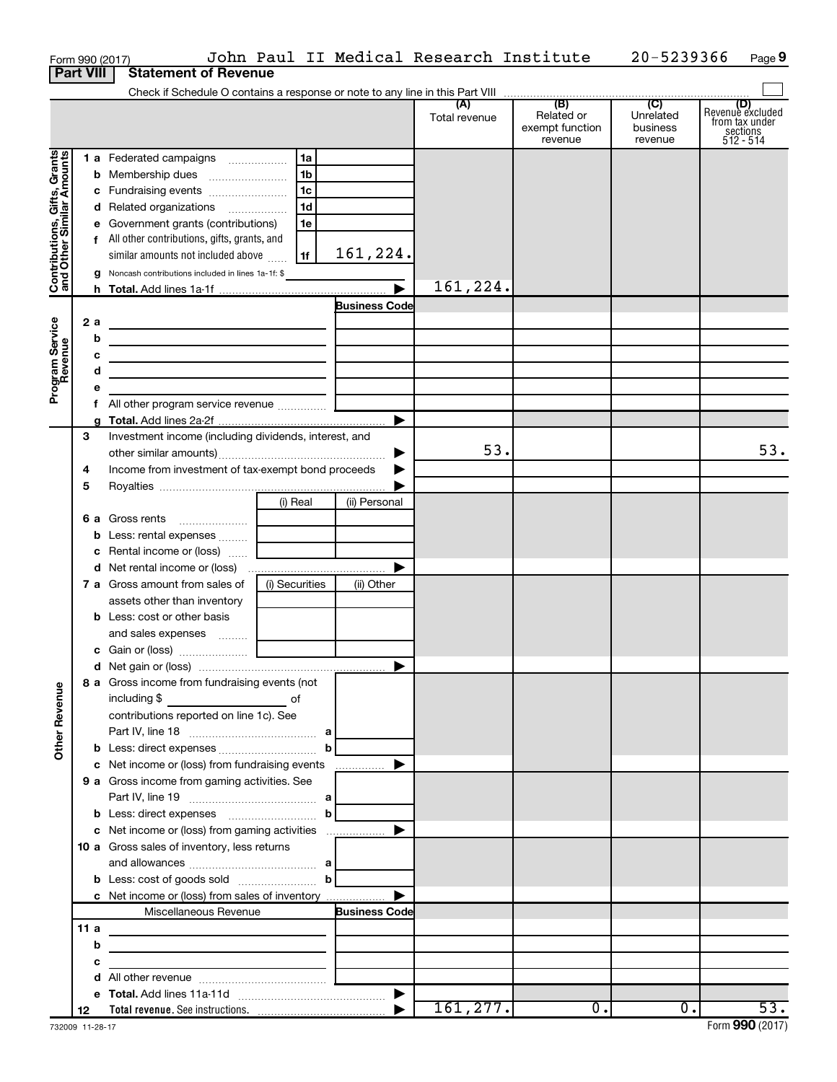|                                                           |        |    | Form 990 (2017)                                                                                                       |                |                       | John Paul II Medical Research Institute |                                                 | 20-5239366                              | Page 9                                                        |
|-----------------------------------------------------------|--------|----|-----------------------------------------------------------------------------------------------------------------------|----------------|-----------------------|-----------------------------------------|-------------------------------------------------|-----------------------------------------|---------------------------------------------------------------|
| <b>Part VIII</b>                                          |        |    | <b>Statement of Revenue</b>                                                                                           |                |                       |                                         |                                                 |                                         |                                                               |
|                                                           |        |    |                                                                                                                       |                |                       |                                         |                                                 |                                         |                                                               |
|                                                           |        |    |                                                                                                                       |                |                       | (A)<br>Total revenue                    | (B)<br>Related or<br>exempt function<br>revenue | (C)<br>Unrelated<br>business<br>revenue | Revenue excluded<br>from tax under<br>sections<br>$512 - 514$ |
|                                                           |        |    | 1 a Federated campaigns                                                                                               | 1a             |                       |                                         |                                                 |                                         |                                                               |
|                                                           |        |    |                                                                                                                       | 1 <sub>b</sub> |                       |                                         |                                                 |                                         |                                                               |
| Contributions, Gifts, Grants<br>and Other Similar Amounts |        |    |                                                                                                                       | l 1c           |                       |                                         |                                                 |                                         |                                                               |
|                                                           |        |    | d Related organizations                                                                                               | 1 <sub>d</sub> |                       |                                         |                                                 |                                         |                                                               |
|                                                           |        |    | e Government grants (contributions)                                                                                   | 1e             |                       |                                         |                                                 |                                         |                                                               |
|                                                           |        |    | f All other contributions, gifts, grants, and                                                                         |                |                       |                                         |                                                 |                                         |                                                               |
|                                                           |        |    | similar amounts not included above                                                                                    | 1f             | 161,224.              |                                         |                                                 |                                         |                                                               |
|                                                           |        |    | g Noncash contributions included in lines 1a-1f: \$                                                                   |                |                       |                                         |                                                 |                                         |                                                               |
|                                                           |        |    |                                                                                                                       |                | $\blacktriangleright$ | 161,224.                                |                                                 |                                         |                                                               |
|                                                           |        |    |                                                                                                                       |                | <b>Business Code</b>  |                                         |                                                 |                                         |                                                               |
|                                                           |        | 2a | <u> 1989 - Johann Barbara, martin a</u>                                                                               |                |                       |                                         |                                                 |                                         |                                                               |
|                                                           |        | b  | the contract of the contract of the contract of the contract of                                                       |                |                       |                                         |                                                 |                                         |                                                               |
|                                                           |        | с  | <u> 1989 - Johann Barbara, martin amerikan basar dan berasal dalam basar dalam basar dalam basar dalam basar dala</u> |                |                       |                                         |                                                 |                                         |                                                               |
| Program Service<br>Revenue                                |        | d  | the control of the control of the control of the control of the control of                                            |                |                       |                                         |                                                 |                                         |                                                               |
|                                                           |        | е  |                                                                                                                       |                |                       |                                         |                                                 |                                         |                                                               |
|                                                           |        |    |                                                                                                                       |                | ▶                     |                                         |                                                 |                                         |                                                               |
|                                                           | 3      |    | Investment income (including dividends, interest, and                                                                 |                |                       |                                         |                                                 |                                         |                                                               |
|                                                           |        |    |                                                                                                                       |                | ▶                     | 53.                                     |                                                 |                                         | 53.                                                           |
|                                                           | 4      |    | Income from investment of tax-exempt bond proceeds                                                                    |                |                       |                                         |                                                 |                                         |                                                               |
|                                                           | 5      |    |                                                                                                                       |                |                       |                                         |                                                 |                                         |                                                               |
|                                                           |        |    |                                                                                                                       | (i) Real       | (ii) Personal         |                                         |                                                 |                                         |                                                               |
|                                                           |        |    | <b>6 a</b> Gross rents                                                                                                |                |                       |                                         |                                                 |                                         |                                                               |
|                                                           |        |    | <b>b</b> Less: rental expenses  [                                                                                     |                |                       |                                         |                                                 |                                         |                                                               |
|                                                           |        |    | c Rental income or (loss)                                                                                             |                |                       |                                         |                                                 |                                         |                                                               |
|                                                           |        |    |                                                                                                                       |                | ▶                     |                                         |                                                 |                                         |                                                               |
|                                                           |        |    | 7 a Gross amount from sales of                                                                                        | (i) Securities | (ii) Other            |                                         |                                                 |                                         |                                                               |
|                                                           |        |    | assets other than inventory                                                                                           |                |                       |                                         |                                                 |                                         |                                                               |
|                                                           |        |    | <b>b</b> Less: cost or other basis                                                                                    |                |                       |                                         |                                                 |                                         |                                                               |
|                                                           |        |    | and sales expenses                                                                                                    |                |                       |                                         |                                                 |                                         |                                                               |
|                                                           |        |    |                                                                                                                       |                |                       |                                         |                                                 |                                         |                                                               |
|                                                           |        |    |                                                                                                                       |                |                       |                                         |                                                 |                                         |                                                               |
|                                                           |        |    | 8 a Gross income from fundraising events (not                                                                         |                |                       |                                         |                                                 |                                         |                                                               |
| <b>Other Revenue</b>                                      |        |    |                                                                                                                       |                |                       |                                         |                                                 |                                         |                                                               |
|                                                           |        |    | contributions reported on line 1c). See                                                                               |                |                       |                                         |                                                 |                                         |                                                               |
|                                                           |        |    |                                                                                                                       |                |                       |                                         |                                                 |                                         |                                                               |
|                                                           |        |    |                                                                                                                       |                | b                     |                                         |                                                 |                                         |                                                               |
|                                                           |        |    | c Net income or (loss) from fundraising events<br>9 a Gross income from gaming activities. See                        |                |                       |                                         |                                                 |                                         |                                                               |
|                                                           |        |    |                                                                                                                       |                |                       |                                         |                                                 |                                         |                                                               |
|                                                           |        |    | <b>b</b> Less: direct expenses $\ldots$ <b>b</b>                                                                      |                |                       |                                         |                                                 |                                         |                                                               |
|                                                           |        |    |                                                                                                                       |                |                       |                                         |                                                 |                                         |                                                               |
|                                                           |        |    | 10 a Gross sales of inventory, less returns                                                                           |                |                       |                                         |                                                 |                                         |                                                               |
|                                                           |        |    |                                                                                                                       |                |                       |                                         |                                                 |                                         |                                                               |
|                                                           |        |    | <b>b</b> Less: cost of goods sold $\ldots$ <b>b</b>                                                                   |                |                       |                                         |                                                 |                                         |                                                               |
|                                                           |        |    | c Net income or (loss) from sales of inventory                                                                        |                | $\blacktriangleright$ |                                         |                                                 |                                         |                                                               |
|                                                           |        |    | Miscellaneous Revenue                                                                                                 |                | <b>Business Code</b>  |                                         |                                                 |                                         |                                                               |
|                                                           | 11 $a$ |    | the contract of the contract of the contract of the contract of the contract of                                       |                |                       |                                         |                                                 |                                         |                                                               |
|                                                           |        | b  | <u> 1980 - Andrea Andrew Maria (h. 1980).</u>                                                                         |                |                       |                                         |                                                 |                                         |                                                               |
|                                                           |        | с  | <u> 1980 - Andrea Andrew Maria (h. 1980).</u>                                                                         |                |                       |                                         |                                                 |                                         |                                                               |
|                                                           |        | d  |                                                                                                                       |                |                       |                                         |                                                 |                                         |                                                               |
|                                                           |        |    |                                                                                                                       |                |                       |                                         |                                                 |                                         |                                                               |
|                                                           | 12     |    |                                                                                                                       |                |                       | 161,277.                                | $\overline{0}$ .                                | $\overline{0}$ .                        | 53.                                                           |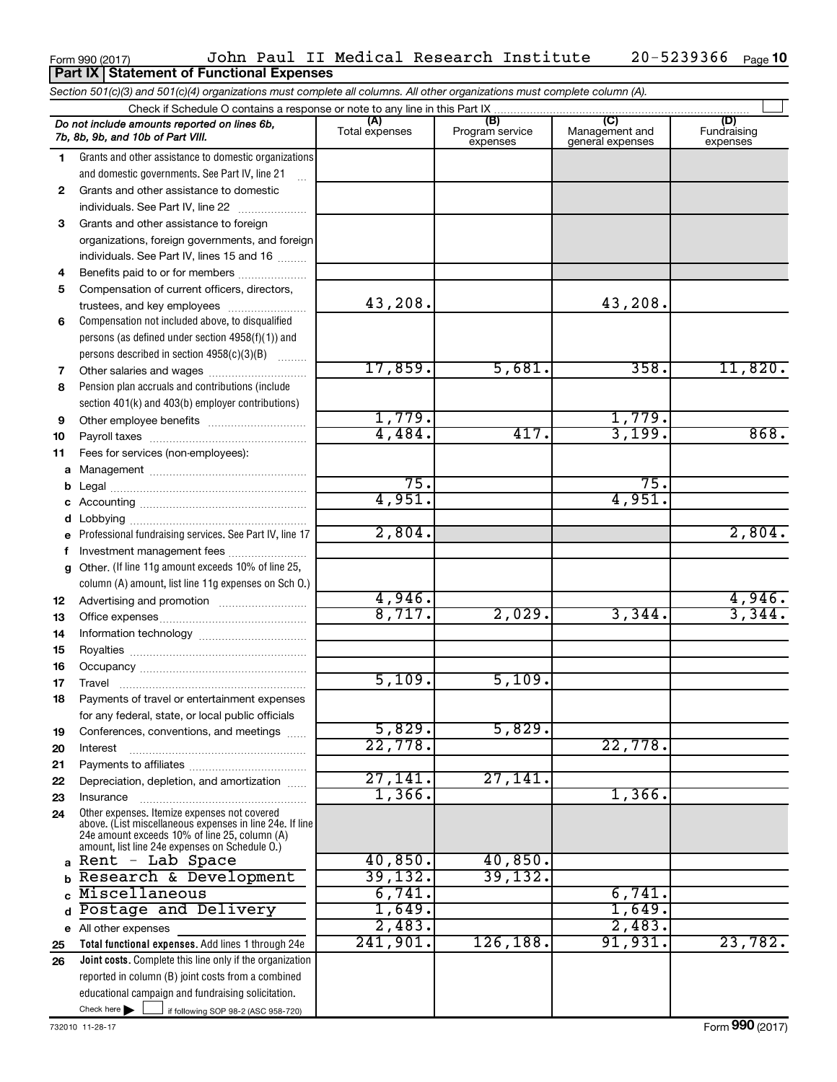#### Form 990 (2017) John Paul II Medical Research Institute 20-5239366 Page 20-5239366 Page 10 **Part IX Statement of Functional Expenses**

|              | Section 501(c)(3) and 501(c)(4) organizations must complete all columns. All other organizations must complete column (A).                                                                                  |                       |                                    |                                           |                                |
|--------------|-------------------------------------------------------------------------------------------------------------------------------------------------------------------------------------------------------------|-----------------------|------------------------------------|-------------------------------------------|--------------------------------|
|              |                                                                                                                                                                                                             |                       |                                    |                                           |                                |
|              | Do not include amounts reported on lines 6b,<br>7b, 8b, 9b, and 10b of Part VIII.                                                                                                                           | (A)<br>Total expenses | (B)<br>Program service<br>expenses | (C)<br>Management and<br>general expenses | (D)<br>Fundraising<br>expenses |
| 1.           | Grants and other assistance to domestic organizations                                                                                                                                                       |                       |                                    |                                           |                                |
|              | and domestic governments. See Part IV, line 21                                                                                                                                                              |                       |                                    |                                           |                                |
| $\mathbf{2}$ | Grants and other assistance to domestic                                                                                                                                                                     |                       |                                    |                                           |                                |
|              | individuals. See Part IV, line 22<br><u> 1986 - Johann Stoff, Amerikaansk politiker (</u>                                                                                                                   |                       |                                    |                                           |                                |
| 3            | Grants and other assistance to foreign                                                                                                                                                                      |                       |                                    |                                           |                                |
|              | organizations, foreign governments, and foreign                                                                                                                                                             |                       |                                    |                                           |                                |
|              | individuals. See Part IV, lines 15 and 16                                                                                                                                                                   |                       |                                    |                                           |                                |
| 4            | Benefits paid to or for members                                                                                                                                                                             |                       |                                    |                                           |                                |
| 5            | Compensation of current officers, directors,                                                                                                                                                                |                       |                                    |                                           |                                |
|              | trustees, and key employees                                                                                                                                                                                 | 43,208.               |                                    | 43,208.                                   |                                |
| 6            | Compensation not included above, to disqualified                                                                                                                                                            |                       |                                    |                                           |                                |
|              | persons (as defined under section 4958(f)(1)) and                                                                                                                                                           |                       |                                    |                                           |                                |
|              | persons described in section 4958(c)(3)(B)                                                                                                                                                                  |                       |                                    |                                           |                                |
| 7            |                                                                                                                                                                                                             | 17,859.               | 5,681.                             | 358.                                      | 11,820.                        |
| 8            | Pension plan accruals and contributions (include                                                                                                                                                            |                       |                                    |                                           |                                |
|              | section 401(k) and 403(b) employer contributions)                                                                                                                                                           |                       |                                    |                                           |                                |
| 9            | Other employee benefits                                                                                                                                                                                     | 1,779.                |                                    | 1,779.                                    |                                |
| 10           |                                                                                                                                                                                                             | 4,484.                | 417.                               | 3,199.                                    | 868.                           |
| 11           | Fees for services (non-employees):                                                                                                                                                                          |                       |                                    |                                           |                                |
| a            |                                                                                                                                                                                                             |                       |                                    |                                           |                                |
| b            |                                                                                                                                                                                                             | 75.                   |                                    | 75.                                       |                                |
| c            |                                                                                                                                                                                                             | 4,951.                |                                    | 4,951.                                    |                                |
| d            |                                                                                                                                                                                                             |                       |                                    |                                           |                                |
| e            | Professional fundraising services. See Part IV, line 17                                                                                                                                                     | 2,804.                |                                    |                                           | 2,804.                         |
| f            | Investment management fees                                                                                                                                                                                  |                       |                                    |                                           |                                |
| g            | Other. (If line 11g amount exceeds 10% of line 25,                                                                                                                                                          |                       |                                    |                                           |                                |
|              | column (A) amount, list line 11g expenses on Sch O.)                                                                                                                                                        |                       |                                    |                                           |                                |
| 12           |                                                                                                                                                                                                             | 4,946.                |                                    |                                           | 4,946.                         |
| 13           |                                                                                                                                                                                                             | 8,717.                | 2,029.                             | 3,344.                                    | 3,344.                         |
| 14           |                                                                                                                                                                                                             |                       |                                    |                                           |                                |
| 15           |                                                                                                                                                                                                             |                       |                                    |                                           |                                |
| 16           |                                                                                                                                                                                                             |                       |                                    |                                           |                                |
| 17           |                                                                                                                                                                                                             | 5,109.                | 5,109.                             |                                           |                                |
| 18           | Payments of travel or entertainment expenses                                                                                                                                                                |                       |                                    |                                           |                                |
|              | for any federal, state, or local public officials                                                                                                                                                           |                       |                                    |                                           |                                |
| 19           | Conferences, conventions, and meetings                                                                                                                                                                      | 5,829.                | 5,829.                             |                                           |                                |
| 20           | Interest                                                                                                                                                                                                    | 22,778.               |                                    | 22,778.                                   |                                |
| 21           |                                                                                                                                                                                                             |                       |                                    |                                           |                                |
| 22           | Depreciation, depletion, and amortization                                                                                                                                                                   | 27,141.<br>1,366.     | 27,141.                            | 1,366.                                    |                                |
| 23           | Insurance                                                                                                                                                                                                   |                       |                                    |                                           |                                |
| 24           | Other expenses. Itemize expenses not covered<br>above. (List miscellaneous expenses in line 24e. If line<br>24e amount exceeds 10% of line 25, column (A)<br>amount, list line 24e expenses on Schedule O.) |                       |                                    |                                           |                                |
|              | a Rent - Lab Space                                                                                                                                                                                          | 40,850.               | 40,850.                            |                                           |                                |
| b            | Research & Development                                                                                                                                                                                      | 39, 132.              | 39,132.                            |                                           |                                |
| $\mathbf{c}$ | Miscellaneous                                                                                                                                                                                               | 6,741.                |                                    | 6,741.                                    |                                |
| d            | Postage and Delivery                                                                                                                                                                                        | 1,649.                |                                    | 1,649.                                    |                                |
| е            | All other expenses                                                                                                                                                                                          | 2,483.                |                                    | 2,483.                                    |                                |
| 25           | Total functional expenses. Add lines 1 through 24e                                                                                                                                                          | 241,901.              | 126, 188.                          | 91,931.                                   | 23,782.                        |
| 26           | <b>Joint costs.</b> Complete this line only if the organization                                                                                                                                             |                       |                                    |                                           |                                |
|              | reported in column (B) joint costs from a combined                                                                                                                                                          |                       |                                    |                                           |                                |
|              | educational campaign and fundraising solicitation.                                                                                                                                                          |                       |                                    |                                           |                                |
|              | Check here $\blacktriangleright$<br>if following SOP 98-2 (ASC 958-720)                                                                                                                                     |                       |                                    |                                           |                                |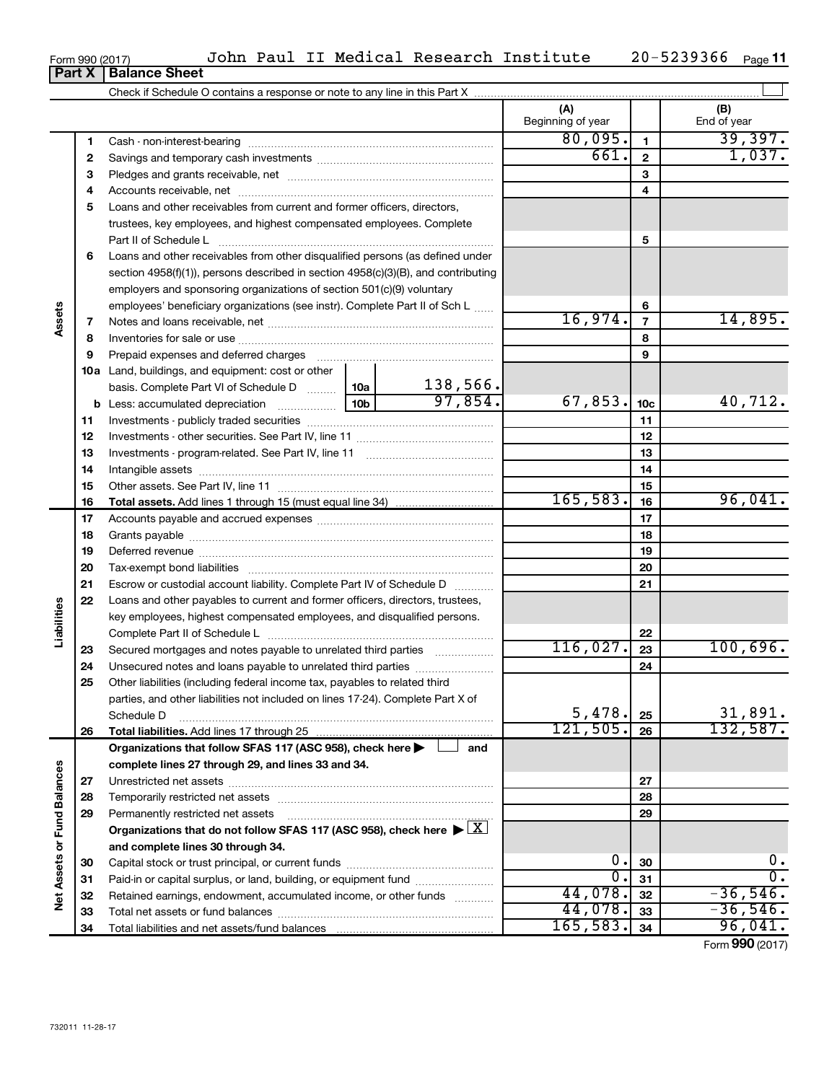|        | Form 990 (2017) | John Paul II Medical Research Institute                                                |  |                          |                | 20-5239366<br>Page 11 |
|--------|-----------------|----------------------------------------------------------------------------------------|--|--------------------------|----------------|-----------------------|
|        | Part X          | <b>Balance Sheet</b>                                                                   |  |                          |                |                       |
|        |                 |                                                                                        |  |                          |                |                       |
|        |                 |                                                                                        |  | (A)<br>Beginning of year |                | (B)<br>End of year    |
|        | 1               | Cash - non-interest-bearing                                                            |  | 80,095.                  | 1.             | 39,397.               |
|        | 2               |                                                                                        |  | 661.                     | $\mathbf{2}$   | 1,037.                |
|        | 3               |                                                                                        |  |                          | 3              |                       |
|        | 4               |                                                                                        |  |                          | 4              |                       |
|        | 5               | Loans and other receivables from current and former officers, directors,               |  |                          |                |                       |
|        |                 | trustees, key employees, and highest compensated employees. Complete                   |  |                          |                |                       |
|        |                 | Part II of Schedule L                                                                  |  |                          | 5              |                       |
|        | 6               | Loans and other receivables from other disqualified persons (as defined under          |  |                          |                |                       |
|        |                 | section $4958(f)(1)$ , persons described in section $4958(c)(3)(B)$ , and contributing |  |                          |                |                       |
|        |                 | employers and sponsoring organizations of section 501(c)(9) voluntary                  |  |                          |                |                       |
|        |                 | employees' beneficiary organizations (see instr). Complete Part II of Sch L            |  |                          | 6              |                       |
| Assets | 7               |                                                                                        |  | 16,974.                  | $\overline{7}$ | 14,895.               |
|        | 8               |                                                                                        |  |                          | 8              |                       |
|        | 9               |                                                                                        |  |                          | 9              |                       |
|        | 10a             | Land, buildings, and equipment: cost or other                                          |  |                          |                |                       |
|        |                 | begin Complete Part VI of School up D $\vert$ 10g $\vert$ 138 566                      |  |                          |                |                       |

|                       | 4  |                                                                                                 |                 |          |                  | 4               |                  |
|-----------------------|----|-------------------------------------------------------------------------------------------------|-----------------|----------|------------------|-----------------|------------------|
|                       | 5  | Loans and other receivables from current and former officers, directors,                        |                 |          |                  |                 |                  |
|                       |    | trustees, key employees, and highest compensated employees. Complete                            |                 |          |                  |                 |                  |
|                       |    | Part II of Schedule L                                                                           |                 |          |                  | 5               |                  |
|                       | 6  | Loans and other receivables from other disqualified persons (as defined under                   |                 |          |                  |                 |                  |
|                       |    | section 4958(f)(1)), persons described in section 4958(c)(3)(B), and contributing               |                 |          |                  |                 |                  |
|                       |    | employers and sponsoring organizations of section 501(c)(9) voluntary                           |                 |          |                  |                 |                  |
|                       |    | employees' beneficiary organizations (see instr). Complete Part II of Sch L                     |                 |          |                  | 6               |                  |
| Assets                | 7  |                                                                                                 |                 |          | 16,974.          | $\overline{7}$  | 14,895.          |
|                       | 8  |                                                                                                 |                 |          |                  | 8               |                  |
|                       | 9  |                                                                                                 |                 |          |                  | 9               |                  |
|                       |    | Prepaid expenses and deferred charges                                                           |                 |          |                  |                 |                  |
|                       |    | <b>10a</b> Land, buildings, and equipment: cost or other                                        |                 | 138,566. |                  |                 |                  |
|                       |    | basis. Complete Part VI of Schedule D  10a                                                      | 10 <sub>b</sub> | 97,854.  | 67,853.          |                 | 40,712.          |
|                       |    | <b>b</b> Less: accumulated depreciation                                                         |                 |          |                  | 10 <sub>c</sub> |                  |
|                       | 11 |                                                                                                 |                 |          |                  | 11              |                  |
|                       | 12 |                                                                                                 |                 |          |                  | 12              |                  |
|                       | 13 |                                                                                                 |                 |          |                  | 13              |                  |
|                       | 14 |                                                                                                 |                 |          |                  | 14              |                  |
|                       | 15 |                                                                                                 |                 |          |                  | 15              |                  |
|                       | 16 | <b>Total assets.</b> Add lines 1 through 15 (must equal line 34) <i></i>                        |                 |          | 165, 583.        | 16              | 96,041.          |
|                       | 17 |                                                                                                 |                 |          |                  | 17              |                  |
|                       | 18 |                                                                                                 |                 |          | 18               |                 |                  |
|                       | 19 |                                                                                                 |                 |          | 19               |                 |                  |
|                       | 20 |                                                                                                 |                 | 20       |                  |                 |                  |
|                       | 21 | Escrow or custodial account liability. Complete Part IV of Schedule D                           |                 | 21       |                  |                 |                  |
|                       | 22 | Loans and other payables to current and former officers, directors, trustees,                   |                 |          |                  |                 |                  |
| Liabilities           |    | key employees, highest compensated employees, and disqualified persons.                         |                 |          |                  |                 |                  |
|                       |    |                                                                                                 |                 |          |                  | 22              |                  |
|                       | 23 | Secured mortgages and notes payable to unrelated third parties                                  |                 |          | 116,027.         | 23              | 100,696.         |
|                       | 24 | Unsecured notes and loans payable to unrelated third parties                                    |                 |          |                  | 24              |                  |
|                       | 25 | Other liabilities (including federal income tax, payables to related third                      |                 |          |                  |                 |                  |
|                       |    | parties, and other liabilities not included on lines 17-24). Complete Part X of                 |                 |          |                  |                 |                  |
|                       |    | Schedule D                                                                                      |                 |          | 5,478.           | 25              | 31,891.          |
|                       | 26 |                                                                                                 |                 |          | 121, 505.        | 26              | 132,587.         |
|                       |    | Organizations that follow SFAS 117 (ASC 958), check here $\blacktriangleright$                  |                 | and      |                  |                 |                  |
|                       |    | complete lines 27 through 29, and lines 33 and 34.                                              |                 |          |                  |                 |                  |
| ances                 | 27 |                                                                                                 |                 |          |                  | 27              |                  |
|                       | 28 |                                                                                                 |                 |          |                  | 28              |                  |
|                       | 29 | Permanently restricted net assets                                                               |                 |          |                  | 29              |                  |
|                       |    | Organizations that do not follow SFAS 117 (ASC 958), check here $\blacktriangleright \boxed{X}$ |                 |          |                  |                 |                  |
|                       |    | and complete lines 30 through 34.                                                               |                 |          |                  |                 |                  |
|                       | 30 |                                                                                                 |                 |          | 0.               | 30              | $0$ .            |
| Net Assets or Fund Ba | 31 | Paid-in or capital surplus, or land, building, or equipment fund                                |                 |          | $\overline{0}$ . | 31              | $\overline{0}$ . |
|                       | 32 | Retained earnings, endowment, accumulated income, or other funds                                |                 |          | 44,078.          | 32              | $-36,546.$       |
|                       | 33 |                                                                                                 |                 |          | 44,078.          | 33              | $-36,546.$       |
|                       | 34 |                                                                                                 |                 |          | 165, 583.        | 34              | 96,041.          |
|                       |    |                                                                                                 |                 |          |                  |                 | Form 990 (2017)  |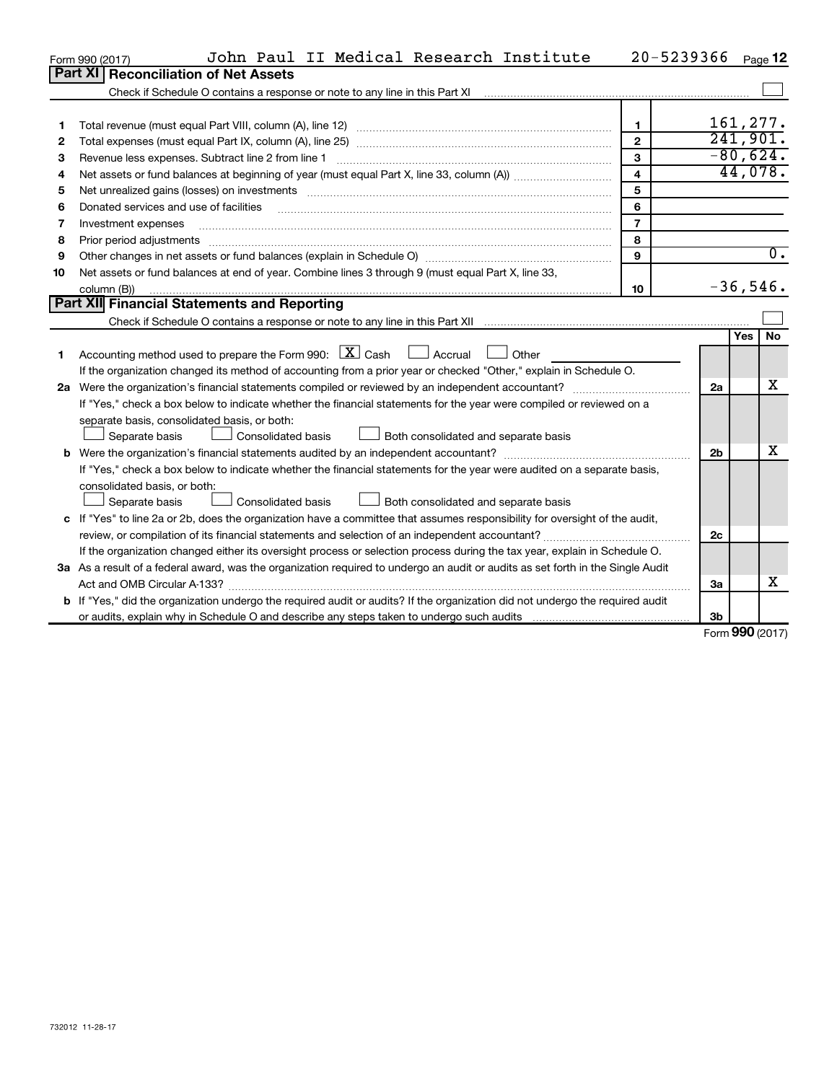|    | John Paul II Medical Research Institute<br>Form 990 (2017)                                                                                                                                                                     |                | 20-5239366     |            | Page 12          |
|----|--------------------------------------------------------------------------------------------------------------------------------------------------------------------------------------------------------------------------------|----------------|----------------|------------|------------------|
|    | Part XI<br><b>Reconciliation of Net Assets</b>                                                                                                                                                                                 |                |                |            |                  |
|    | Check if Schedule O contains a response or note to any line in this Part XI                                                                                                                                                    |                |                |            |                  |
|    |                                                                                                                                                                                                                                |                |                |            |                  |
| 1  |                                                                                                                                                                                                                                | $\mathbf{1}$   |                |            | 161,277.         |
| 2  |                                                                                                                                                                                                                                | $\overline{2}$ |                |            | 241,901.         |
| З  | Revenue less expenses. Subtract line 2 from line 1                                                                                                                                                                             | $\mathbf{3}$   |                |            | $-80,624.$       |
| 4  |                                                                                                                                                                                                                                | $\overline{4}$ |                |            | 44,078.          |
| 5  |                                                                                                                                                                                                                                | 5              |                |            |                  |
| 6  | Donated services and use of facilities                                                                                                                                                                                         | 6              |                |            |                  |
| 7  | Investment expenses                                                                                                                                                                                                            | $\overline{7}$ |                |            |                  |
| 8  | Prior period adjustments                                                                                                                                                                                                       | 8              |                |            |                  |
| 9  | Other changes in net assets or fund balances (explain in Schedule O) manufactured control of the state of the state of the state of the state of the state of the state of the state of the state of the state of the state of | 9              |                |            | $\overline{0}$ . |
| 10 | Net assets or fund balances at end of year. Combine lines 3 through 9 (must equal Part X, line 33,                                                                                                                             |                |                |            |                  |
|    | column (B))                                                                                                                                                                                                                    | 10             |                |            | $-36,546.$       |
|    | Part XII Financial Statements and Reporting                                                                                                                                                                                    |                |                |            |                  |
|    |                                                                                                                                                                                                                                |                |                |            |                  |
|    |                                                                                                                                                                                                                                |                |                | <b>Yes</b> | <b>No</b>        |
| 1  | Accounting method used to prepare the Form 990: $\boxed{\textbf{X}}$ Cash $\boxed{\phantom{1}}$ Accrual<br>Other                                                                                                               |                |                |            |                  |
|    | If the organization changed its method of accounting from a prior year or checked "Other," explain in Schedule O.                                                                                                              |                |                |            |                  |
|    | 2a Were the organization's financial statements compiled or reviewed by an independent accountant?                                                                                                                             |                | 2a             |            | x                |
|    | If "Yes," check a box below to indicate whether the financial statements for the year were compiled or reviewed on a                                                                                                           |                |                |            |                  |
|    | separate basis, consolidated basis, or both:                                                                                                                                                                                   |                |                |            |                  |
|    | Separate basis<br>Consolidated basis<br>Both consolidated and separate basis                                                                                                                                                   |                |                |            |                  |
| b  |                                                                                                                                                                                                                                |                | 2 <sub>b</sub> |            | х                |
|    | If "Yes," check a box below to indicate whether the financial statements for the year were audited on a separate basis,                                                                                                        |                |                |            |                  |
|    | consolidated basis, or both:                                                                                                                                                                                                   |                |                |            |                  |
|    | Separate basis<br>Consolidated basis<br>Both consolidated and separate basis                                                                                                                                                   |                |                |            |                  |
|    | c If "Yes" to line 2a or 2b, does the organization have a committee that assumes responsibility for oversight of the audit,                                                                                                    |                |                |            |                  |
|    | review, or compilation of its financial statements and selection of an independent accountant?                                                                                                                                 |                | 2c             |            |                  |
|    | If the organization changed either its oversight process or selection process during the tax year, explain in Schedule O.                                                                                                      |                |                |            |                  |
|    | 3a As a result of a federal award, was the organization required to undergo an audit or audits as set forth in the Single Audit                                                                                                |                |                |            |                  |
|    |                                                                                                                                                                                                                                |                | За             |            | x                |
|    | b If "Yes," did the organization undergo the required audit or audits? If the organization did not undergo the required audit                                                                                                  |                |                |            |                  |
|    |                                                                                                                                                                                                                                |                | 3b             |            |                  |

Form (2017) **990**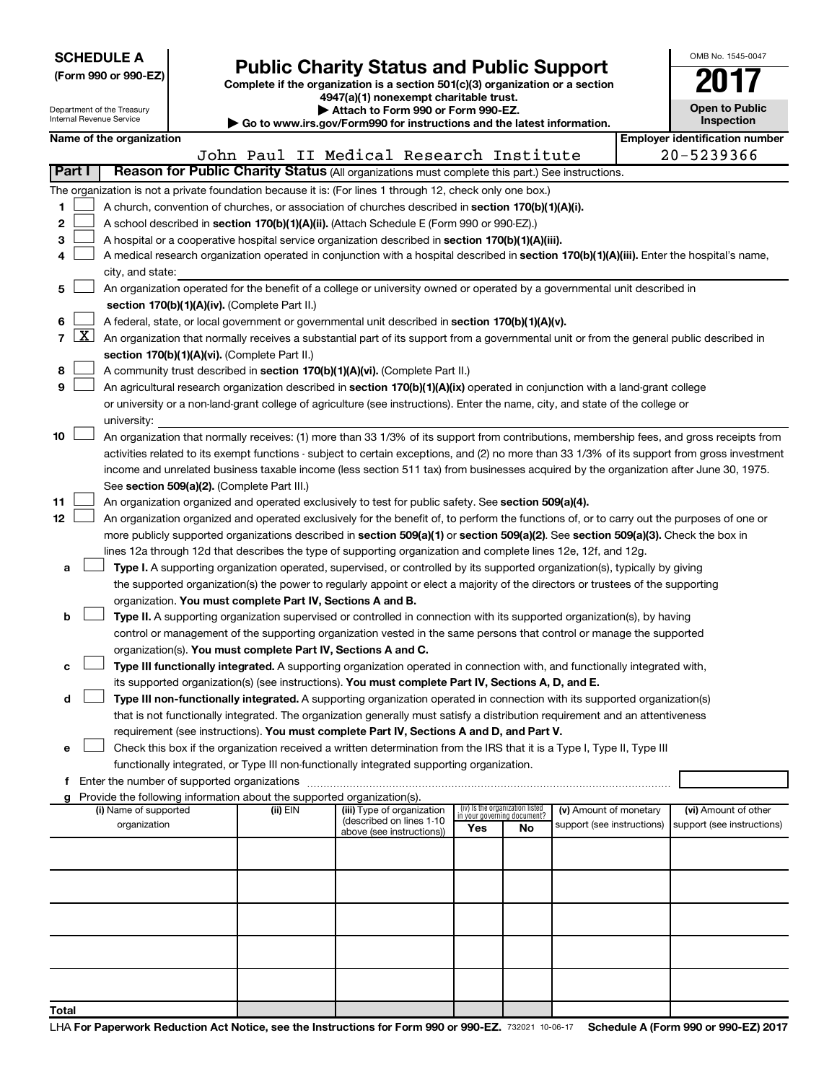| <b>SCHEDULE A</b> |  |
|-------------------|--|
|-------------------|--|

Department of the Treasury

|  | (Form 990 or 990-EZ) |  |
|--|----------------------|--|
|  |                      |  |

Form 990 or 990-EZ)<br>
Complete if the organization is a section 501(c)(3) organization or a section<br> **Public Charity Status and Public Support** 

**4947(a)(1) nonexempt charitable trust. | Attach to Form 990 or Form 990-EZ.** 

| OMB No. 1545-0047                   |  |  |  |  |  |
|-------------------------------------|--|--|--|--|--|
|                                     |  |  |  |  |  |
| <b>Open to Public</b><br>Inspection |  |  |  |  |  |
|                                     |  |  |  |  |  |

|              | Internal Revenue Service<br>Inspection<br>Go to www.irs.gov/Form990 for instructions and the latest information.                           |                                                                                                                                                                                                 |                                             |                                                                        |                                                                                                                                               |                                                                |    |                                                      |                                                     |
|--------------|--------------------------------------------------------------------------------------------------------------------------------------------|-------------------------------------------------------------------------------------------------------------------------------------------------------------------------------------------------|---------------------------------------------|------------------------------------------------------------------------|-----------------------------------------------------------------------------------------------------------------------------------------------|----------------------------------------------------------------|----|------------------------------------------------------|-----------------------------------------------------|
|              |                                                                                                                                            | Name of the organization                                                                                                                                                                        |                                             |                                                                        | John Paul II Medical Research Institute                                                                                                       |                                                                |    |                                                      | <b>Employer identification number</b><br>20-5239366 |
| Part I       |                                                                                                                                            |                                                                                                                                                                                                 |                                             |                                                                        | Reason for Public Charity Status (All organizations must complete this part.) See instructions.                                               |                                                                |    |                                                      |                                                     |
|              |                                                                                                                                            |                                                                                                                                                                                                 |                                             |                                                                        | The organization is not a private foundation because it is: (For lines 1 through 12, check only one box.)                                     |                                                                |    |                                                      |                                                     |
| 1            |                                                                                                                                            |                                                                                                                                                                                                 |                                             |                                                                        |                                                                                                                                               |                                                                |    |                                                      |                                                     |
| 2            |                                                                                                                                            | A church, convention of churches, or association of churches described in section 170(b)(1)(A)(i).<br>A school described in section 170(b)(1)(A)(ii). (Attach Schedule E (Form 990 or 990-EZ).) |                                             |                                                                        |                                                                                                                                               |                                                                |    |                                                      |                                                     |
| з            |                                                                                                                                            |                                                                                                                                                                                                 |                                             |                                                                        | A hospital or a cooperative hospital service organization described in section 170(b)(1)(A)(iii).                                             |                                                                |    |                                                      |                                                     |
|              | A medical research organization operated in conjunction with a hospital described in section 170(b)(1)(A)(iii). Enter the hospital's name, |                                                                                                                                                                                                 |                                             |                                                                        |                                                                                                                                               |                                                                |    |                                                      |                                                     |
|              |                                                                                                                                            | city, and state:                                                                                                                                                                                |                                             |                                                                        |                                                                                                                                               |                                                                |    |                                                      |                                                     |
| 5            |                                                                                                                                            |                                                                                                                                                                                                 |                                             |                                                                        | An organization operated for the benefit of a college or university owned or operated by a governmental unit described in                     |                                                                |    |                                                      |                                                     |
|              |                                                                                                                                            |                                                                                                                                                                                                 |                                             | section 170(b)(1)(A)(iv). (Complete Part II.)                          |                                                                                                                                               |                                                                |    |                                                      |                                                     |
| 6            |                                                                                                                                            |                                                                                                                                                                                                 |                                             |                                                                        | A federal, state, or local government or governmental unit described in section 170(b)(1)(A)(v).                                              |                                                                |    |                                                      |                                                     |
| $\mathbf{7}$ | X                                                                                                                                          |                                                                                                                                                                                                 |                                             |                                                                        | An organization that normally receives a substantial part of its support from a governmental unit or from the general public described in     |                                                                |    |                                                      |                                                     |
|              |                                                                                                                                            |                                                                                                                                                                                                 |                                             | section 170(b)(1)(A)(vi). (Complete Part II.)                          |                                                                                                                                               |                                                                |    |                                                      |                                                     |
| 8            |                                                                                                                                            |                                                                                                                                                                                                 |                                             |                                                                        | A community trust described in section 170(b)(1)(A)(vi). (Complete Part II.)                                                                  |                                                                |    |                                                      |                                                     |
| 9            |                                                                                                                                            |                                                                                                                                                                                                 |                                             |                                                                        | An agricultural research organization described in section 170(b)(1)(A)(ix) operated in conjunction with a land-grant college                 |                                                                |    |                                                      |                                                     |
|              |                                                                                                                                            |                                                                                                                                                                                                 |                                             |                                                                        | or university or a non-land-grant college of agriculture (see instructions). Enter the name, city, and state of the college or                |                                                                |    |                                                      |                                                     |
|              |                                                                                                                                            | university:                                                                                                                                                                                     |                                             |                                                                        |                                                                                                                                               |                                                                |    |                                                      |                                                     |
| 10           |                                                                                                                                            |                                                                                                                                                                                                 |                                             |                                                                        | An organization that normally receives: (1) more than 33 1/3% of its support from contributions, membership fees, and gross receipts from     |                                                                |    |                                                      |                                                     |
|              |                                                                                                                                            |                                                                                                                                                                                                 |                                             |                                                                        | activities related to its exempt functions - subject to certain exceptions, and (2) no more than 33 1/3% of its support from gross investment |                                                                |    |                                                      |                                                     |
|              |                                                                                                                                            |                                                                                                                                                                                                 |                                             |                                                                        | income and unrelated business taxable income (less section 511 tax) from businesses acquired by the organization after June 30, 1975.         |                                                                |    |                                                      |                                                     |
|              |                                                                                                                                            |                                                                                                                                                                                                 |                                             | See section 509(a)(2). (Complete Part III.)                            |                                                                                                                                               |                                                                |    |                                                      |                                                     |
| 11           |                                                                                                                                            |                                                                                                                                                                                                 |                                             |                                                                        | An organization organized and operated exclusively to test for public safety. See section 509(a)(4).                                          |                                                                |    |                                                      |                                                     |
| 12           |                                                                                                                                            |                                                                                                                                                                                                 |                                             |                                                                        | An organization organized and operated exclusively for the benefit of, to perform the functions of, or to carry out the purposes of one or    |                                                                |    |                                                      |                                                     |
|              |                                                                                                                                            |                                                                                                                                                                                                 |                                             |                                                                        | more publicly supported organizations described in section 509(a)(1) or section 509(a)(2). See section 509(a)(3). Check the box in            |                                                                |    |                                                      |                                                     |
|              |                                                                                                                                            |                                                                                                                                                                                                 |                                             |                                                                        | lines 12a through 12d that describes the type of supporting organization and complete lines 12e, 12f, and 12g.                                |                                                                |    |                                                      |                                                     |
| а            |                                                                                                                                            |                                                                                                                                                                                                 |                                             |                                                                        | Type I. A supporting organization operated, supervised, or controlled by its supported organization(s), typically by giving                   |                                                                |    |                                                      |                                                     |
|              |                                                                                                                                            |                                                                                                                                                                                                 |                                             |                                                                        | the supported organization(s) the power to regularly appoint or elect a majority of the directors or trustees of the supporting               |                                                                |    |                                                      |                                                     |
|              |                                                                                                                                            |                                                                                                                                                                                                 |                                             | organization. You must complete Part IV, Sections A and B.             |                                                                                                                                               |                                                                |    |                                                      |                                                     |
| b            |                                                                                                                                            |                                                                                                                                                                                                 |                                             |                                                                        | Type II. A supporting organization supervised or controlled in connection with its supported organization(s), by having                       |                                                                |    |                                                      |                                                     |
|              |                                                                                                                                            |                                                                                                                                                                                                 |                                             |                                                                        | control or management of the supporting organization vested in the same persons that control or manage the supported                          |                                                                |    |                                                      |                                                     |
|              |                                                                                                                                            |                                                                                                                                                                                                 |                                             | organization(s). You must complete Part IV, Sections A and C.          |                                                                                                                                               |                                                                |    |                                                      |                                                     |
| с            |                                                                                                                                            |                                                                                                                                                                                                 |                                             |                                                                        | Type III functionally integrated. A supporting organization operated in connection with, and functionally integrated with,                    |                                                                |    |                                                      |                                                     |
|              |                                                                                                                                            |                                                                                                                                                                                                 |                                             |                                                                        | its supported organization(s) (see instructions). You must complete Part IV, Sections A, D, and E.                                            |                                                                |    |                                                      |                                                     |
| d            |                                                                                                                                            |                                                                                                                                                                                                 |                                             |                                                                        | Type III non-functionally integrated. A supporting organization operated in connection with its supported organization(s)                     |                                                                |    |                                                      |                                                     |
|              |                                                                                                                                            |                                                                                                                                                                                                 |                                             |                                                                        | that is not functionally integrated. The organization generally must satisfy a distribution requirement and an attentiveness                  |                                                                |    |                                                      |                                                     |
|              |                                                                                                                                            |                                                                                                                                                                                                 |                                             |                                                                        | requirement (see instructions). You must complete Part IV, Sections A and D, and Part V.                                                      |                                                                |    |                                                      |                                                     |
| е            |                                                                                                                                            |                                                                                                                                                                                                 |                                             |                                                                        | Check this box if the organization received a written determination from the IRS that it is a Type I, Type II, Type III                       |                                                                |    |                                                      |                                                     |
|              |                                                                                                                                            |                                                                                                                                                                                                 |                                             |                                                                        | functionally integrated, or Type III non-functionally integrated supporting organization.                                                     |                                                                |    |                                                      |                                                     |
|              |                                                                                                                                            |                                                                                                                                                                                                 | Enter the number of supported organizations |                                                                        |                                                                                                                                               |                                                                |    |                                                      |                                                     |
|              |                                                                                                                                            |                                                                                                                                                                                                 |                                             | Provide the following information about the supported organization(s). |                                                                                                                                               |                                                                |    |                                                      |                                                     |
|              |                                                                                                                                            | (i) Name of supported                                                                                                                                                                           |                                             | (ii) EIN                                                               | (iii) Type of organization<br>(described on lines 1-10                                                                                        | (iv) Is the organization listed<br>in your governing document? |    | (v) Amount of monetary<br>support (see instructions) | (vi) Amount of other<br>support (see instructions)  |
|              |                                                                                                                                            | organization                                                                                                                                                                                    |                                             |                                                                        | above (see instructions))                                                                                                                     | Yes                                                            | Νo |                                                      |                                                     |
|              |                                                                                                                                            |                                                                                                                                                                                                 |                                             |                                                                        |                                                                                                                                               |                                                                |    |                                                      |                                                     |
|              |                                                                                                                                            |                                                                                                                                                                                                 |                                             |                                                                        |                                                                                                                                               |                                                                |    |                                                      |                                                     |
|              |                                                                                                                                            |                                                                                                                                                                                                 |                                             |                                                                        |                                                                                                                                               |                                                                |    |                                                      |                                                     |
|              |                                                                                                                                            |                                                                                                                                                                                                 |                                             |                                                                        |                                                                                                                                               |                                                                |    |                                                      |                                                     |
|              |                                                                                                                                            |                                                                                                                                                                                                 |                                             |                                                                        |                                                                                                                                               |                                                                |    |                                                      |                                                     |
|              |                                                                                                                                            |                                                                                                                                                                                                 |                                             |                                                                        |                                                                                                                                               |                                                                |    |                                                      |                                                     |
|              |                                                                                                                                            |                                                                                                                                                                                                 |                                             |                                                                        |                                                                                                                                               |                                                                |    |                                                      |                                                     |
|              |                                                                                                                                            |                                                                                                                                                                                                 |                                             |                                                                        |                                                                                                                                               |                                                                |    |                                                      |                                                     |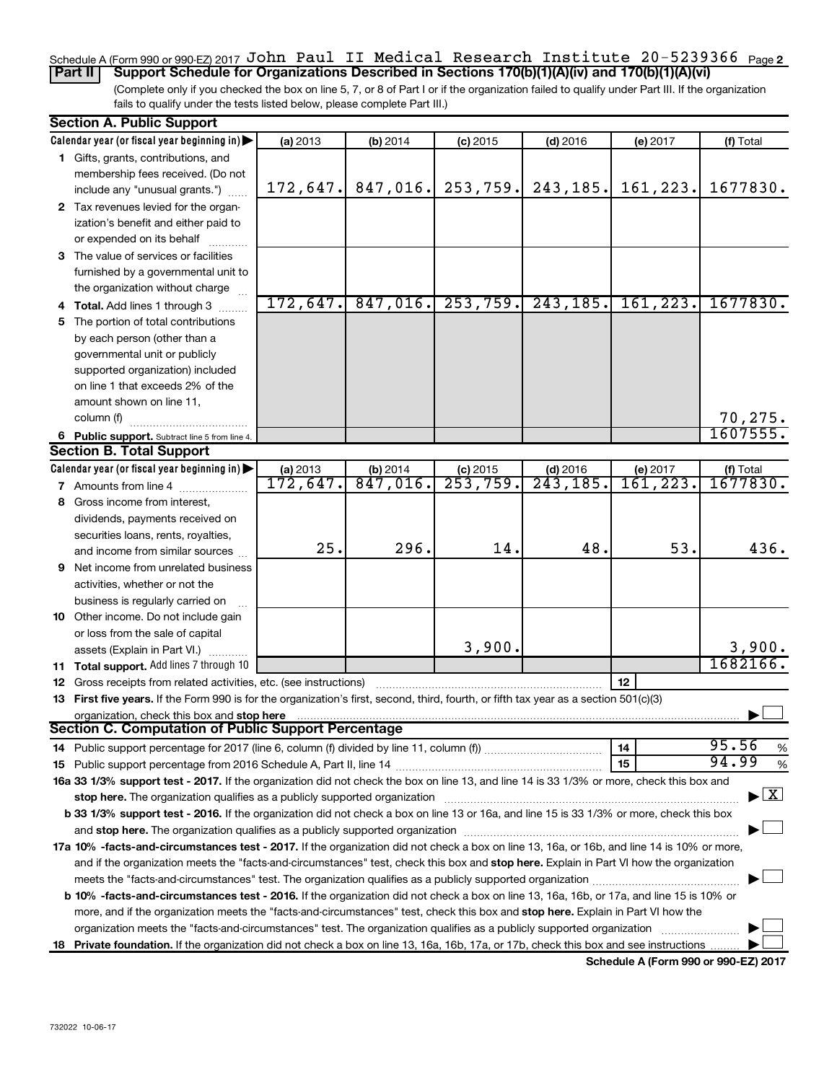## Schedule A (Form 990 or 990-EZ) 2017  $\mathtt{John\ Paul\ II\ Medical\ Research\ Institute\ 20-5239366\ \mathsf{Page2}}$ **Part II Support Schedule for Organizations Described in Sections 170(b)(1)(A)(iv) and 170(b)(1)(A)(vi)**

(Complete only if you checked the box on line 5, 7, or 8 of Part I or if the organization failed to qualify under Part III. If the organization fails to qualify under the tests listed below, please complete Part III.)

|    | <b>Section A. Public Support</b>                                                                                                           |          |                        |                        |                                    |                      |                                           |
|----|--------------------------------------------------------------------------------------------------------------------------------------------|----------|------------------------|------------------------|------------------------------------|----------------------|-------------------------------------------|
|    | Calendar year (or fiscal year beginning in)                                                                                                | (a) 2013 | (b) 2014               | $(c)$ 2015             | $(d)$ 2016                         | (e) 2017             | (f) Total                                 |
|    | 1 Gifts, grants, contributions, and                                                                                                        |          |                        |                        |                                    |                      |                                           |
|    | membership fees received. (Do not                                                                                                          |          |                        |                        |                                    |                      |                                           |
|    | include any "unusual grants.")                                                                                                             | 172,647. | 847,016.               | 253,759.               | 243, 185.                          | 161,223.             | 1677830.                                  |
|    | 2 Tax revenues levied for the organ-                                                                                                       |          |                        |                        |                                    |                      |                                           |
|    | ization's benefit and either paid to                                                                                                       |          |                        |                        |                                    |                      |                                           |
|    | or expended on its behalf                                                                                                                  |          |                        |                        |                                    |                      |                                           |
|    | 3 The value of services or facilities                                                                                                      |          |                        |                        |                                    |                      |                                           |
|    | furnished by a governmental unit to                                                                                                        |          |                        |                        |                                    |                      |                                           |
|    | the organization without charge                                                                                                            |          |                        |                        |                                    |                      |                                           |
|    | 4 Total. Add lines 1 through 3                                                                                                             | 172,647. | 847,016.               | 253,759.               | 243, 185.                          | 161, 223.            | 1677830.                                  |
| 5. | The portion of total contributions                                                                                                         |          |                        |                        |                                    |                      |                                           |
|    | by each person (other than a                                                                                                               |          |                        |                        |                                    |                      |                                           |
|    | governmental unit or publicly                                                                                                              |          |                        |                        |                                    |                      |                                           |
|    | supported organization) included                                                                                                           |          |                        |                        |                                    |                      |                                           |
|    | on line 1 that exceeds 2% of the                                                                                                           |          |                        |                        |                                    |                      |                                           |
|    | amount shown on line 11,                                                                                                                   |          |                        |                        |                                    |                      |                                           |
|    | column (f)                                                                                                                                 |          |                        |                        |                                    |                      | 70,275.                                   |
|    |                                                                                                                                            |          |                        |                        |                                    |                      | 1607555.                                  |
|    | 6 Public support. Subtract line 5 from line 4.<br><b>Section B. Total Support</b>                                                          |          |                        |                        |                                    |                      |                                           |
|    | Calendar year (or fiscal year beginning in)                                                                                                | (a) 2013 |                        |                        |                                    |                      |                                           |
|    |                                                                                                                                            | 172,647. | $(b)$ 2014<br>847,016. | $(c)$ 2015<br>253,759. | $(d)$ 2016<br>$\overline{243,185}$ | (e) 2017<br>161,223. | (f) Total<br>1677830.                     |
|    | <b>7</b> Amounts from line 4                                                                                                               |          |                        |                        |                                    |                      |                                           |
|    | 8 Gross income from interest,                                                                                                              |          |                        |                        |                                    |                      |                                           |
|    | dividends, payments received on                                                                                                            |          |                        |                        |                                    |                      |                                           |
|    | securities loans, rents, royalties,                                                                                                        | 25.      | 296.                   | 14.                    | 48.                                | 53.                  | 436.                                      |
|    | and income from similar sources                                                                                                            |          |                        |                        |                                    |                      |                                           |
|    | <b>9</b> Net income from unrelated business                                                                                                |          |                        |                        |                                    |                      |                                           |
|    | activities, whether or not the                                                                                                             |          |                        |                        |                                    |                      |                                           |
|    | business is regularly carried on                                                                                                           |          |                        |                        |                                    |                      |                                           |
|    | 10 Other income. Do not include gain                                                                                                       |          |                        |                        |                                    |                      |                                           |
|    | or loss from the sale of capital                                                                                                           |          |                        |                        |                                    |                      |                                           |
|    | assets (Explain in Part VI.)                                                                                                               |          |                        | 3,900.                 |                                    |                      | 3,900.                                    |
|    | 11 Total support. Add lines 7 through 10                                                                                                   |          |                        |                        |                                    |                      | 1682166.                                  |
|    | <b>12</b> Gross receipts from related activities, etc. (see instructions)                                                                  |          |                        |                        |                                    | 12                   |                                           |
|    | 13 First five years. If the Form 990 is for the organization's first, second, third, fourth, or fifth tax year as a section 501(c)(3)      |          |                        |                        |                                    |                      |                                           |
|    | organization, check this box and stop here                                                                                                 |          |                        |                        |                                    |                      |                                           |
|    | <b>Section C. Computation of Public Support Percentage</b>                                                                                 |          |                        |                        |                                    |                      |                                           |
|    |                                                                                                                                            |          |                        |                        |                                    | 14                   | 95.56<br>%                                |
|    |                                                                                                                                            |          |                        |                        |                                    | 15                   | 94.99<br>%                                |
|    | 16a 33 1/3% support test - 2017. If the organization did not check the box on line 13, and line 14 is 33 1/3% or more, check this box and  |          |                        |                        |                                    |                      |                                           |
|    | stop here. The organization qualifies as a publicly supported organization manufaction manufacture content and                             |          |                        |                        |                                    |                      | $\blacktriangleright$ $\lfloor x \rfloor$ |
|    | b 33 1/3% support test - 2016. If the organization did not check a box on line 13 or 16a, and line 15 is 33 1/3% or more, check this box   |          |                        |                        |                                    |                      |                                           |
|    |                                                                                                                                            |          |                        |                        |                                    |                      |                                           |
|    | 17a 10% -facts-and-circumstances test - 2017. If the organization did not check a box on line 13, 16a, or 16b, and line 14 is 10% or more, |          |                        |                        |                                    |                      |                                           |
|    | and if the organization meets the "facts-and-circumstances" test, check this box and stop here. Explain in Part VI how the organization    |          |                        |                        |                                    |                      |                                           |
|    |                                                                                                                                            |          |                        |                        |                                    |                      |                                           |
|    | b 10% -facts-and-circumstances test - 2016. If the organization did not check a box on line 13, 16a, 16b, or 17a, and line 15 is 10% or    |          |                        |                        |                                    |                      |                                           |
|    | more, and if the organization meets the "facts-and-circumstances" test, check this box and stop here. Explain in Part VI how the           |          |                        |                        |                                    |                      |                                           |
|    | organization meets the "facts-and-circumstances" test. The organization qualifies as a publicly supported organization                     |          |                        |                        |                                    |                      |                                           |
|    | 18 Private foundation. If the organization did not check a box on line 13, 16a, 16b, 17a, or 17b, check this box and see instructions      |          |                        |                        |                                    |                      |                                           |
|    |                                                                                                                                            |          |                        |                        |                                    |                      |                                           |

**Schedule A (Form 990 or 990-EZ) 2017**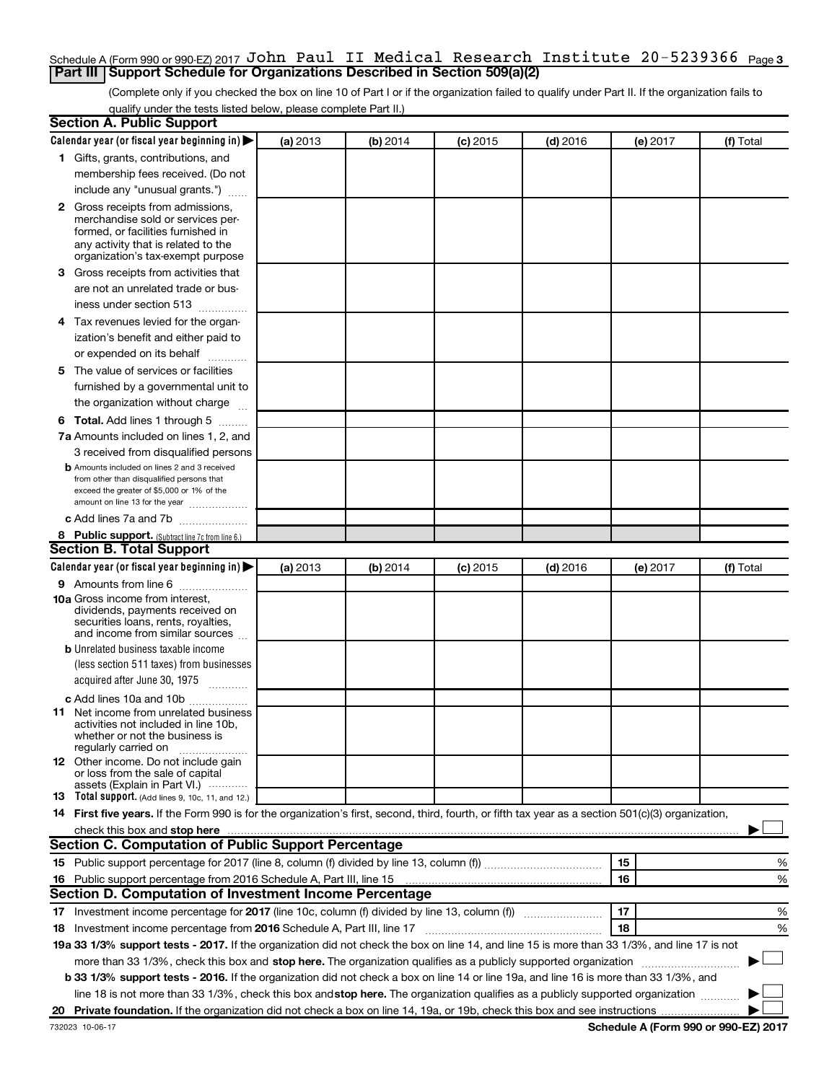## Schedule A (Form 990 or 990-EZ) 2017  $\mathtt{John\ Paul\ II\ Medical\ Research\ Institute\ 20-5239366\ \mathsf{Page\,3}}$ **Part III Support Schedule for Organizations Described in Section 509(a)(2)**

(Complete only if you checked the box on line 10 of Part I or if the organization failed to qualify under Part II. If the organization fails to qualify under the tests listed below, please complete Part II.)

| <b>Section A. Public Support</b>                                                                                                                                                                                              |          |          |            |            |          |           |
|-------------------------------------------------------------------------------------------------------------------------------------------------------------------------------------------------------------------------------|----------|----------|------------|------------|----------|-----------|
| Calendar year (or fiscal year beginning in)                                                                                                                                                                                   | (a) 2013 | (b) 2014 | $(c)$ 2015 | $(d)$ 2016 | (e) 2017 | (f) Total |
| 1 Gifts, grants, contributions, and                                                                                                                                                                                           |          |          |            |            |          |           |
| membership fees received. (Do not                                                                                                                                                                                             |          |          |            |            |          |           |
| include any "unusual grants.")                                                                                                                                                                                                |          |          |            |            |          |           |
| 2 Gross receipts from admissions,                                                                                                                                                                                             |          |          |            |            |          |           |
| merchandise sold or services per-                                                                                                                                                                                             |          |          |            |            |          |           |
| formed, or facilities furnished in<br>any activity that is related to the                                                                                                                                                     |          |          |            |            |          |           |
| organization's tax-exempt purpose                                                                                                                                                                                             |          |          |            |            |          |           |
| 3 Gross receipts from activities that                                                                                                                                                                                         |          |          |            |            |          |           |
| are not an unrelated trade or bus-                                                                                                                                                                                            |          |          |            |            |          |           |
| iness under section 513                                                                                                                                                                                                       |          |          |            |            |          |           |
| 4 Tax revenues levied for the organ-                                                                                                                                                                                          |          |          |            |            |          |           |
| ization's benefit and either paid to                                                                                                                                                                                          |          |          |            |            |          |           |
| or expended on its behalf                                                                                                                                                                                                     |          |          |            |            |          |           |
| 5 The value of services or facilities                                                                                                                                                                                         |          |          |            |            |          |           |
| furnished by a governmental unit to                                                                                                                                                                                           |          |          |            |            |          |           |
| the organization without charge                                                                                                                                                                                               |          |          |            |            |          |           |
| <b>6 Total.</b> Add lines 1 through 5                                                                                                                                                                                         |          |          |            |            |          |           |
| 7a Amounts included on lines 1, 2, and                                                                                                                                                                                        |          |          |            |            |          |           |
| 3 received from disqualified persons                                                                                                                                                                                          |          |          |            |            |          |           |
| <b>b</b> Amounts included on lines 2 and 3 received                                                                                                                                                                           |          |          |            |            |          |           |
| from other than disqualified persons that                                                                                                                                                                                     |          |          |            |            |          |           |
| exceed the greater of \$5,000 or 1% of the<br>amount on line 13 for the year                                                                                                                                                  |          |          |            |            |          |           |
| c Add lines 7a and 7b                                                                                                                                                                                                         |          |          |            |            |          |           |
|                                                                                                                                                                                                                               |          |          |            |            |          |           |
| 8 Public support. (Subtract line 7c from line 6.)<br><b>Section B. Total Support</b>                                                                                                                                          |          |          |            |            |          |           |
| Calendar year (or fiscal year beginning in)                                                                                                                                                                                   | (a) 2013 | (b) 2014 |            | $(d)$ 2016 |          | (f) Total |
|                                                                                                                                                                                                                               |          |          | (c) 2015   |            | (e) 2017 |           |
| <b>9</b> Amounts from line 6<br><b>10a</b> Gross income from interest,                                                                                                                                                        |          |          |            |            |          |           |
| dividends, payments received on                                                                                                                                                                                               |          |          |            |            |          |           |
| securities loans, rents, royalties,                                                                                                                                                                                           |          |          |            |            |          |           |
| and income from similar sources                                                                                                                                                                                               |          |          |            |            |          |           |
| <b>b</b> Unrelated business taxable income<br>(less section 511 taxes) from businesses                                                                                                                                        |          |          |            |            |          |           |
| acquired after June 30, 1975                                                                                                                                                                                                  |          |          |            |            |          |           |
| $\frac{1}{2}$                                                                                                                                                                                                                 |          |          |            |            |          |           |
| c Add lines 10a and 10b                                                                                                                                                                                                       |          |          |            |            |          |           |
| 11 Net income from unrelated business<br>activities not included in line 10b.                                                                                                                                                 |          |          |            |            |          |           |
| whether or not the business is                                                                                                                                                                                                |          |          |            |            |          |           |
| regularly carried on                                                                                                                                                                                                          |          |          |            |            |          |           |
| <b>12</b> Other income. Do not include gain<br>or loss from the sale of capital                                                                                                                                               |          |          |            |            |          |           |
| assets (Explain in Part VI.)                                                                                                                                                                                                  |          |          |            |            |          |           |
| <b>13</b> Total support. (Add lines 9, 10c, 11, and 12.)                                                                                                                                                                      |          |          |            |            |          |           |
| 14 First five years. If the Form 990 is for the organization's first, second, third, fourth, or fifth tax year as a section 501(c)(3) organization,                                                                           |          |          |            |            |          |           |
| check this box and stop here measurements and stop here and stop here are constructed and stop here and stop here and stop here and stop here and stop here and stop here and stop here and stop here are all the stop of the |          |          |            |            |          |           |
| Section C. Computation of Public Support Percentage                                                                                                                                                                           |          |          |            |            |          |           |
|                                                                                                                                                                                                                               |          |          |            |            | 15       | %         |
| 16 Public support percentage from 2016 Schedule A, Part III, line 15                                                                                                                                                          |          |          |            |            | 16       | %         |
| Section D. Computation of Investment Income Percentage                                                                                                                                                                        |          |          |            |            |          |           |
| 17 Investment income percentage for 2017 (line 10c, column (f) divided by line 13, column (f))                                                                                                                                |          |          |            |            | 17       | %         |
| 18 Investment income percentage from 2016 Schedule A, Part III, line 17                                                                                                                                                       |          |          |            |            | 18       | %         |
| 19a 33 1/3% support tests - 2017. If the organization did not check the box on line 14, and line 15 is more than 33 1/3%, and line 17 is not                                                                                  |          |          |            |            |          |           |
| more than 33 1/3%, check this box and stop here. The organization qualifies as a publicly supported organization                                                                                                              |          |          |            |            |          |           |
| b 33 1/3% support tests - 2016. If the organization did not check a box on line 14 or line 19a, and line 16 is more than 33 1/3%, and                                                                                         |          |          |            |            |          |           |
| line 18 is not more than 33 1/3%, check this box and stop here. The organization qualifies as a publicly supported organization                                                                                               |          |          |            |            |          |           |
|                                                                                                                                                                                                                               |          |          |            |            |          |           |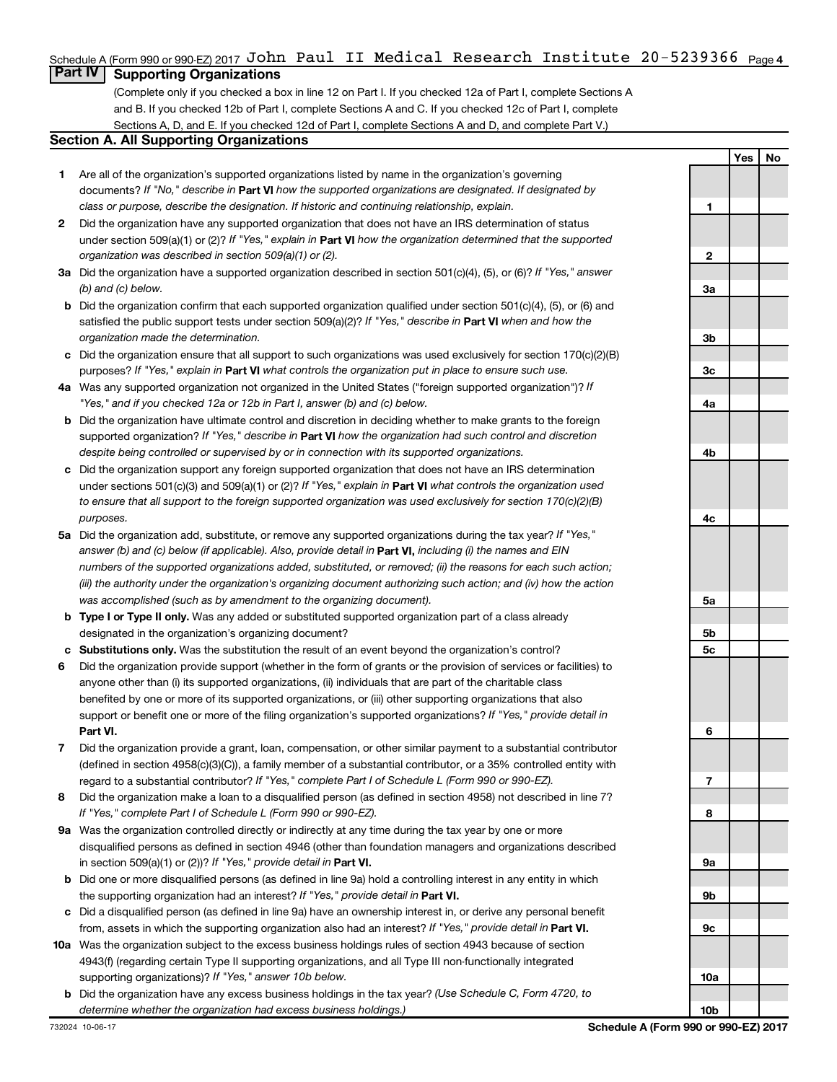## Schedule A (Form 990 or 990-EZ) 2017  $\mathtt{John\ Paul\ II\ Medical\ Research\ Institute\ 20-5239366\ \mathsf{Page\,4}}$

## **Part IV Supporting Organizations**

(Complete only if you checked a box in line 12 on Part I. If you checked 12a of Part I, complete Sections A and B. If you checked 12b of Part I, complete Sections A and C. If you checked 12c of Part I, complete Sections A, D, and E. If you checked 12d of Part I, complete Sections A and D, and complete Part V.)

## **Section A. All Supporting Organizations**

- **1** Are all of the organization's supported organizations listed by name in the organization's governing documents? If "No," describe in Part VI how the supported organizations are designated. If designated by *class or purpose, describe the designation. If historic and continuing relationship, explain.*
- **2** Did the organization have any supported organization that does not have an IRS determination of status under section 509(a)(1) or (2)? If "Yes," explain in Part **VI** how the organization determined that the supported *organization was described in section 509(a)(1) or (2).*
- **3a** Did the organization have a supported organization described in section 501(c)(4), (5), or (6)? If "Yes," answer *(b) and (c) below.*
- **b** Did the organization confirm that each supported organization qualified under section 501(c)(4), (5), or (6) and satisfied the public support tests under section 509(a)(2)? If "Yes," describe in Part VI when and how the *organization made the determination.*
- **c** Did the organization ensure that all support to such organizations was used exclusively for section 170(c)(2)(B) purposes? If "Yes," explain in Part VI what controls the organization put in place to ensure such use.
- **4 a** *If* Was any supported organization not organized in the United States ("foreign supported organization")? *"Yes," and if you checked 12a or 12b in Part I, answer (b) and (c) below.*
- **b** Did the organization have ultimate control and discretion in deciding whether to make grants to the foreign supported organization? If "Yes," describe in Part VI how the organization had such control and discretion *despite being controlled or supervised by or in connection with its supported organizations.*
- **c** Did the organization support any foreign supported organization that does not have an IRS determination under sections 501(c)(3) and 509(a)(1) or (2)? If "Yes," explain in Part VI what controls the organization used *to ensure that all support to the foreign supported organization was used exclusively for section 170(c)(2)(B) purposes.*
- **5a** Did the organization add, substitute, or remove any supported organizations during the tax year? If "Yes," answer (b) and (c) below (if applicable). Also, provide detail in **Part VI,** including (i) the names and EIN *numbers of the supported organizations added, substituted, or removed; (ii) the reasons for each such action; (iii) the authority under the organization's organizing document authorizing such action; and (iv) how the action was accomplished (such as by amendment to the organizing document).*
- **b** Type I or Type II only. Was any added or substituted supported organization part of a class already designated in the organization's organizing document?
- **c Substitutions only.**  Was the substitution the result of an event beyond the organization's control?
- **6** Did the organization provide support (whether in the form of grants or the provision of services or facilities) to **Part VI.** support or benefit one or more of the filing organization's supported organizations? If "Yes," provide detail in anyone other than (i) its supported organizations, (ii) individuals that are part of the charitable class benefited by one or more of its supported organizations, or (iii) other supporting organizations that also
- **7** Did the organization provide a grant, loan, compensation, or other similar payment to a substantial contributor regard to a substantial contributor? If "Yes," complete Part I of Schedule L (Form 990 or 990-EZ). (defined in section 4958(c)(3)(C)), a family member of a substantial contributor, or a 35% controlled entity with
- **8** Did the organization make a loan to a disqualified person (as defined in section 4958) not described in line 7? *If "Yes," complete Part I of Schedule L (Form 990 or 990-EZ).*
- **9 a** Was the organization controlled directly or indirectly at any time during the tax year by one or more in section 509(a)(1) or (2))? If "Yes," provide detail in **Part VI.** disqualified persons as defined in section 4946 (other than foundation managers and organizations described
- **b** Did one or more disqualified persons (as defined in line 9a) hold a controlling interest in any entity in which the supporting organization had an interest? If "Yes," provide detail in Part VI.
- **c** Did a disqualified person (as defined in line 9a) have an ownership interest in, or derive any personal benefit from, assets in which the supporting organization also had an interest? If "Yes," provide detail in Part VI.
- **10 a** Was the organization subject to the excess business holdings rules of section 4943 because of section supporting organizations)? If "Yes," answer 10b below. 4943(f) (regarding certain Type II supporting organizations, and all Type III non-functionally integrated
	- **b** Did the organization have any excess business holdings in the tax year? (Use Schedule C, Form 4720, to *determine whether the organization had excess business holdings.)*

**Yes No**

**10b**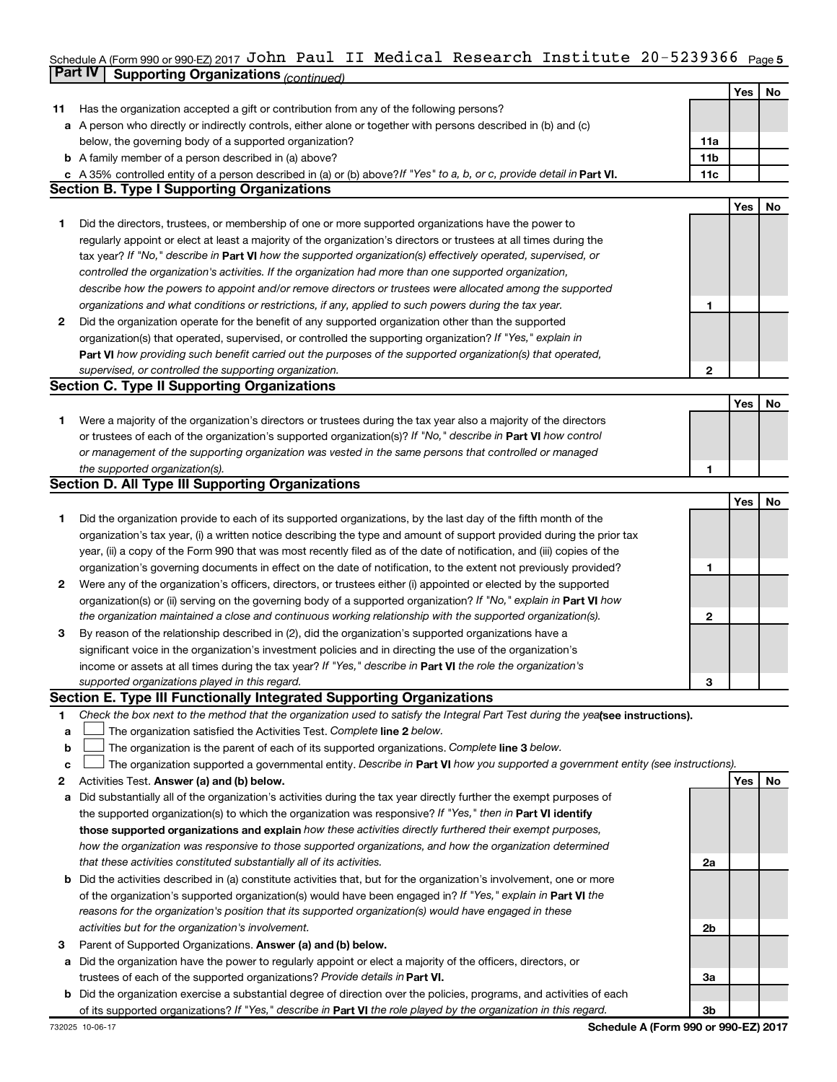#### Schedule A (Form 990 or 990-EZ) 2017 JO**NN** Paul II Medical Research Institute 2U-5239366 <sub>Page 5</sub> **Part IV Supporting Organizations** *(continued)* John Paul II Medical Research Institute 20-5239366

|    |                                                                                                                                                                                                                      |                 | Yes | No |
|----|----------------------------------------------------------------------------------------------------------------------------------------------------------------------------------------------------------------------|-----------------|-----|----|
| 11 | Has the organization accepted a gift or contribution from any of the following persons?                                                                                                                              |                 |     |    |
|    | a A person who directly or indirectly controls, either alone or together with persons described in (b) and (c)                                                                                                       |                 |     |    |
|    | below, the governing body of a supported organization?                                                                                                                                                               | 11a             |     |    |
|    | <b>b</b> A family member of a person described in (a) above?                                                                                                                                                         | 11 <sub>b</sub> |     |    |
|    | c A 35% controlled entity of a person described in (a) or (b) above? If "Yes" to a, b, or c, provide detail in Part VI.                                                                                              | 11c             |     |    |
|    | <b>Section B. Type I Supporting Organizations</b>                                                                                                                                                                    |                 |     |    |
|    |                                                                                                                                                                                                                      |                 | Yes | No |
| 1. | Did the directors, trustees, or membership of one or more supported organizations have the power to                                                                                                                  |                 |     |    |
|    | regularly appoint or elect at least a majority of the organization's directors or trustees at all times during the                                                                                                   |                 |     |    |
|    | tax year? If "No," describe in Part VI how the supported organization(s) effectively operated, supervised, or                                                                                                        |                 |     |    |
|    | controlled the organization's activities. If the organization had more than one supported organization,                                                                                                              |                 |     |    |
|    | describe how the powers to appoint and/or remove directors or trustees were allocated among the supported                                                                                                            |                 |     |    |
|    | organizations and what conditions or restrictions, if any, applied to such powers during the tax year.                                                                                                               | 1               |     |    |
| 2  | Did the organization operate for the benefit of any supported organization other than the supported                                                                                                                  |                 |     |    |
|    | organization(s) that operated, supervised, or controlled the supporting organization? If "Yes," explain in                                                                                                           |                 |     |    |
|    | Part VI how providing such benefit carried out the purposes of the supported organization(s) that operated,                                                                                                          |                 |     |    |
|    | supervised, or controlled the supporting organization.                                                                                                                                                               | 2               |     |    |
|    | <b>Section C. Type II Supporting Organizations</b>                                                                                                                                                                   |                 |     |    |
|    |                                                                                                                                                                                                                      |                 | Yes | No |
| 1. | Were a majority of the organization's directors or trustees during the tax year also a majority of the directors                                                                                                     |                 |     |    |
|    | or trustees of each of the organization's supported organization(s)? If "No," describe in Part VI how control                                                                                                        |                 |     |    |
|    | or management of the supporting organization was vested in the same persons that controlled or managed                                                                                                               |                 |     |    |
|    | the supported organization(s).                                                                                                                                                                                       | 1               |     |    |
|    | <b>Section D. All Type III Supporting Organizations</b>                                                                                                                                                              |                 |     |    |
|    |                                                                                                                                                                                                                      |                 | Yes | No |
| 1. | Did the organization provide to each of its supported organizations, by the last day of the fifth month of the                                                                                                       |                 |     |    |
|    | organization's tax year, (i) a written notice describing the type and amount of support provided during the prior tax                                                                                                |                 |     |    |
|    | year, (ii) a copy of the Form 990 that was most recently filed as of the date of notification, and (iii) copies of the                                                                                               |                 |     |    |
|    | organization's governing documents in effect on the date of notification, to the extent not previously provided?                                                                                                     | 1               |     |    |
| 2  | Were any of the organization's officers, directors, or trustees either (i) appointed or elected by the supported                                                                                                     |                 |     |    |
|    | organization(s) or (ii) serving on the governing body of a supported organization? If "No," explain in Part VI how                                                                                                   | 2               |     |    |
|    | the organization maintained a close and continuous working relationship with the supported organization(s).<br>By reason of the relationship described in (2), did the organization's supported organizations have a |                 |     |    |
| 3  | significant voice in the organization's investment policies and in directing the use of the organization's                                                                                                           |                 |     |    |
|    | income or assets at all times during the tax year? If "Yes," describe in Part VI the role the organization's                                                                                                         |                 |     |    |
|    | supported organizations played in this regard.                                                                                                                                                                       | 3               |     |    |
|    | Section E. Type III Functionally Integrated Supporting Organizations                                                                                                                                                 |                 |     |    |
| 1  | Check the box next to the method that the organization used to satisfy the Integral Part Test during the yealsee instructions).                                                                                      |                 |     |    |
| a  | The organization satisfied the Activities Test. Complete line 2 below.                                                                                                                                               |                 |     |    |
| b  | The organization is the parent of each of its supported organizations. Complete line 3 below.                                                                                                                        |                 |     |    |
| c  | The organization supported a governmental entity. Describe in Part VI how you supported a government entity (see instructions).                                                                                      |                 |     |    |
| 2  | Activities Test. Answer (a) and (b) below.                                                                                                                                                                           |                 | Yes | No |
| а  | Did substantially all of the organization's activities during the tax year directly further the exempt purposes of                                                                                                   |                 |     |    |
|    | the supported organization(s) to which the organization was responsive? If "Yes," then in Part VI identify                                                                                                           |                 |     |    |
|    | those supported organizations and explain how these activities directly furthered their exempt purposes,                                                                                                             |                 |     |    |
|    | how the organization was responsive to those supported organizations, and how the organization determined                                                                                                            |                 |     |    |
|    | that these activities constituted substantially all of its activities.                                                                                                                                               | 2a              |     |    |
| b  | Did the activities described in (a) constitute activities that, but for the organization's involvement, one or more                                                                                                  |                 |     |    |
|    | of the organization's supported organization(s) would have been engaged in? If "Yes," explain in Part VI the                                                                                                         |                 |     |    |
|    | reasons for the organization's position that its supported organization(s) would have engaged in these                                                                                                               |                 |     |    |
|    | activities but for the organization's involvement.                                                                                                                                                                   | 2b              |     |    |
| з  | Parent of Supported Organizations. Answer (a) and (b) below.                                                                                                                                                         |                 |     |    |
| а  | Did the organization have the power to regularly appoint or elect a majority of the officers, directors, or                                                                                                          |                 |     |    |
|    | trustees of each of the supported organizations? Provide details in Part VI.                                                                                                                                         | За              |     |    |
| b  | Did the organization exercise a substantial degree of direction over the policies, programs, and activities of each                                                                                                  |                 |     |    |
|    | of its supported organizations? If "Yes," describe in Part VI the role played by the organization in this regard.                                                                                                    | 3b              |     |    |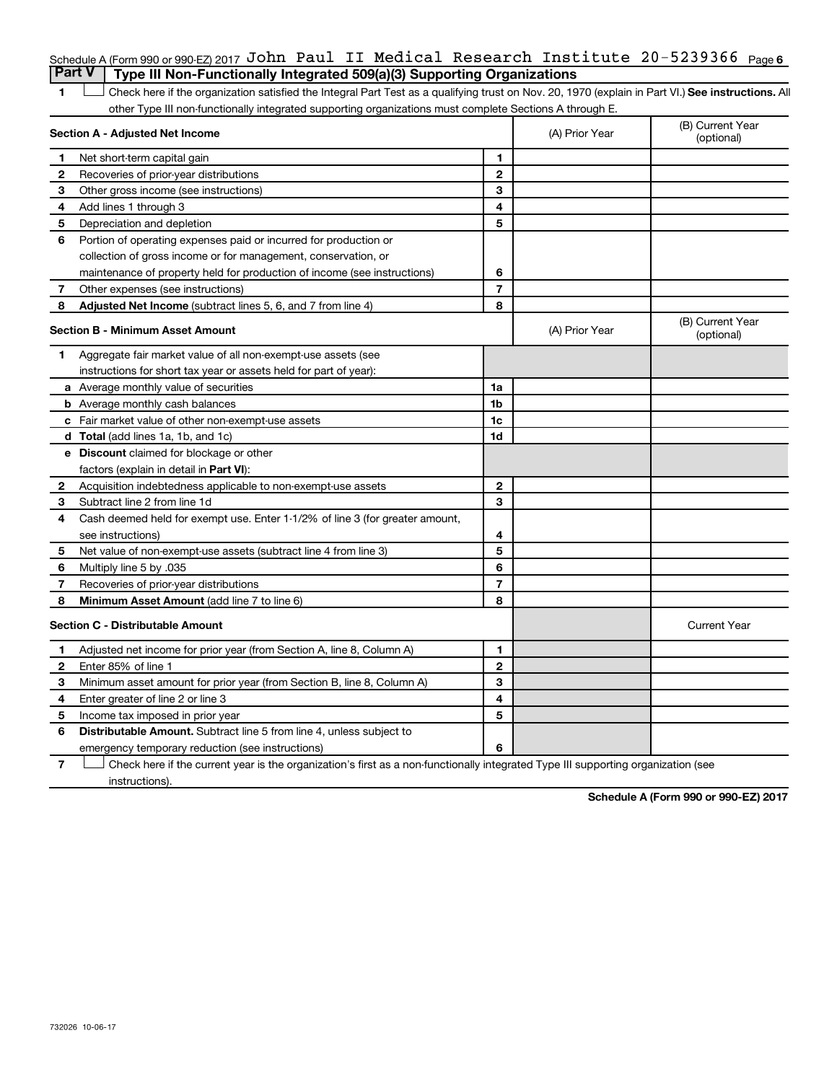## Schedule A (Form 990 or 990-EZ) 2017 <code>John Paul II Medical Research Institute 20-5239366 Page 6</code> **Part V Type III Non-Functionally Integrated 509(a)(3) Supporting Organizations**

1 **Letter See instructions.** All Check here if the organization satisfied the Integral Part Test as a qualifying trust on Nov. 20, 1970 (explain in Part VI.) See instructions. All other Type III non-functionally integrated supporting organizations must complete Sections A through E.

|                                         | Section A - Adjusted Net Income                                              | (A) Prior Year | (B) Current Year<br>(optional) |                                |
|-----------------------------------------|------------------------------------------------------------------------------|----------------|--------------------------------|--------------------------------|
| 1                                       | Net short-term capital gain                                                  | 1              |                                |                                |
| 2                                       | Recoveries of prior-year distributions                                       | $\mathbf{2}$   |                                |                                |
| З                                       | Other gross income (see instructions)                                        | 3              |                                |                                |
| 4                                       | Add lines 1 through 3                                                        | 4              |                                |                                |
| 5                                       | Depreciation and depletion                                                   | 5              |                                |                                |
| 6                                       | Portion of operating expenses paid or incurred for production or             |                |                                |                                |
|                                         | collection of gross income or for management, conservation, or               |                |                                |                                |
|                                         | maintenance of property held for production of income (see instructions)     | 6              |                                |                                |
| 7                                       | Other expenses (see instructions)                                            | $\overline{7}$ |                                |                                |
| 8                                       | Adjusted Net Income (subtract lines 5, 6, and 7 from line 4)                 | 8              |                                |                                |
| <b>Section B - Minimum Asset Amount</b> |                                                                              |                | (A) Prior Year                 | (B) Current Year<br>(optional) |
| 1.                                      | Aggregate fair market value of all non-exempt-use assets (see                |                |                                |                                |
|                                         | instructions for short tax year or assets held for part of year):            |                |                                |                                |
|                                         | a Average monthly value of securities                                        | 1a             |                                |                                |
|                                         | <b>b</b> Average monthly cash balances                                       | 1 <sub>b</sub> |                                |                                |
|                                         | <b>c</b> Fair market value of other non-exempt-use assets                    | 1c             |                                |                                |
|                                         | d Total (add lines 1a, 1b, and 1c)                                           | 1d             |                                |                                |
|                                         | e Discount claimed for blockage or other                                     |                |                                |                                |
|                                         | factors (explain in detail in <b>Part VI</b> ):                              |                |                                |                                |
| 2                                       | Acquisition indebtedness applicable to non-exempt-use assets                 | $\mathbf{2}$   |                                |                                |
| 3                                       | Subtract line 2 from line 1d                                                 | 3              |                                |                                |
| 4                                       | Cash deemed held for exempt use. Enter 1-1/2% of line 3 (for greater amount, |                |                                |                                |
|                                         | see instructions)                                                            | 4              |                                |                                |
| 5                                       | Net value of non-exempt-use assets (subtract line 4 from line 3)             | 5              |                                |                                |
| 6                                       | Multiply line 5 by .035                                                      | 6              |                                |                                |
| $\overline{7}$                          | Recoveries of prior-year distributions                                       | $\overline{7}$ |                                |                                |
| 8                                       | <b>Minimum Asset Amount (add line 7 to line 6)</b>                           | 8              |                                |                                |
|                                         | <b>Section C - Distributable Amount</b>                                      |                |                                | <b>Current Year</b>            |
| 1                                       | Adjusted net income for prior year (from Section A, line 8, Column A)        | 1              |                                |                                |
| 2                                       | Enter 85% of line 1                                                          | $\mathbf{2}$   |                                |                                |
| з                                       | Minimum asset amount for prior year (from Section B, line 8, Column A)       | 3              |                                |                                |
| 4                                       | Enter greater of line 2 or line 3                                            | 4              |                                |                                |
| 5                                       | Income tax imposed in prior year                                             | 5              |                                |                                |
| 6                                       | Distributable Amount. Subtract line 5 from line 4, unless subject to         |                |                                |                                |
|                                         | emergency temporary reduction (see instructions)                             | 6              |                                |                                |

**7** Let Check here if the current year is the organization's first as a non-functionally integrated Type III supporting organization (see instructions).

**Schedule A (Form 990 or 990-EZ) 2017**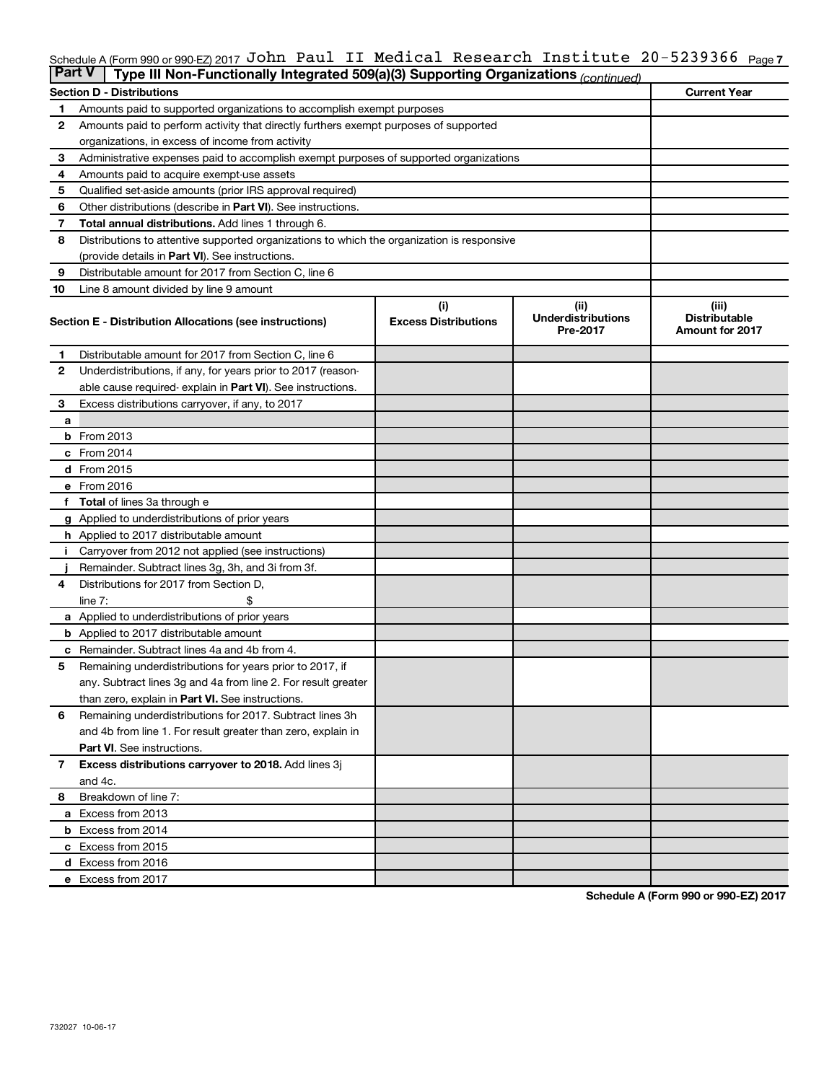#### Schedule A (Form 990 or 990-EZ) 2017 J**ONN** Paul II Medical Research Institute 2U-5239366 <sub>Page 7</sub> John Paul II Medical Research Institute 20-5239366

| <b>Part V</b>                    | Type III Non-Functionally Integrated 509(a)(3) Supporting Organizations (continued)        |                             |                                       |                                                |  |  |  |  |  |
|----------------------------------|--------------------------------------------------------------------------------------------|-----------------------------|---------------------------------------|------------------------------------------------|--|--|--|--|--|
| <b>Section D - Distributions</b> | <b>Current Year</b>                                                                        |                             |                                       |                                                |  |  |  |  |  |
| 1                                | Amounts paid to supported organizations to accomplish exempt purposes                      |                             |                                       |                                                |  |  |  |  |  |
| 2                                | Amounts paid to perform activity that directly furthers exempt purposes of supported       |                             |                                       |                                                |  |  |  |  |  |
|                                  | organizations, in excess of income from activity                                           |                             |                                       |                                                |  |  |  |  |  |
| 3                                | Administrative expenses paid to accomplish exempt purposes of supported organizations      |                             |                                       |                                                |  |  |  |  |  |
| 4                                | Amounts paid to acquire exempt-use assets                                                  |                             |                                       |                                                |  |  |  |  |  |
| 5                                | Qualified set-aside amounts (prior IRS approval required)                                  |                             |                                       |                                                |  |  |  |  |  |
| 6                                | Other distributions (describe in <b>Part VI</b> ). See instructions.                       |                             |                                       |                                                |  |  |  |  |  |
| 7                                | Total annual distributions. Add lines 1 through 6.                                         |                             |                                       |                                                |  |  |  |  |  |
| 8                                | Distributions to attentive supported organizations to which the organization is responsive |                             |                                       |                                                |  |  |  |  |  |
|                                  | (provide details in Part VI). See instructions.                                            |                             |                                       |                                                |  |  |  |  |  |
| 9                                | Distributable amount for 2017 from Section C, line 6                                       |                             |                                       |                                                |  |  |  |  |  |
| 10                               | Line 8 amount divided by line 9 amount                                                     |                             |                                       |                                                |  |  |  |  |  |
|                                  |                                                                                            | (i)                         | (ii)                                  | (iii)                                          |  |  |  |  |  |
|                                  | Section E - Distribution Allocations (see instructions)                                    | <b>Excess Distributions</b> | <b>Underdistributions</b><br>Pre-2017 | <b>Distributable</b><br><b>Amount for 2017</b> |  |  |  |  |  |
| 1                                | Distributable amount for 2017 from Section C, line 6                                       |                             |                                       |                                                |  |  |  |  |  |
| $\mathbf{2}$                     | Underdistributions, if any, for years prior to 2017 (reason-                               |                             |                                       |                                                |  |  |  |  |  |
|                                  | able cause required-explain in Part VI). See instructions.                                 |                             |                                       |                                                |  |  |  |  |  |
| 3                                | Excess distributions carryover, if any, to 2017                                            |                             |                                       |                                                |  |  |  |  |  |
| a                                |                                                                                            |                             |                                       |                                                |  |  |  |  |  |
|                                  | <b>b</b> From 2013                                                                         |                             |                                       |                                                |  |  |  |  |  |
|                                  | c From 2014                                                                                |                             |                                       |                                                |  |  |  |  |  |
|                                  | d From 2015                                                                                |                             |                                       |                                                |  |  |  |  |  |
|                                  | e From 2016                                                                                |                             |                                       |                                                |  |  |  |  |  |
|                                  | <b>Total</b> of lines 3a through e                                                         |                             |                                       |                                                |  |  |  |  |  |
|                                  | <b>g</b> Applied to underdistributions of prior years                                      |                             |                                       |                                                |  |  |  |  |  |
|                                  | <b>h</b> Applied to 2017 distributable amount                                              |                             |                                       |                                                |  |  |  |  |  |
|                                  | Carryover from 2012 not applied (see instructions)                                         |                             |                                       |                                                |  |  |  |  |  |
|                                  | Remainder. Subtract lines 3g, 3h, and 3i from 3f.                                          |                             |                                       |                                                |  |  |  |  |  |
| 4                                | Distributions for 2017 from Section D,                                                     |                             |                                       |                                                |  |  |  |  |  |
|                                  | $line 7$ :                                                                                 |                             |                                       |                                                |  |  |  |  |  |
|                                  | <b>a</b> Applied to underdistributions of prior years                                      |                             |                                       |                                                |  |  |  |  |  |
|                                  | <b>b</b> Applied to 2017 distributable amount                                              |                             |                                       |                                                |  |  |  |  |  |
| с                                | Remainder. Subtract lines 4a and 4b from 4.                                                |                             |                                       |                                                |  |  |  |  |  |
| 5                                | Remaining underdistributions for years prior to 2017, if                                   |                             |                                       |                                                |  |  |  |  |  |
|                                  | any. Subtract lines 3g and 4a from line 2. For result greater                              |                             |                                       |                                                |  |  |  |  |  |
|                                  | than zero, explain in Part VI. See instructions.                                           |                             |                                       |                                                |  |  |  |  |  |
| 6                                | Remaining underdistributions for 2017. Subtract lines 3h                                   |                             |                                       |                                                |  |  |  |  |  |
|                                  | and 4b from line 1. For result greater than zero, explain in                               |                             |                                       |                                                |  |  |  |  |  |
|                                  | <b>Part VI.</b> See instructions.                                                          |                             |                                       |                                                |  |  |  |  |  |
| $\mathbf{7}$                     | Excess distributions carryover to 2018. Add lines 3j                                       |                             |                                       |                                                |  |  |  |  |  |
|                                  | and 4c.                                                                                    |                             |                                       |                                                |  |  |  |  |  |
| 8                                | Breakdown of line 7:                                                                       |                             |                                       |                                                |  |  |  |  |  |
|                                  | a Excess from 2013                                                                         |                             |                                       |                                                |  |  |  |  |  |
|                                  | <b>b</b> Excess from 2014                                                                  |                             |                                       |                                                |  |  |  |  |  |
|                                  | c Excess from 2015                                                                         |                             |                                       |                                                |  |  |  |  |  |
|                                  | d Excess from 2016                                                                         |                             |                                       |                                                |  |  |  |  |  |
|                                  | e Excess from 2017                                                                         |                             |                                       |                                                |  |  |  |  |  |

**Schedule A (Form 990 or 990-EZ) 2017**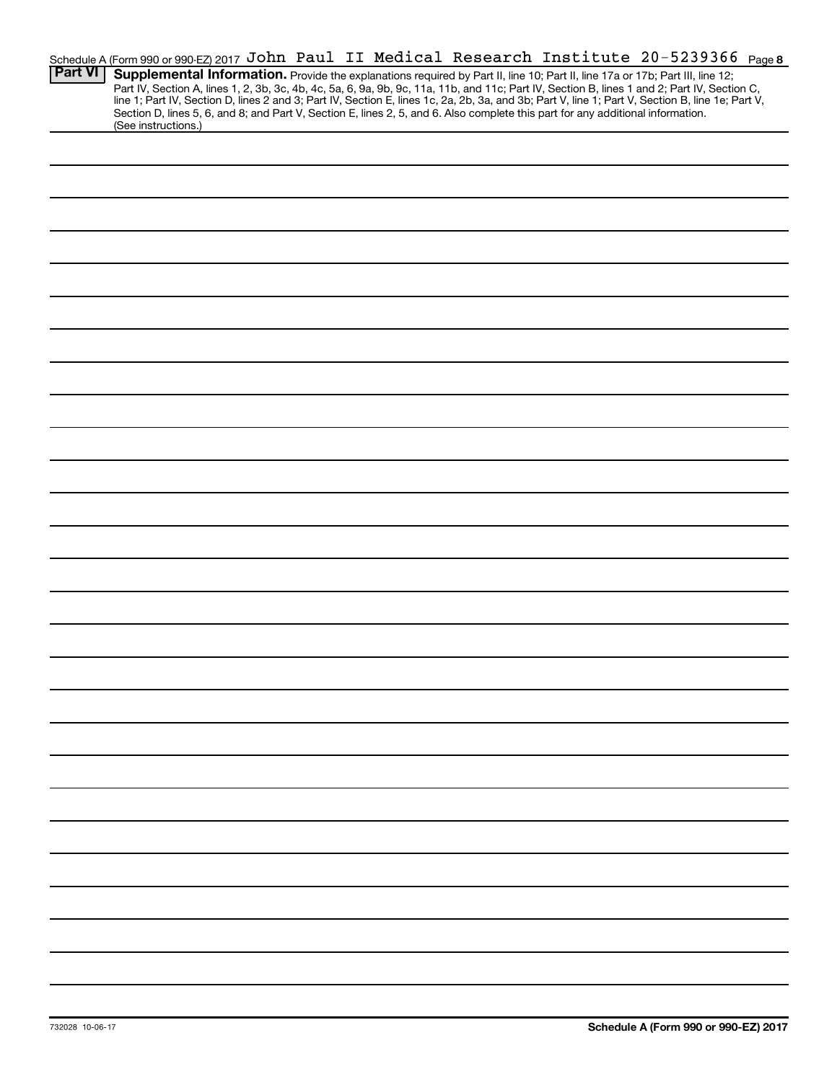|                | Schedule A (Form 990 or 990-EZ) 2017 John Paul II Medical Research Institute 20-5239366 Page 8                                                                                                                                                                                                   |
|----------------|--------------------------------------------------------------------------------------------------------------------------------------------------------------------------------------------------------------------------------------------------------------------------------------------------|
| <b>Part VI</b> | Supplemental Information. Provide the explanations required by Part II, line 10; Part II, line 17a or 17b; Part III, line 12;                                                                                                                                                                    |
|                | Part IV, Section A, lines 1, 2, 3b, 3c, 4b, 4c, 5a, 6, 9a, 9b, 9c, 11a, 11b, and 11c; Part IV, Section B, lines 1 and 2; Part IV, Section C,<br>line 1; Part IV, Section D, lines 2 and 3; Part IV, Section E, lines 1c, 2a, 2b, 3a, and 3b; Part V, line 1; Part V, Section B, line 1e; Part V, |
|                | Section D, lines 5, 6, and 8; and Part V, Section E, lines 2, 5, and 6. Also complete this part for any additional information.                                                                                                                                                                  |
|                | (See instructions.)                                                                                                                                                                                                                                                                              |
|                |                                                                                                                                                                                                                                                                                                  |
|                |                                                                                                                                                                                                                                                                                                  |
|                |                                                                                                                                                                                                                                                                                                  |
|                |                                                                                                                                                                                                                                                                                                  |
|                |                                                                                                                                                                                                                                                                                                  |
|                |                                                                                                                                                                                                                                                                                                  |
|                |                                                                                                                                                                                                                                                                                                  |
|                |                                                                                                                                                                                                                                                                                                  |
|                |                                                                                                                                                                                                                                                                                                  |
|                |                                                                                                                                                                                                                                                                                                  |
|                |                                                                                                                                                                                                                                                                                                  |
|                |                                                                                                                                                                                                                                                                                                  |
|                |                                                                                                                                                                                                                                                                                                  |
|                |                                                                                                                                                                                                                                                                                                  |
|                |                                                                                                                                                                                                                                                                                                  |
|                |                                                                                                                                                                                                                                                                                                  |
|                |                                                                                                                                                                                                                                                                                                  |
|                |                                                                                                                                                                                                                                                                                                  |
|                |                                                                                                                                                                                                                                                                                                  |
|                |                                                                                                                                                                                                                                                                                                  |
|                |                                                                                                                                                                                                                                                                                                  |
|                |                                                                                                                                                                                                                                                                                                  |
|                |                                                                                                                                                                                                                                                                                                  |
|                |                                                                                                                                                                                                                                                                                                  |
|                |                                                                                                                                                                                                                                                                                                  |
|                |                                                                                                                                                                                                                                                                                                  |
|                |                                                                                                                                                                                                                                                                                                  |
|                |                                                                                                                                                                                                                                                                                                  |
|                |                                                                                                                                                                                                                                                                                                  |
|                |                                                                                                                                                                                                                                                                                                  |
|                |                                                                                                                                                                                                                                                                                                  |
|                |                                                                                                                                                                                                                                                                                                  |
|                |                                                                                                                                                                                                                                                                                                  |
|                |                                                                                                                                                                                                                                                                                                  |
|                |                                                                                                                                                                                                                                                                                                  |
|                |                                                                                                                                                                                                                                                                                                  |
|                |                                                                                                                                                                                                                                                                                                  |
|                |                                                                                                                                                                                                                                                                                                  |
|                |                                                                                                                                                                                                                                                                                                  |
|                |                                                                                                                                                                                                                                                                                                  |
|                |                                                                                                                                                                                                                                                                                                  |
|                |                                                                                                                                                                                                                                                                                                  |
|                |                                                                                                                                                                                                                                                                                                  |
|                |                                                                                                                                                                                                                                                                                                  |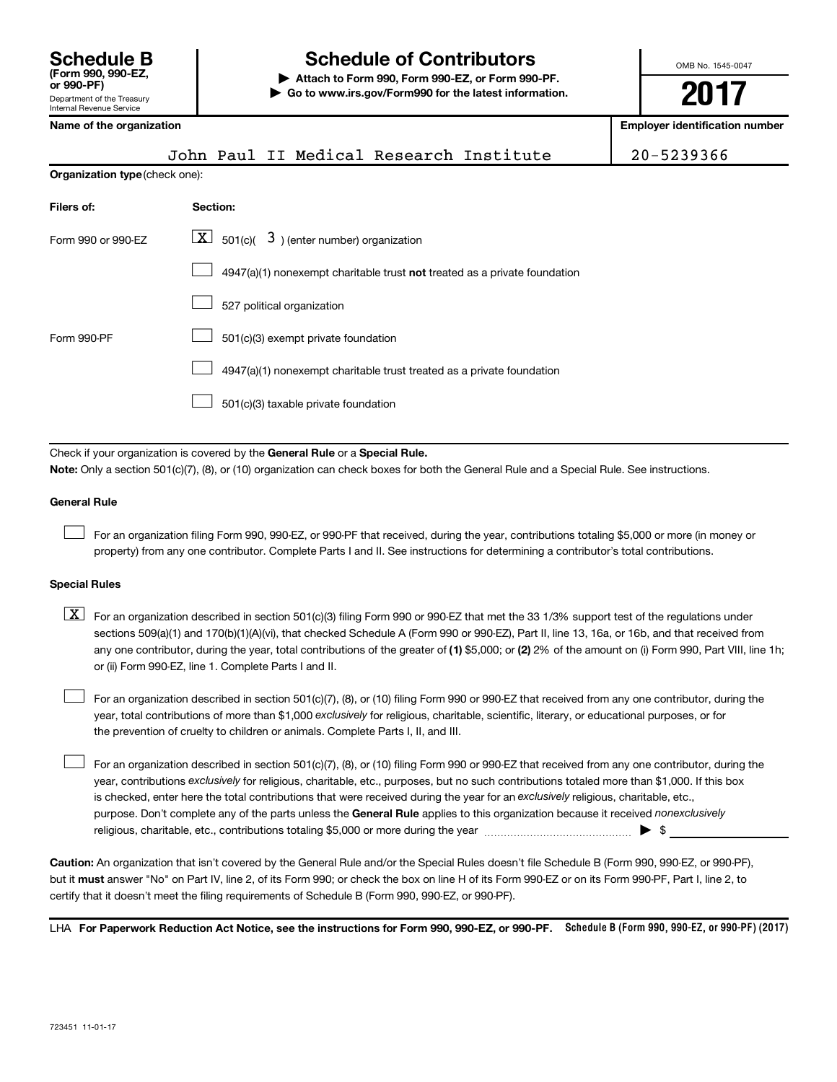# **Schedule B Schedule of Contributors**

**or 990-PF) | Attach to Form 990, Form 990-EZ, or Form 990-PF. | Go to www.irs.gov/Form990 for the latest information.** OMB No. 1545-0047

**2017**

**Name of the organization Employer identification number**

| 990-PF)                                          |  |  |
|--------------------------------------------------|--|--|
| vartment of the Treasury<br>rnal Revenue Service |  |  |
|                                                  |  |  |

| ivalile vi tile vi yahizativil |  |  |  |
|--------------------------------|--|--|--|
|                                |  |  |  |

|                                | John Paul II Medical Research Institute                                   | 20-5239366 |  |  |  |  |  |  |
|--------------------------------|---------------------------------------------------------------------------|------------|--|--|--|--|--|--|
| Organization type (check one): |                                                                           |            |  |  |  |  |  |  |
| Filers of:                     | Section:                                                                  |            |  |  |  |  |  |  |
| Form 990 or 990-EZ             | $ \mathbf{X} $ 501(c)( 3) (enter number) organization                     |            |  |  |  |  |  |  |
|                                | 4947(a)(1) nonexempt charitable trust not treated as a private foundation |            |  |  |  |  |  |  |
|                                | 527 political organization                                                |            |  |  |  |  |  |  |
| Form 990-PF                    | 501(c)(3) exempt private foundation                                       |            |  |  |  |  |  |  |
|                                | $\cdots$ $\cdots$                                                         |            |  |  |  |  |  |  |

 $\Box$  4947(a)(1) nonexempt charitable trust treated as a private foundation

501(c)(3) taxable private foundation  $\Box$ 

Check if your organization is covered by the General Rule or a Special Rule.

**Note:**  Only a section 501(c)(7), (8), or (10) organization can check boxes for both the General Rule and a Special Rule. See instructions.

## **General Rule**

 $\Box$ 

For an organization filing Form 990, 990-EZ, or 990-PF that received, during the year, contributions totaling \$5,000 or more (in money or property) from any one contributor. Complete Parts I and II. See instructions for determining a contributor's total contributions.

## **Special Rules**

any one contributor, during the year, total contributions of the greater of (1) \$5,000; or (2) 2% of the amount on (i) Form 990, Part VIII, line 1h;  $\boxed{\text{X}}$  For an organization described in section 501(c)(3) filing Form 990 or 990-EZ that met the 33 1/3% support test of the regulations under sections 509(a)(1) and 170(b)(1)(A)(vi), that checked Schedule A (Form 990 or 990-EZ), Part II, line 13, 16a, or 16b, and that received from or (ii) Form 990-EZ, line 1. Complete Parts I and II.

year, total contributions of more than \$1,000 *exclusively* for religious, charitable, scientific, literary, or educational purposes, or for For an organization described in section 501(c)(7), (8), or (10) filing Form 990 or 990-EZ that received from any one contributor, during the the prevention of cruelty to children or animals. Complete Parts I, II, and III.  $\Box$ 

purpose. Don't complete any of the parts unless the General Rule applies to this organization because it received nonexclusively year, contributions exclusively for religious, charitable, etc., purposes, but no such contributions totaled more than \$1,000. If this box is checked, enter here the total contributions that were received during the year for an exclusively religious, charitable, etc., For an organization described in section 501(c)(7), (8), or (10) filing Form 990 or 990-EZ that received from any one contributor, during the religious, charitable, etc., contributions totaling \$5,000 or more during the year  $\ldots$  $\ldots$  $\ldots$  $\ldots$  $\ldots$  $\ldots$  $\Box$ 

**Caution:**  An organization that isn't covered by the General Rule and/or the Special Rules doesn't file Schedule B (Form 990, 990-EZ, or 990-PF),  **must** but it answer "No" on Part IV, line 2, of its Form 990; or check the box on line H of its Form 990-EZ or on its Form 990-PF, Part I, line 2, to certify that it doesn't meet the filing requirements of Schedule B (Form 990, 990-EZ, or 990-PF).

LHA For Paperwork Reduction Act Notice, see the instructions for Form 990, 990-EZ, or 990-PF. Schedule B (Form 990, 990-EZ, or 990-PF) (2017)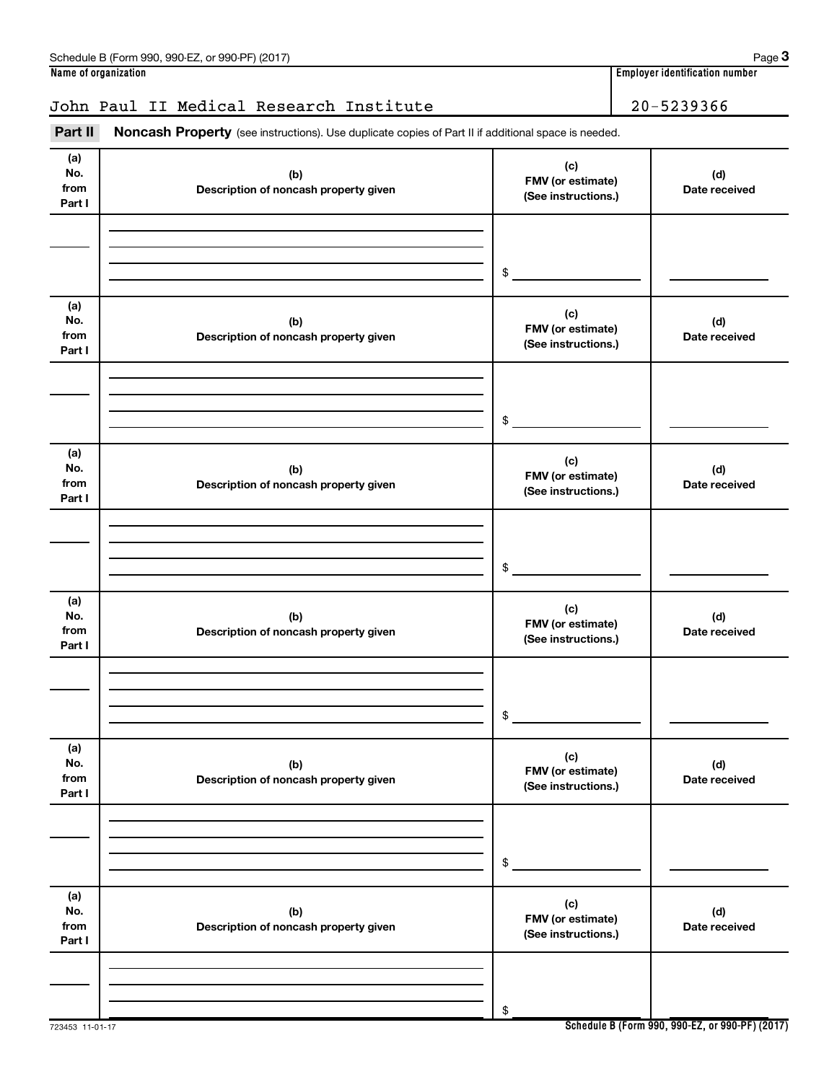## John Paul II Medical Research Institute | 20-5239366

Part II Noncash Property (see instructions). Use duplicate copies of Part II if additional space is needed.

| (a)<br>No.<br>from<br>Part I | (b)<br>Description of noncash property given | (c)<br>FMV (or estimate)<br>(See instructions.) | (d)<br>Date received |
|------------------------------|----------------------------------------------|-------------------------------------------------|----------------------|
|                              |                                              | \$                                              |                      |
| (a)<br>No.<br>from<br>Part I | (b)<br>Description of noncash property given | (c)<br>FMV (or estimate)<br>(See instructions.) | (d)<br>Date received |
|                              |                                              | \$                                              |                      |
| (a)<br>No.<br>from<br>Part I | (b)<br>Description of noncash property given | (c)<br>FMV (or estimate)<br>(See instructions.) | (d)<br>Date received |
|                              |                                              | \$                                              |                      |
| (a)<br>No.<br>from<br>Part I | (b)<br>Description of noncash property given | (c)<br>FMV (or estimate)<br>(See instructions.) | (d)<br>Date received |
|                              |                                              | \$                                              |                      |
| (a)<br>No.<br>from<br>Part I | (b)<br>Description of noncash property given | (c)<br>FMV (or estimate)<br>(See instructions.) | (d)<br>Date received |
|                              |                                              | \$                                              |                      |
| (a)<br>No.<br>from<br>Part I | (b)<br>Description of noncash property given | (c)<br>FMV (or estimate)<br>(See instructions.) | (d)<br>Date received |
|                              |                                              | \$                                              |                      |

**Schedule B (Form 990, 990-EZ, or 990-PF) (2017)**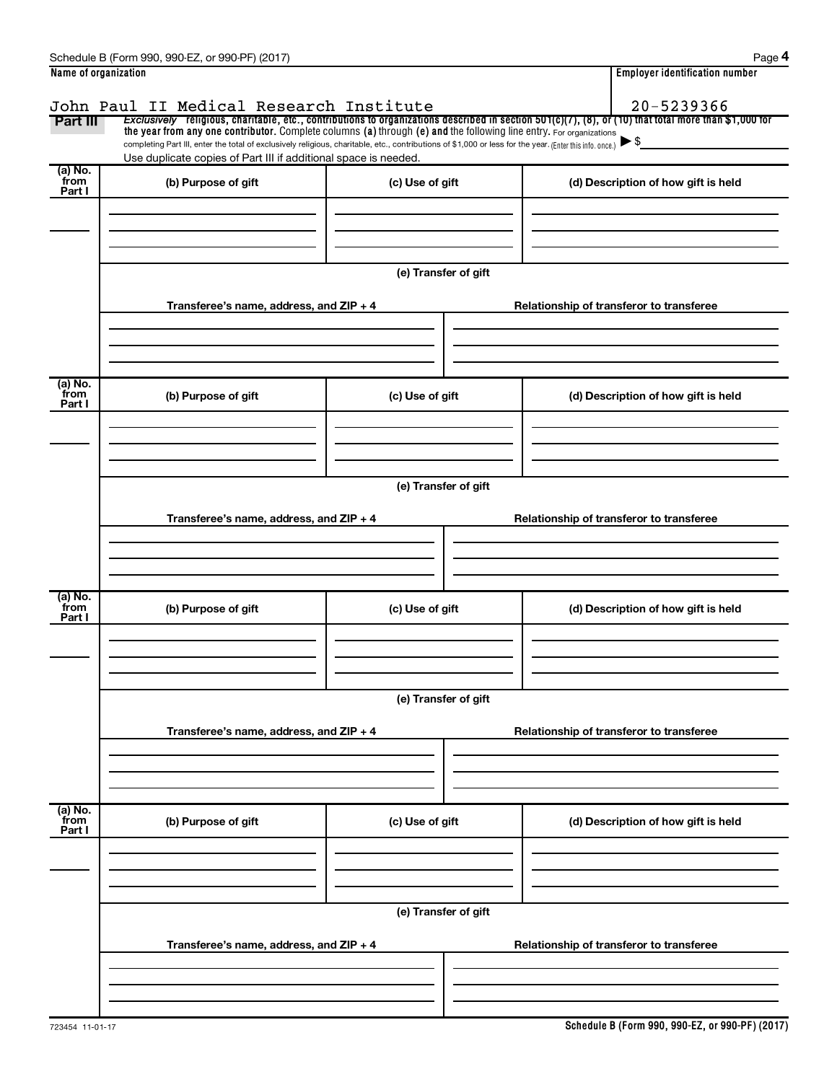| Schedule<br>990-EZ<br>(2017<br>or 990-PF`<br>990<br>-orm<br>че в | Paɑe                                    |
|------------------------------------------------------------------|-----------------------------------------|
| Name of organization                                             | <br>، identification number<br>Emplover |

| Name of organization |                                                                                                                                                          |                      | <b>Employer identification number</b>                                                                                                                 |  |  |  |
|----------------------|----------------------------------------------------------------------------------------------------------------------------------------------------------|----------------------|-------------------------------------------------------------------------------------------------------------------------------------------------------|--|--|--|
|                      | John Paul II Medical Research Institute                                                                                                                  |                      | 20-5239366                                                                                                                                            |  |  |  |
| Part III             | the year from any one contributor. Complete columns (a) through (e) and the following line entry. For organizations                                      |                      | Exclusively religious, charitable, etc., contributions to organizations described in section 501(c)(7), (8), or (10) that total more than \$1,000 for |  |  |  |
|                      | completing Part III, enter the total of exclusively religious, charitable, etc., contributions of \$1,000 or less for the year. (Enter this info. once.) |                      |                                                                                                                                                       |  |  |  |
| (a) No.              | Use duplicate copies of Part III if additional space is needed.                                                                                          |                      |                                                                                                                                                       |  |  |  |
| from<br>Part I       | (b) Purpose of gift                                                                                                                                      | (c) Use of gift      | (d) Description of how gift is held                                                                                                                   |  |  |  |
|                      |                                                                                                                                                          |                      |                                                                                                                                                       |  |  |  |
|                      |                                                                                                                                                          |                      |                                                                                                                                                       |  |  |  |
|                      |                                                                                                                                                          |                      |                                                                                                                                                       |  |  |  |
|                      |                                                                                                                                                          | (e) Transfer of gift |                                                                                                                                                       |  |  |  |
|                      |                                                                                                                                                          |                      |                                                                                                                                                       |  |  |  |
|                      | Transferee's name, address, and ZIP + 4                                                                                                                  |                      | Relationship of transferor to transferee                                                                                                              |  |  |  |
|                      |                                                                                                                                                          |                      |                                                                                                                                                       |  |  |  |
|                      |                                                                                                                                                          |                      |                                                                                                                                                       |  |  |  |
| (a) No.              |                                                                                                                                                          |                      |                                                                                                                                                       |  |  |  |
| from<br>Part I       | (b) Purpose of gift                                                                                                                                      | (c) Use of gift      | (d) Description of how gift is held                                                                                                                   |  |  |  |
|                      |                                                                                                                                                          |                      |                                                                                                                                                       |  |  |  |
|                      |                                                                                                                                                          |                      |                                                                                                                                                       |  |  |  |
|                      |                                                                                                                                                          |                      |                                                                                                                                                       |  |  |  |
|                      |                                                                                                                                                          | (e) Transfer of gift |                                                                                                                                                       |  |  |  |
|                      | Transferee's name, address, and ZIP + 4                                                                                                                  |                      | Relationship of transferor to transferee                                                                                                              |  |  |  |
|                      |                                                                                                                                                          |                      |                                                                                                                                                       |  |  |  |
|                      |                                                                                                                                                          |                      |                                                                                                                                                       |  |  |  |
|                      |                                                                                                                                                          |                      |                                                                                                                                                       |  |  |  |
| (a) No.<br>from      | (b) Purpose of gift                                                                                                                                      | (c) Use of gift      | (d) Description of how gift is held                                                                                                                   |  |  |  |
| Part I               |                                                                                                                                                          |                      |                                                                                                                                                       |  |  |  |
|                      |                                                                                                                                                          |                      |                                                                                                                                                       |  |  |  |
|                      |                                                                                                                                                          |                      |                                                                                                                                                       |  |  |  |
|                      |                                                                                                                                                          |                      |                                                                                                                                                       |  |  |  |
|                      |                                                                                                                                                          | (e) Transfer of gift |                                                                                                                                                       |  |  |  |
|                      | Transferee's name, address, and ZIP + 4                                                                                                                  |                      | Relationship of transferor to transferee                                                                                                              |  |  |  |
|                      |                                                                                                                                                          |                      |                                                                                                                                                       |  |  |  |
|                      |                                                                                                                                                          |                      |                                                                                                                                                       |  |  |  |
|                      |                                                                                                                                                          |                      |                                                                                                                                                       |  |  |  |
| (a) No.<br>from      | (b) Purpose of gift                                                                                                                                      | (c) Use of gift      | (d) Description of how gift is held                                                                                                                   |  |  |  |
| Part I               |                                                                                                                                                          |                      |                                                                                                                                                       |  |  |  |
|                      |                                                                                                                                                          |                      |                                                                                                                                                       |  |  |  |
|                      |                                                                                                                                                          |                      |                                                                                                                                                       |  |  |  |
|                      | (e) Transfer of gift                                                                                                                                     |                      |                                                                                                                                                       |  |  |  |
|                      |                                                                                                                                                          |                      |                                                                                                                                                       |  |  |  |
|                      | Transferee's name, address, and ZIP + 4                                                                                                                  |                      | Relationship of transferor to transferee                                                                                                              |  |  |  |
|                      |                                                                                                                                                          |                      |                                                                                                                                                       |  |  |  |
|                      |                                                                                                                                                          |                      |                                                                                                                                                       |  |  |  |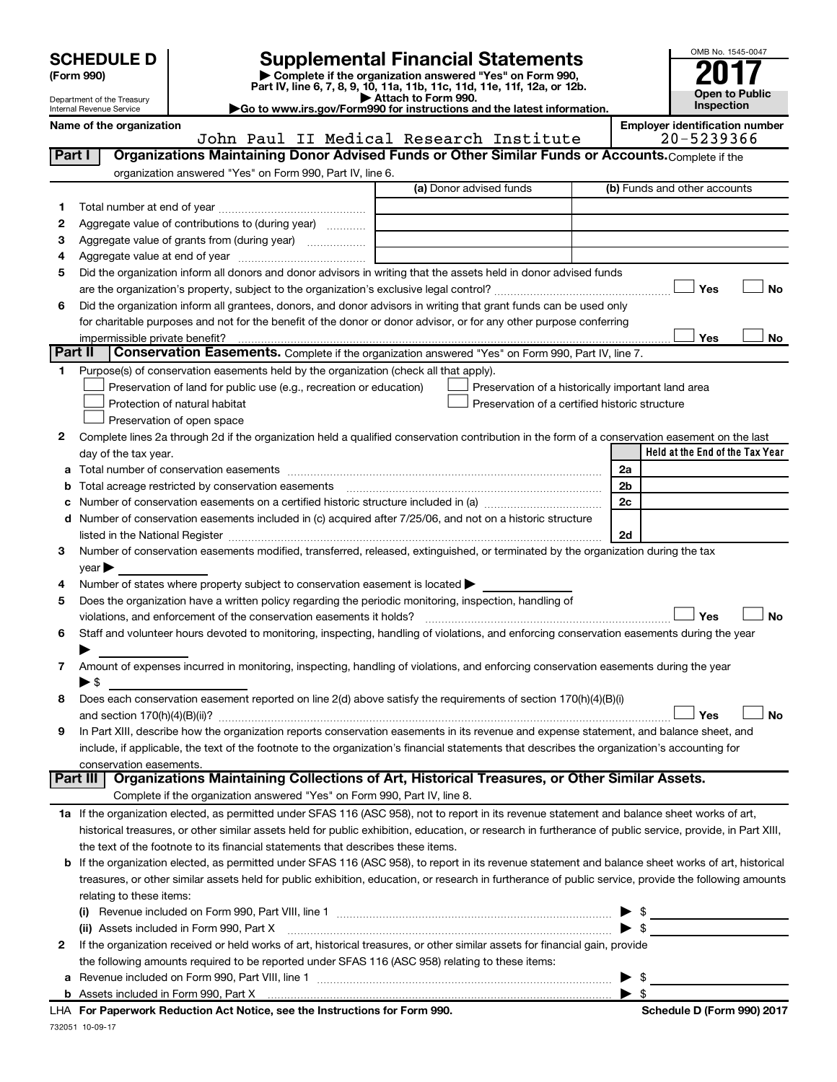Department of the Treasury Internal Revenue Service

# **SCHEDULE D Supplemental Financial Statements**<br> **Form 990 2017**<br> **Part IV** line 6.7.8.9.10, 11a, 11b, 11d, 11d, 11d, 11d, 11d, 12a, 0r, 12b

**(Form 990) | Complete if the organization answered "Yes" on Form 990, Part IV, line 6, 7, 8, 9, 10, 11a, 11b, 11c, 11d, 11e, 11f, 12a, or 12b.**

**| Attach to Form 990. |Go to www.irs.gov/Form990 for instructions and the latest information.**



**Name of the organization**<br>**IOP DAIL IT Medical Research Institute Employer identification number** John Paul II Medical Research Institute

| Part I  | Organizations Maintaining Donor Advised Funds or Other Similar Funds or Accounts. Complete if the                                                          | OOIIII FAUI II MEUICAI RESEAICH INSCICUCE | 20-JAJJJUU                                         |           |
|---------|------------------------------------------------------------------------------------------------------------------------------------------------------------|-------------------------------------------|----------------------------------------------------|-----------|
|         | organization answered "Yes" on Form 990, Part IV, line 6.                                                                                                  |                                           |                                                    |           |
|         |                                                                                                                                                            | (a) Donor advised funds                   | (b) Funds and other accounts                       |           |
| 1       |                                                                                                                                                            |                                           |                                                    |           |
| 2       | Aggregate value of contributions to (during year)                                                                                                          |                                           |                                                    |           |
| З       | Aggregate value of grants from (during year)                                                                                                               |                                           |                                                    |           |
| 4       |                                                                                                                                                            |                                           |                                                    |           |
| 5       | Did the organization inform all donors and donor advisors in writing that the assets held in donor advised funds                                           |                                           |                                                    |           |
|         |                                                                                                                                                            |                                           | Yes                                                | <b>No</b> |
| 6       | Did the organization inform all grantees, donors, and donor advisors in writing that grant funds can be used only                                          |                                           |                                                    |           |
|         | for charitable purposes and not for the benefit of the donor or donor advisor, or for any other purpose conferring                                         |                                           |                                                    |           |
|         | impermissible private benefit?                                                                                                                             |                                           | Yes                                                | No        |
| Part II | Conservation Easements. Complete if the organization answered "Yes" on Form 990, Part IV, line 7.                                                          |                                           |                                                    |           |
| 1       | Purpose(s) of conservation easements held by the organization (check all that apply).                                                                      |                                           |                                                    |           |
|         | Preservation of land for public use (e.g., recreation or education)                                                                                        |                                           | Preservation of a historically important land area |           |
|         | Protection of natural habitat                                                                                                                              |                                           | Preservation of a certified historic structure     |           |
|         | Preservation of open space                                                                                                                                 |                                           |                                                    |           |
| 2       | Complete lines 2a through 2d if the organization held a qualified conservation contribution in the form of a conservation easement on the last             |                                           |                                                    |           |
|         | day of the tax year.                                                                                                                                       |                                           | Held at the End of the Tax Year                    |           |
|         |                                                                                                                                                            |                                           | 2a                                                 |           |
| b       | Total acreage restricted by conservation easements                                                                                                         |                                           | 2 <sub>b</sub>                                     |           |
|         |                                                                                                                                                            |                                           | 2c                                                 |           |
|         | d Number of conservation easements included in (c) acquired after 7/25/06, and not on a historic structure                                                 |                                           |                                                    |           |
|         |                                                                                                                                                            |                                           | 2d                                                 |           |
| 3       | Number of conservation easements modified, transferred, released, extinguished, or terminated by the organization during the tax                           |                                           |                                                    |           |
|         | year                                                                                                                                                       |                                           |                                                    |           |
| 4       | Number of states where property subject to conservation easement is located                                                                                |                                           |                                                    |           |
| 5       | Does the organization have a written policy regarding the periodic monitoring, inspection, handling of                                                     |                                           |                                                    |           |
|         |                                                                                                                                                            |                                           | Yes                                                | <b>No</b> |
| 6       | Staff and volunteer hours devoted to monitoring, inspecting, handling of violations, and enforcing conservation easements during the year                  |                                           |                                                    |           |
|         |                                                                                                                                                            |                                           |                                                    |           |
| 7       | Amount of expenses incurred in monitoring, inspecting, handling of violations, and enforcing conservation easements during the year                        |                                           |                                                    |           |
|         | $\blacktriangleright$ \$                                                                                                                                   |                                           |                                                    |           |
| 8       | Does each conservation easement reported on line 2(d) above satisfy the requirements of section 170(h)(4)(B)(i)                                            |                                           |                                                    |           |
|         |                                                                                                                                                            |                                           | Yes                                                | <b>No</b> |
| 9       | In Part XIII, describe how the organization reports conservation easements in its revenue and expense statement, and balance sheet, and                    |                                           |                                                    |           |
|         | include, if applicable, the text of the footnote to the organization's financial statements that describes the organization's accounting for               |                                           |                                                    |           |
|         | conservation easements.                                                                                                                                    |                                           |                                                    |           |
|         | Organizations Maintaining Collections of Art, Historical Treasures, or Other Similar Assets.<br><b>Part III</b>                                            |                                           |                                                    |           |
|         | Complete if the organization answered "Yes" on Form 990, Part IV, line 8.                                                                                  |                                           |                                                    |           |
|         | 1a If the organization elected, as permitted under SFAS 116 (ASC 958), not to report in its revenue statement and balance sheet works of art,              |                                           |                                                    |           |
|         | historical treasures, or other similar assets held for public exhibition, education, or research in furtherance of public service, provide, in Part XIII,  |                                           |                                                    |           |
|         | the text of the footnote to its financial statements that describes these items.                                                                           |                                           |                                                    |           |
|         | <b>b</b> If the organization elected, as permitted under SFAS 116 (ASC 958), to report in its revenue statement and balance sheet works of art, historical |                                           |                                                    |           |
|         | treasures, or other similar assets held for public exhibition, education, or research in furtherance of public service, provide the following amounts      |                                           |                                                    |           |
|         | relating to these items:                                                                                                                                   |                                           |                                                    |           |
|         |                                                                                                                                                            |                                           | $\frac{1}{2}$                                      |           |
|         | (ii) Assets included in Form 990, Part X                                                                                                                   |                                           | $\blacktriangleright$ \$                           |           |
| 2       | If the organization received or held works of art, historical treasures, or other similar assets for financial gain, provide                               |                                           |                                                    |           |
|         | the following amounts required to be reported under SFAS 116 (ASC 958) relating to these items:                                                            |                                           |                                                    |           |
| а       |                                                                                                                                                            |                                           | \$                                                 |           |
|         |                                                                                                                                                            |                                           | $\blacktriangleright$ \$                           |           |

732051 10-09-17 **For Paperwork Reduction Act Notice, see the Instructions for Form 990. Schedule D (Form 990) 2017** LHA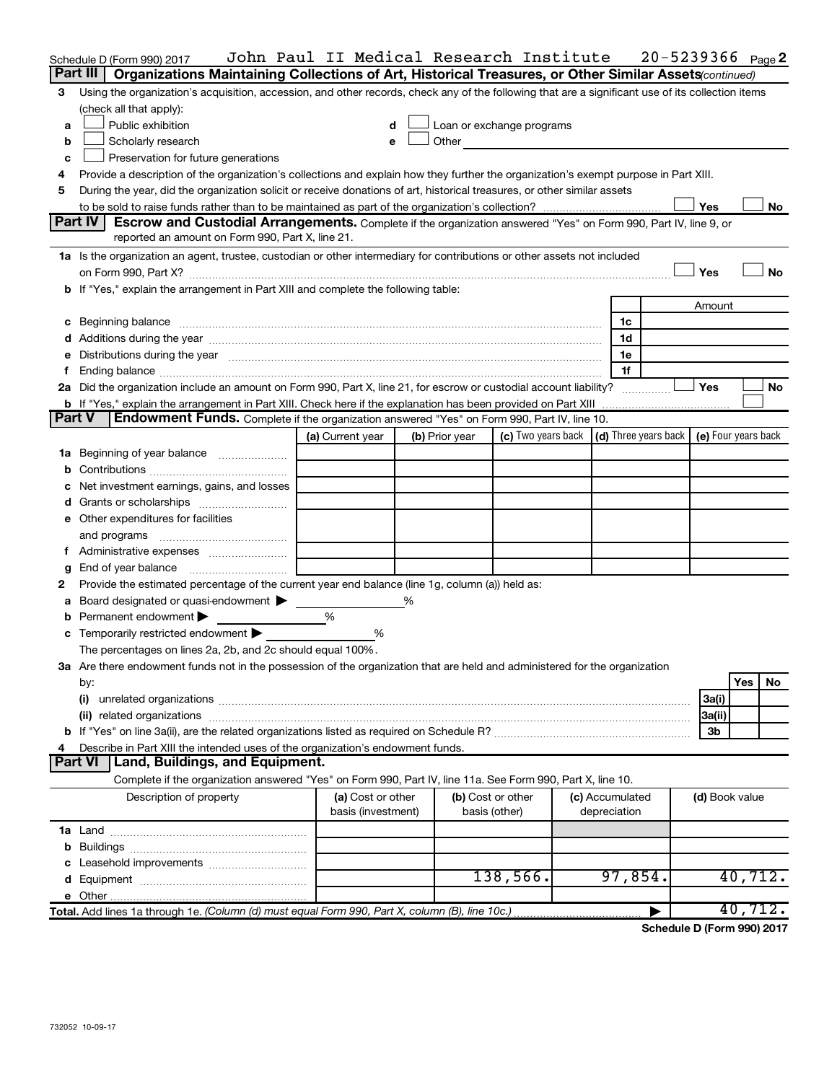|               | Schedule D (Form 990) 2017                                                                                                                                                                                                     | John Paul II Medical Research Institute |   |                |                                                                                                                                                                                                                               |                 |                | $20 - 5239366$ Page 2 |
|---------------|--------------------------------------------------------------------------------------------------------------------------------------------------------------------------------------------------------------------------------|-----------------------------------------|---|----------------|-------------------------------------------------------------------------------------------------------------------------------------------------------------------------------------------------------------------------------|-----------------|----------------|-----------------------|
|               | Part III<br>Organizations Maintaining Collections of Art, Historical Treasures, or Other Similar Assets (continued)                                                                                                            |                                         |   |                |                                                                                                                                                                                                                               |                 |                |                       |
| 3             | Using the organization's acquisition, accession, and other records, check any of the following that are a significant use of its collection items                                                                              |                                         |   |                |                                                                                                                                                                                                                               |                 |                |                       |
|               | (check all that apply):                                                                                                                                                                                                        |                                         |   |                |                                                                                                                                                                                                                               |                 |                |                       |
| a             | Public exhibition                                                                                                                                                                                                              | d                                       |   |                | Loan or exchange programs                                                                                                                                                                                                     |                 |                |                       |
| b             | Scholarly research                                                                                                                                                                                                             | е                                       |   |                | Other and the contract of the contract of the contract of the contract of the contract of the contract of the contract of the contract of the contract of the contract of the contract of the contract of the contract of the |                 |                |                       |
| c             | Preservation for future generations                                                                                                                                                                                            |                                         |   |                |                                                                                                                                                                                                                               |                 |                |                       |
| 4             | Provide a description of the organization's collections and explain how they further the organization's exempt purpose in Part XIII.                                                                                           |                                         |   |                |                                                                                                                                                                                                                               |                 |                |                       |
| 5             | During the year, did the organization solicit or receive donations of art, historical treasures, or other similar assets                                                                                                       |                                         |   |                |                                                                                                                                                                                                                               |                 |                |                       |
|               |                                                                                                                                                                                                                                |                                         |   |                |                                                                                                                                                                                                                               |                 | Yes            | No                    |
|               | Part IV<br>Escrow and Custodial Arrangements. Complete if the organization answered "Yes" on Form 990, Part IV, line 9, or                                                                                                     |                                         |   |                |                                                                                                                                                                                                                               |                 |                |                       |
|               | reported an amount on Form 990, Part X, line 21.                                                                                                                                                                               |                                         |   |                |                                                                                                                                                                                                                               |                 |                |                       |
|               | 1a Is the organization an agent, trustee, custodian or other intermediary for contributions or other assets not included                                                                                                       |                                         |   |                |                                                                                                                                                                                                                               |                 |                |                       |
|               | on Form 990, Part X? [11] matter and the contract of the contract of the contract of the contract of the contract of the contract of the contract of the contract of the contract of the contract of the contract of the contr |                                         |   |                |                                                                                                                                                                                                                               |                 | Yes            | No                    |
|               | b If "Yes," explain the arrangement in Part XIII and complete the following table:                                                                                                                                             |                                         |   |                |                                                                                                                                                                                                                               |                 |                |                       |
|               |                                                                                                                                                                                                                                |                                         |   |                |                                                                                                                                                                                                                               |                 | Amount         |                       |
|               |                                                                                                                                                                                                                                |                                         |   |                |                                                                                                                                                                                                                               | 1c              |                |                       |
|               |                                                                                                                                                                                                                                |                                         |   |                |                                                                                                                                                                                                                               | 1d              |                |                       |
|               | Distributions during the year measurement contains and all the year measurement of the state of the state of t                                                                                                                 |                                         |   |                |                                                                                                                                                                                                                               | 1e              |                |                       |
| f             |                                                                                                                                                                                                                                |                                         |   |                |                                                                                                                                                                                                                               | 1f              |                |                       |
|               | 2a Did the organization include an amount on Form 990, Part X, line 21, for escrow or custodial account liability?                                                                                                             |                                         |   |                |                                                                                                                                                                                                                               |                 | Yes            | No                    |
|               | <b>b</b> If "Yes," explain the arrangement in Part XIII. Check here if the explanation has been provided on Part XIII                                                                                                          |                                         |   |                |                                                                                                                                                                                                                               |                 |                |                       |
| <b>Part V</b> | <b>Endowment Funds.</b> Complete if the organization answered "Yes" on Form 990, Part IV, line 10.                                                                                                                             |                                         |   |                |                                                                                                                                                                                                                               |                 |                |                       |
|               |                                                                                                                                                                                                                                | (a) Current year                        |   | (b) Prior year | (c) Two years back $\vert$ (d) Three years back $\vert$ (e) Four years back                                                                                                                                                   |                 |                |                       |
|               | 1a Beginning of year balance                                                                                                                                                                                                   |                                         |   |                |                                                                                                                                                                                                                               |                 |                |                       |
| b             |                                                                                                                                                                                                                                |                                         |   |                |                                                                                                                                                                                                                               |                 |                |                       |
|               | Net investment earnings, gains, and losses                                                                                                                                                                                     |                                         |   |                |                                                                                                                                                                                                                               |                 |                |                       |
|               |                                                                                                                                                                                                                                |                                         |   |                |                                                                                                                                                                                                                               |                 |                |                       |
|               | e Other expenditures for facilities                                                                                                                                                                                            |                                         |   |                |                                                                                                                                                                                                                               |                 |                |                       |
|               | and programs                                                                                                                                                                                                                   |                                         |   |                |                                                                                                                                                                                                                               |                 |                |                       |
| f             |                                                                                                                                                                                                                                |                                         |   |                |                                                                                                                                                                                                                               |                 |                |                       |
|               | End of year balance                                                                                                                                                                                                            |                                         |   |                |                                                                                                                                                                                                                               |                 |                |                       |
| 2             | Provide the estimated percentage of the current year end balance (line 1g, column (a)) held as:<br>Board designated or quasi-endowment >                                                                                       |                                         | ℅ |                |                                                                                                                                                                                                                               |                 |                |                       |
| а             | Permanent endowment                                                                                                                                                                                                            | %                                       |   |                |                                                                                                                                                                                                                               |                 |                |                       |
| b             | Temporarily restricted endowment                                                                                                                                                                                               | %                                       |   |                |                                                                                                                                                                                                                               |                 |                |                       |
|               | The percentages on lines 2a, 2b, and 2c should equal 100%.                                                                                                                                                                     |                                         |   |                |                                                                                                                                                                                                                               |                 |                |                       |
|               | 3a Are there endowment funds not in the possession of the organization that are held and administered for the organization                                                                                                     |                                         |   |                |                                                                                                                                                                                                                               |                 |                |                       |
|               |                                                                                                                                                                                                                                |                                         |   |                |                                                                                                                                                                                                                               |                 |                | Yes<br>No             |
|               | by:<br>(i)                                                                                                                                                                                                                     |                                         |   |                |                                                                                                                                                                                                                               |                 | 3a(i)          |                       |
|               |                                                                                                                                                                                                                                |                                         |   |                |                                                                                                                                                                                                                               |                 | 3a(ii)         |                       |
|               |                                                                                                                                                                                                                                |                                         |   |                |                                                                                                                                                                                                                               |                 | 3b             |                       |
|               | Describe in Part XIII the intended uses of the organization's endowment funds.                                                                                                                                                 |                                         |   |                |                                                                                                                                                                                                                               |                 |                |                       |
|               | Part VI<br>Land, Buildings, and Equipment.                                                                                                                                                                                     |                                         |   |                |                                                                                                                                                                                                                               |                 |                |                       |
|               | Complete if the organization answered "Yes" on Form 990, Part IV, line 11a. See Form 990, Part X, line 10.                                                                                                                     |                                         |   |                |                                                                                                                                                                                                                               |                 |                |                       |
|               | Description of property                                                                                                                                                                                                        | (a) Cost or other                       |   |                | (b) Cost or other                                                                                                                                                                                                             | (c) Accumulated | (d) Book value |                       |
|               |                                                                                                                                                                                                                                | basis (investment)                      |   |                | basis (other)                                                                                                                                                                                                                 | depreciation    |                |                       |
|               |                                                                                                                                                                                                                                |                                         |   |                |                                                                                                                                                                                                                               |                 |                |                       |
|               |                                                                                                                                                                                                                                |                                         |   |                |                                                                                                                                                                                                                               |                 |                |                       |
|               |                                                                                                                                                                                                                                |                                         |   |                |                                                                                                                                                                                                                               |                 |                |                       |
|               |                                                                                                                                                                                                                                |                                         |   |                | 138,566.                                                                                                                                                                                                                      | 97,854.         |                | 40,712.               |
|               |                                                                                                                                                                                                                                |                                         |   |                |                                                                                                                                                                                                                               |                 |                |                       |
|               |                                                                                                                                                                                                                                |                                         |   |                |                                                                                                                                                                                                                               |                 |                | 40, 712.              |

**Schedule D (Form 990) 2017**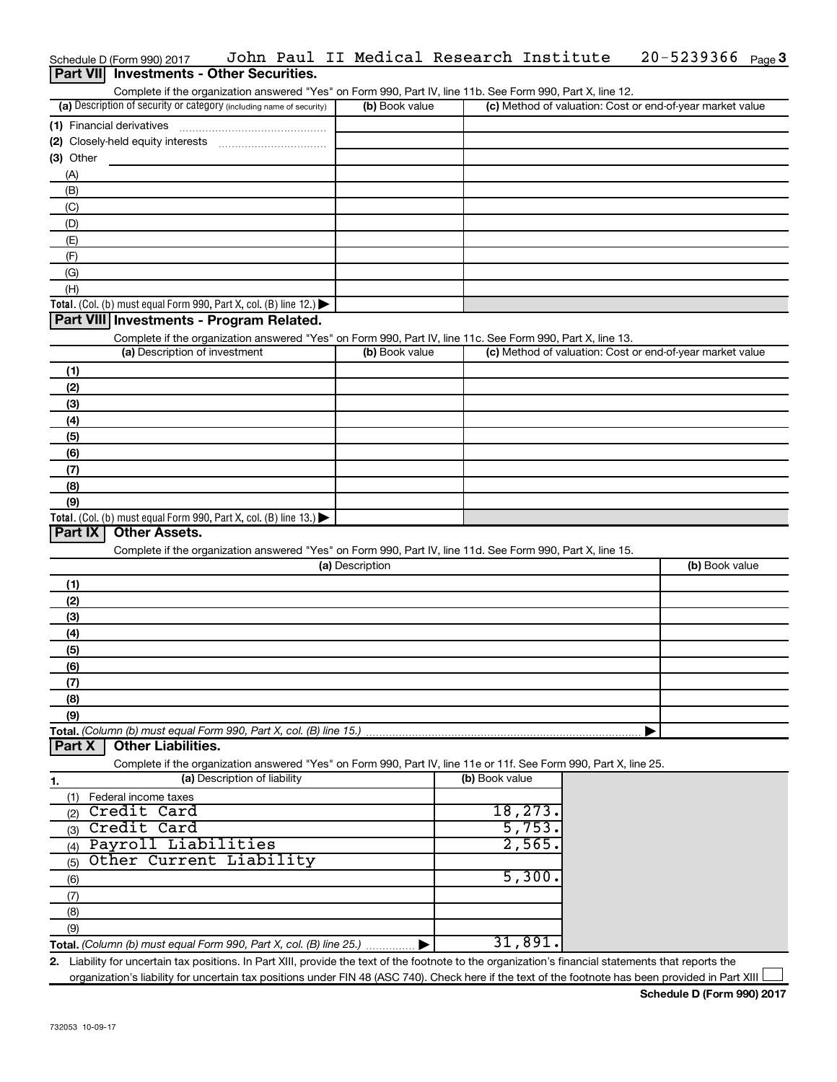| John Paul II Medical Research Institute<br>Schedule D (Form 990) 2017                                      |                |  | $20 - 5239366$ Page 3                                     |  |
|------------------------------------------------------------------------------------------------------------|----------------|--|-----------------------------------------------------------|--|
| Part VII Investments - Other Securities.                                                                   |                |  |                                                           |  |
| Complete if the organization answered "Yes" on Form 990, Part IV, line 11b. See Form 990, Part X, line 12. |                |  |                                                           |  |
| (a) Description of security or category (including name of security)                                       | (b) Book value |  | (c) Method of valuation: Cost or end-of-year market value |  |
| Financial derivatives<br>(1)                                                                               |                |  |                                                           |  |
| Closely-held equity interests<br>(2)                                                                       |                |  |                                                           |  |
| Other<br>(3)                                                                                               |                |  |                                                           |  |
| (A)                                                                                                        |                |  |                                                           |  |
| (B)                                                                                                        |                |  |                                                           |  |
| (C)                                                                                                        |                |  |                                                           |  |
| (D)                                                                                                        |                |  |                                                           |  |
| (E)                                                                                                        |                |  |                                                           |  |
| (F)                                                                                                        |                |  |                                                           |  |
| (G)                                                                                                        |                |  |                                                           |  |
| (H)                                                                                                        |                |  |                                                           |  |
| <b>Total.</b> (Col. (b) must equal Form 990, Part X, col. (B) line 12.) $\blacktriangleright$              |                |  |                                                           |  |
| Part VIII Investments - Program Related.                                                                   |                |  |                                                           |  |
| Complete if the organization answered "Yes" on Form 990, Part IV, line 11c. See Form 990, Part X, line 13. |                |  |                                                           |  |
| (a) Description of investment                                                                              | (b) Book value |  | (c) Method of valuation: Cost or end-of-year market value |  |

|                                                                                         | $\frac{1}{2}$ = $\frac{1}{2}$ = $\frac{1}{2}$ = $\frac{1}{2}$ = $\frac{1}{2}$ = $\frac{1}{2}$ = $\frac{1}{2}$ = $\frac{1}{2}$ = $\frac{1}{2}$ = $\frac{1}{2}$ = $\frac{1}{2}$ = $\frac{1}{2}$ = $\frac{1}{2}$ = $\frac{1}{2}$ = $\frac{1}{2}$ = $\frac{1}{2}$ = $\frac{1}{2}$ = $\frac{1}{2}$ = $\frac{1$ |  |
|-----------------------------------------------------------------------------------------|-----------------------------------------------------------------------------------------------------------------------------------------------------------------------------------------------------------------------------------------------------------------------------------------------------------|--|
| (1)                                                                                     |                                                                                                                                                                                                                                                                                                           |  |
| (2)                                                                                     |                                                                                                                                                                                                                                                                                                           |  |
| (3)                                                                                     |                                                                                                                                                                                                                                                                                                           |  |
| (4)                                                                                     |                                                                                                                                                                                                                                                                                                           |  |
| (5)                                                                                     |                                                                                                                                                                                                                                                                                                           |  |
| (6)                                                                                     |                                                                                                                                                                                                                                                                                                           |  |
| (7)                                                                                     |                                                                                                                                                                                                                                                                                                           |  |
| (8)                                                                                     |                                                                                                                                                                                                                                                                                                           |  |
| (9)                                                                                     |                                                                                                                                                                                                                                                                                                           |  |
| Total. (Col. (b) must equal Form 990, Part X, col. (B) line $13.$ $\blacktriangleright$ |                                                                                                                                                                                                                                                                                                           |  |

## **Part IX Other Assets.**

Complete if the organization answered "Yes" on Form 990, Part IV, line 11d. See Form 990, Part X, line 15.

| (a) Description  | (b) Book value |
|------------------|----------------|
| (1)              |                |
| (2)              |                |
| $\left(3\right)$ |                |
| (4)              |                |
| $\frac{1}{1}$    |                |
| (6)              |                |
| (7)              |                |
| (8)              |                |
| (9)              |                |
|                  |                |

**Part X Part Controller Liabilities.** 

Complete if the organization answered "Yes" on Form 990, Part IV, line 11e or 11f. See Form 990, Part X, line 25.

| -1. | (a) Description of liability                                       | (b) Book value |
|-----|--------------------------------------------------------------------|----------------|
|     | Federal income taxes                                               |                |
|     | Credit Card                                                        | 18, 273.       |
| (3) | Credit Card                                                        | 5,753          |
|     | Payroll Liabilities                                                | 2,565.         |
| (5) | Other Current Liability                                            |                |
| (6) |                                                                    | 5,300.         |
|     |                                                                    |                |
| (8) |                                                                    |                |
| (9) |                                                                    |                |
|     | Total. (Column (b) must equal Form 990, Part X, col. (B) line 25.) | 31,891         |

**2.** Liability for uncertain tax positions. In Part XIII, provide the text of the footnote to the organization's financial statements that reports the organization's liability for uncertain tax positions under FIN 48 (ASC 740). Check here if the text of the footnote has been provided in Part XIII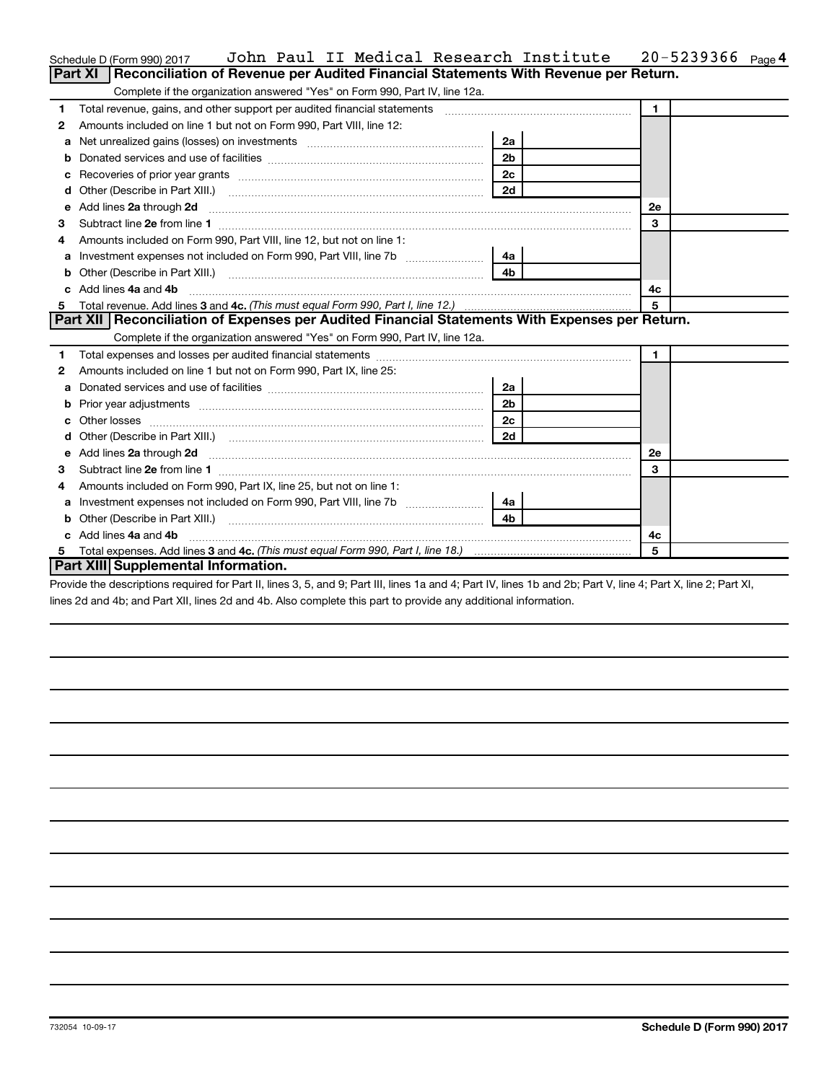|    | John Paul II Medical Research Institute<br>Schedule D (Form 990) 2017                                                                                                                                                                                                                                 |                | 20-5239366<br>Page 4 |
|----|-------------------------------------------------------------------------------------------------------------------------------------------------------------------------------------------------------------------------------------------------------------------------------------------------------|----------------|----------------------|
|    | Part XI   Reconciliation of Revenue per Audited Financial Statements With Revenue per Return.                                                                                                                                                                                                         |                |                      |
|    | Complete if the organization answered "Yes" on Form 990, Part IV, line 12a.                                                                                                                                                                                                                           |                |                      |
| 1. | Total revenue, gains, and other support per audited financial statements [11, 11] Total revenue, gains, and other support per audited financial statements                                                                                                                                            |                | $\blacksquare$       |
| 2  | Amounts included on line 1 but not on Form 990, Part VIII, line 12:                                                                                                                                                                                                                                   |                |                      |
| a  |                                                                                                                                                                                                                                                                                                       | 2a             |                      |
|    |                                                                                                                                                                                                                                                                                                       | 2 <sub>b</sub> |                      |
|    |                                                                                                                                                                                                                                                                                                       | 2c             |                      |
|    |                                                                                                                                                                                                                                                                                                       | 2d             |                      |
|    |                                                                                                                                                                                                                                                                                                       |                | 2е                   |
| 3  |                                                                                                                                                                                                                                                                                                       |                | 3                    |
| 4  | Amounts included on Form 990, Part VIII, line 12, but not on line 1:                                                                                                                                                                                                                                  |                |                      |
|    | Investment expenses not included on Form 990, Part VIII, line 7b [11, 11, 11, 11, 11]                                                                                                                                                                                                                 | - 4a l         |                      |
| b  |                                                                                                                                                                                                                                                                                                       | 4 <sub>b</sub> |                      |
|    | c Add lines 4a and 4b                                                                                                                                                                                                                                                                                 |                | 4c                   |
|    |                                                                                                                                                                                                                                                                                                       |                | 5                    |
|    | Part XII   Reconciliation of Expenses per Audited Financial Statements With Expenses per Return.                                                                                                                                                                                                      |                |                      |
|    | Complete if the organization answered "Yes" on Form 990, Part IV, line 12a.                                                                                                                                                                                                                           |                |                      |
| 1. |                                                                                                                                                                                                                                                                                                       |                | $\blacksquare$       |
| 2  | Amounts included on line 1 but not on Form 990, Part IX, line 25:                                                                                                                                                                                                                                     |                |                      |
| a  |                                                                                                                                                                                                                                                                                                       | 2a             |                      |
|    |                                                                                                                                                                                                                                                                                                       | 2 <sub>b</sub> |                      |
| c  |                                                                                                                                                                                                                                                                                                       | 2c             |                      |
|    |                                                                                                                                                                                                                                                                                                       | 2d             |                      |
|    | e Add lines 2a through 2d <b>[10]</b> [10] [10] <b>All 20</b> [10] [10] <b>All 20</b> [10] <b>All 20</b> [10] <b>All 20</b> [10] <b>All 20</b> [10] <b>All 20</b> [10] <b>All 20</b> [10] <b>All 20</b> [10] <b>All 20</b> [10] <b>All 20</b> [10] <b>All 20</b> [10] <b>All 20</b> [10] <b>All 2</b> |                | 2е                   |
| 3  |                                                                                                                                                                                                                                                                                                       |                | 3                    |
| 4  | Amounts included on Form 990, Part IX, line 25, but not on line 1:                                                                                                                                                                                                                                    |                |                      |
|    |                                                                                                                                                                                                                                                                                                       | ∣ 4a l         |                      |
| b  |                                                                                                                                                                                                                                                                                                       | 4h             |                      |
|    | c Add lines 4a and 4b                                                                                                                                                                                                                                                                                 |                | 4с                   |
|    |                                                                                                                                                                                                                                                                                                       |                | 5                    |
|    | Part XIII Supplemental Information.                                                                                                                                                                                                                                                                   |                |                      |

Provide the descriptions required for Part II, lines 3, 5, and 9; Part III, lines 1a and 4; Part IV, lines 1b and 2b; Part V, line 4; Part X, line 2; Part XI, lines 2d and 4b; and Part XII, lines 2d and 4b. Also complete this part to provide any additional information.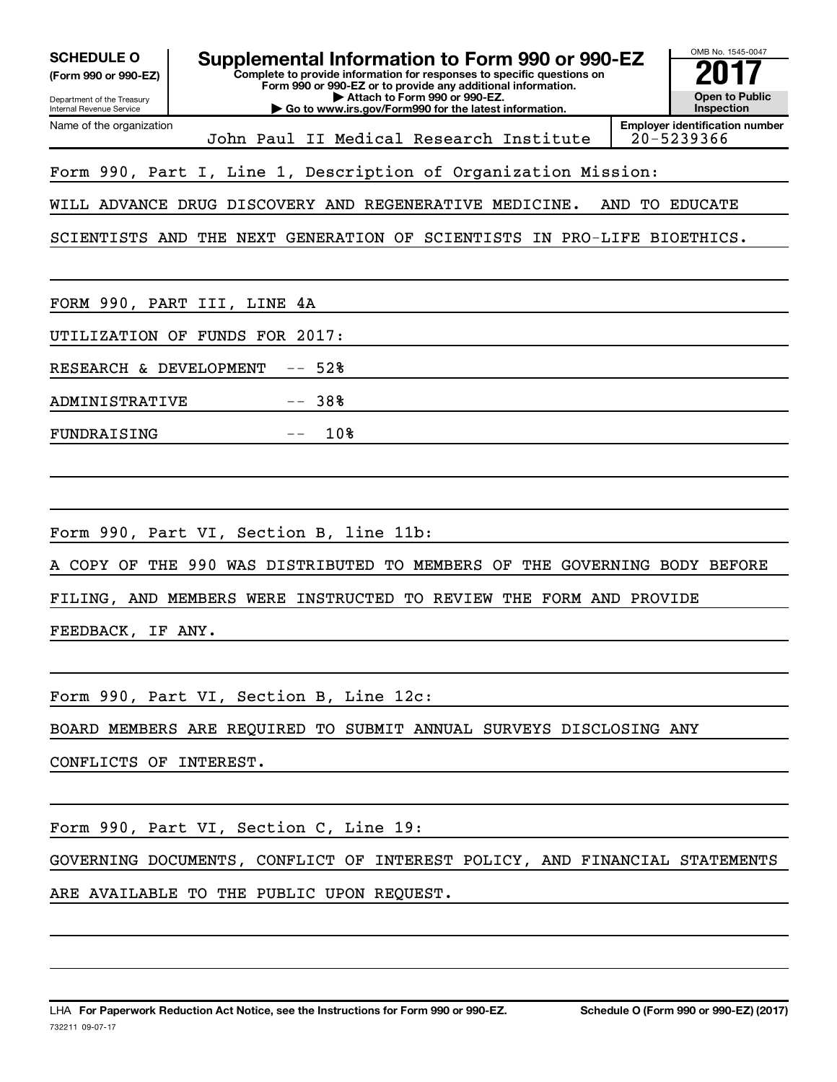| OMB No. 1545-0047<br><b>SCHEDULE O</b><br>Supplemental Information to Form 990 or 990-EZ<br>Complete to provide information for responses to specific questions on<br>(Form 990 or 990-EZ)<br>Form 990 or 990-EZ or to provide any additional information.<br><b>Open to Public</b><br>Attach to Form 990 or 990-EZ.<br>Department of the Treasury<br><b>Inspection</b><br>Go to www.irs.gov/Form990 for the latest information.<br>Internal Revenue Service |
|--------------------------------------------------------------------------------------------------------------------------------------------------------------------------------------------------------------------------------------------------------------------------------------------------------------------------------------------------------------------------------------------------------------------------------------------------------------|
| <b>Employer identification number</b><br>Name of the organization<br>20-5239366<br>John Paul II Medical Research Institute                                                                                                                                                                                                                                                                                                                                   |
| Form 990, Part I, Line 1, Description of Organization Mission:                                                                                                                                                                                                                                                                                                                                                                                               |
| WILL ADVANCE DRUG DISCOVERY AND REGENERATIVE MEDICINE.<br>AND<br><b>TO EDUCATE</b>                                                                                                                                                                                                                                                                                                                                                                           |
| GENERATION OF SCIENTISTS IN PRO-LIFE BIOETHICS.<br>SCIENTISTS AND<br>THE NEXT                                                                                                                                                                                                                                                                                                                                                                                |
| FORM 990, PART III, LINE 4A                                                                                                                                                                                                                                                                                                                                                                                                                                  |
| FUNDS FOR 2017:<br>UTILIZATION OF                                                                                                                                                                                                                                                                                                                                                                                                                            |
| 52%<br>RESEARCH & DEVELOPMENT<br>$- -$                                                                                                                                                                                                                                                                                                                                                                                                                       |
| 38%<br><b>ADMINISTRATIVE</b>                                                                                                                                                                                                                                                                                                                                                                                                                                 |
| 10%<br>FUNDRAISING                                                                                                                                                                                                                                                                                                                                                                                                                                           |
| Form 990, Part VI, Section B, line 11b:<br>THE 990 WAS DISTRIBUTED<br>MEMBERS OF<br>A COPY OF<br>TO.<br>THE<br>GOVERNING BODY BEFORE                                                                                                                                                                                                                                                                                                                         |
| INSTRUCTED<br>TO REVIEW THE FORM AND PROVIDE<br>FILING, AND MEMBERS WERE                                                                                                                                                                                                                                                                                                                                                                                     |
| FEEDBACK,<br>IF ANY.                                                                                                                                                                                                                                                                                                                                                                                                                                         |
| Form 990, Part VI, Section B, Line 12c:                                                                                                                                                                                                                                                                                                                                                                                                                      |
| BOARD MEMBERS ARE REQUIRED TO SUBMIT ANNUAL SURVEYS DISCLOSING ANY                                                                                                                                                                                                                                                                                                                                                                                           |
| CONFLICTS OF INTEREST.                                                                                                                                                                                                                                                                                                                                                                                                                                       |
| Form 990, Part VI, Section C, Line 19:                                                                                                                                                                                                                                                                                                                                                                                                                       |
| GOVERNING DOCUMENTS, CONFLICT OF INTEREST POLICY, AND FINANCIAL STATEMENTS                                                                                                                                                                                                                                                                                                                                                                                   |
| ARE AVAILABLE TO THE PUBLIC UPON REQUEST.                                                                                                                                                                                                                                                                                                                                                                                                                    |
|                                                                                                                                                                                                                                                                                                                                                                                                                                                              |